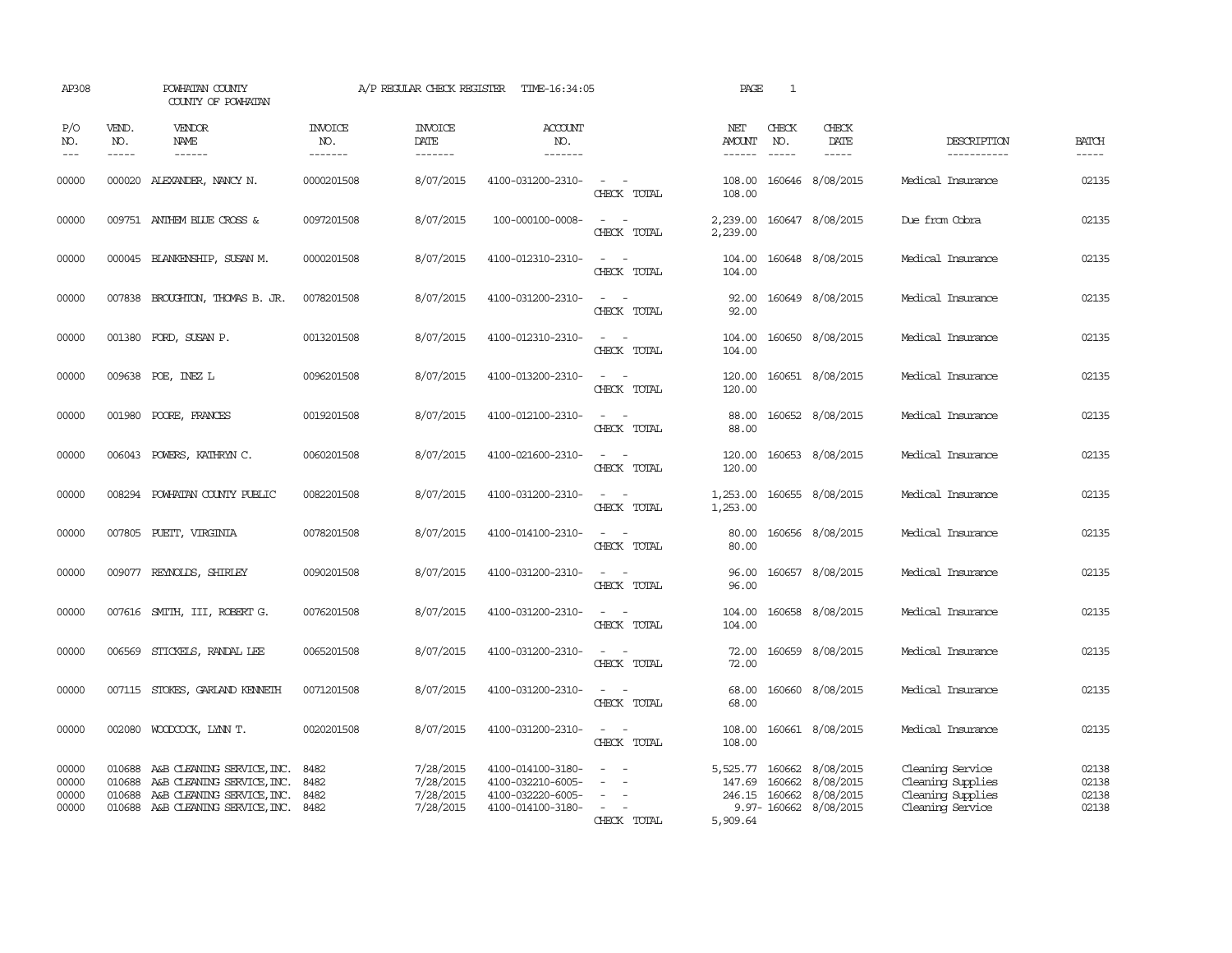| AP308                            |                             | POWHATAN COUNTY<br>COUNTY OF POWHATAN                                                                                       |                                  | A/P REGULAR CHECK REGISTER                       | TIME-16:34:05                                                                    |                                         | PAGE                                            | $\mathbf{1}$     |                                                              |                                                                                |                                  |
|----------------------------------|-----------------------------|-----------------------------------------------------------------------------------------------------------------------------|----------------------------------|--------------------------------------------------|----------------------------------------------------------------------------------|-----------------------------------------|-------------------------------------------------|------------------|--------------------------------------------------------------|--------------------------------------------------------------------------------|----------------------------------|
| P/O<br>NO.<br>$---$              | VEND.<br>NO.<br>$- - - - -$ | <b>VENDOR</b><br>NAME<br>------                                                                                             | <b>INVOICE</b><br>NO.<br>------- | <b>INVOICE</b><br><b>DATE</b><br>-------         | <b>ACCOUNT</b><br>NO.<br>-------                                                 |                                         | NET<br>AMOUNT<br>------                         | CHECK<br>NO.     | CHECK<br>DATE<br>$- - - - -$                                 | DESCRIPTION<br>-----------                                                     | <b>BATCH</b><br>$- - - - -$      |
| 00000                            |                             | 000020 ALEXANDER, NANCY N.                                                                                                  | 0000201508                       | 8/07/2015                                        | 4100-031200-2310-                                                                | $\sim$ $\sim$<br>CHECK TOTAL            | 108.00<br>108.00                                |                  | 160646 8/08/2015                                             | Medical Insurance                                                              | 02135                            |
| 00000                            |                             | 009751 ANTHEM BLUE CROSS &                                                                                                  | 0097201508                       | 8/07/2015                                        | 100-000100-0008-                                                                 | $\overline{\phantom{a}}$<br>CHECK TOTAL | 2,239.00<br>2,239.00                            |                  | 160647 8/08/2015                                             | Due from Cobra                                                                 | 02135                            |
| 00000                            |                             | 000045 BLANKENSHIP, SUSAN M.                                                                                                | 0000201508                       | 8/07/2015                                        | 4100-012310-2310-                                                                | $\sim$<br>CHECK TOTAL                   | 104.00<br>104.00                                |                  | 160648 8/08/2015                                             | Medical Insurance                                                              | 02135                            |
| 00000                            |                             | 007838 BROUGHTON, THOMAS B. JR.                                                                                             | 0078201508                       | 8/07/2015                                        | 4100-031200-2310-                                                                | $\sim$<br>$\sim$<br>CHECK TOTAL         | 92.00<br>92.00                                  |                  | 160649 8/08/2015                                             | Medical Insurance                                                              | 02135                            |
| 00000                            |                             | 001380 FORD, SUSAN P.                                                                                                       | 0013201508                       | 8/07/2015                                        | 4100-012310-2310-                                                                | $\sim$<br>$\sim$ $\sim$<br>CHECK TOTAL  | 104.00<br>104.00                                |                  | 160650 8/08/2015                                             | Medical Insurance                                                              | 02135                            |
| 00000                            |                             | 009638 POE, INEZ L                                                                                                          | 0096201508                       | 8/07/2015                                        | 4100-013200-2310-                                                                | $\sim$ $ \sim$<br>CHECK TOTAL           | 120.00<br>120.00                                |                  | 160651 8/08/2015                                             | Medical Insurance                                                              | 02135                            |
| 00000                            |                             | 001980 POORE, FRANCES                                                                                                       | 0019201508                       | 8/07/2015                                        | 4100-012100-2310-                                                                | $\sim$ $ \sim$<br>CHECK TOTAL           | 88.00<br>88.00                                  |                  | 160652 8/08/2015                                             | Medical Insurance                                                              | 02135                            |
| 00000                            |                             | 006043 POWERS, KATHRYN C.                                                                                                   | 0060201508                       | 8/07/2015                                        | 4100-021600-2310-                                                                | $\sim$ $\sim$<br>CHECK TOTAL            | 120.00<br>120.00                                |                  | 160653 8/08/2015                                             | Medical Insurance                                                              | 02135                            |
| 00000                            |                             | 008294 POWHATAN COUNTY PUBLIC                                                                                               | 0082201508                       | 8/07/2015                                        | 4100-031200-2310-                                                                | $\sim$<br>CHECK TOTAL                   | 1,253.00<br>1,253.00                            |                  | 160655 8/08/2015                                             | Medical Insurance                                                              | 02135                            |
| 00000                            |                             | 007805 PUEIT, VIRGINIA                                                                                                      | 0078201508                       | 8/07/2015                                        | 4100-014100-2310-                                                                | $\overline{\phantom{a}}$<br>CHECK TOTAL | 80.00<br>80.00                                  |                  | 160656 8/08/2015                                             | Medical Insurance                                                              | 02135                            |
| 00000                            |                             | 009077 REYNOLDS, SHIRLEY                                                                                                    | 0090201508                       | 8/07/2015                                        | 4100-031200-2310-                                                                | $\sim$<br>$\sim$<br>CHECK TOTAL         | 96.00<br>96.00                                  |                  | 160657 8/08/2015                                             | Medical Insurance                                                              | 02135                            |
| 00000                            |                             | 007616 SMITH, III, ROBERT G.                                                                                                | 0076201508                       | 8/07/2015                                        | 4100-031200-2310-                                                                | $\sim$<br>CHECK TOTAL                   | 104.00<br>104.00                                |                  | 160658 8/08/2015                                             | Medical Insurance                                                              | 02135                            |
| 00000                            |                             | 006569 STICKELS, RANDAL LEE                                                                                                 | 0065201508                       | 8/07/2015                                        | 4100-031200-2310-                                                                | $ -$<br>CHECK TOTAL                     | 72.00<br>72.00                                  |                  | 160659 8/08/2015                                             | Medical Insurance                                                              | 02135                            |
| 00000                            |                             | 007115 STOKES, GARLAND KENNETH                                                                                              | 0071201508                       | 8/07/2015                                        | 4100-031200-2310-                                                                | $ -$<br>CHECK TOTAL                     | 68.00<br>68.00                                  |                  | 160660 8/08/2015                                             | Medical Insurance                                                              | 02135                            |
| 00000                            |                             | 002080 WOODCOCK, LYNN T.                                                                                                    | 0020201508                       | 8/07/2015                                        | 4100-031200-2310-                                                                | $\equiv$<br>$\sim$<br>CHECK TOTAL       | 108.00<br>108.00                                |                  | 160661 8/08/2015                                             | Medical Insurance                                                              | 02135                            |
| 00000<br>00000<br>00000<br>00000 | 010688<br>010688<br>010688  | A&B CLEANING SERVICE, INC.<br>A&B CLEANING SERVICE, INC.<br>A&B CLEANING SERVICE, INC.<br>010688 A&B CLEANING SERVICE, INC. | 8482<br>8482<br>8482<br>8482     | 7/28/2015<br>7/28/2015<br>7/28/2015<br>7/28/2015 | 4100-014100-3180-<br>4100-032210-6005-<br>4100-032220-6005-<br>4100-014100-3180- | $\sim$<br>CHECK TOTAL                   | 5,525.77 160662<br>147.69<br>246.15<br>5,909.64 | 160662<br>160662 | 8/08/2015<br>8/08/2015<br>8/08/2015<br>9.97-160662 8/08/2015 | Cleaning Service<br>Cleaning Supplies<br>Cleaning Supplies<br>Cleaning Service | 02138<br>02138<br>02138<br>02138 |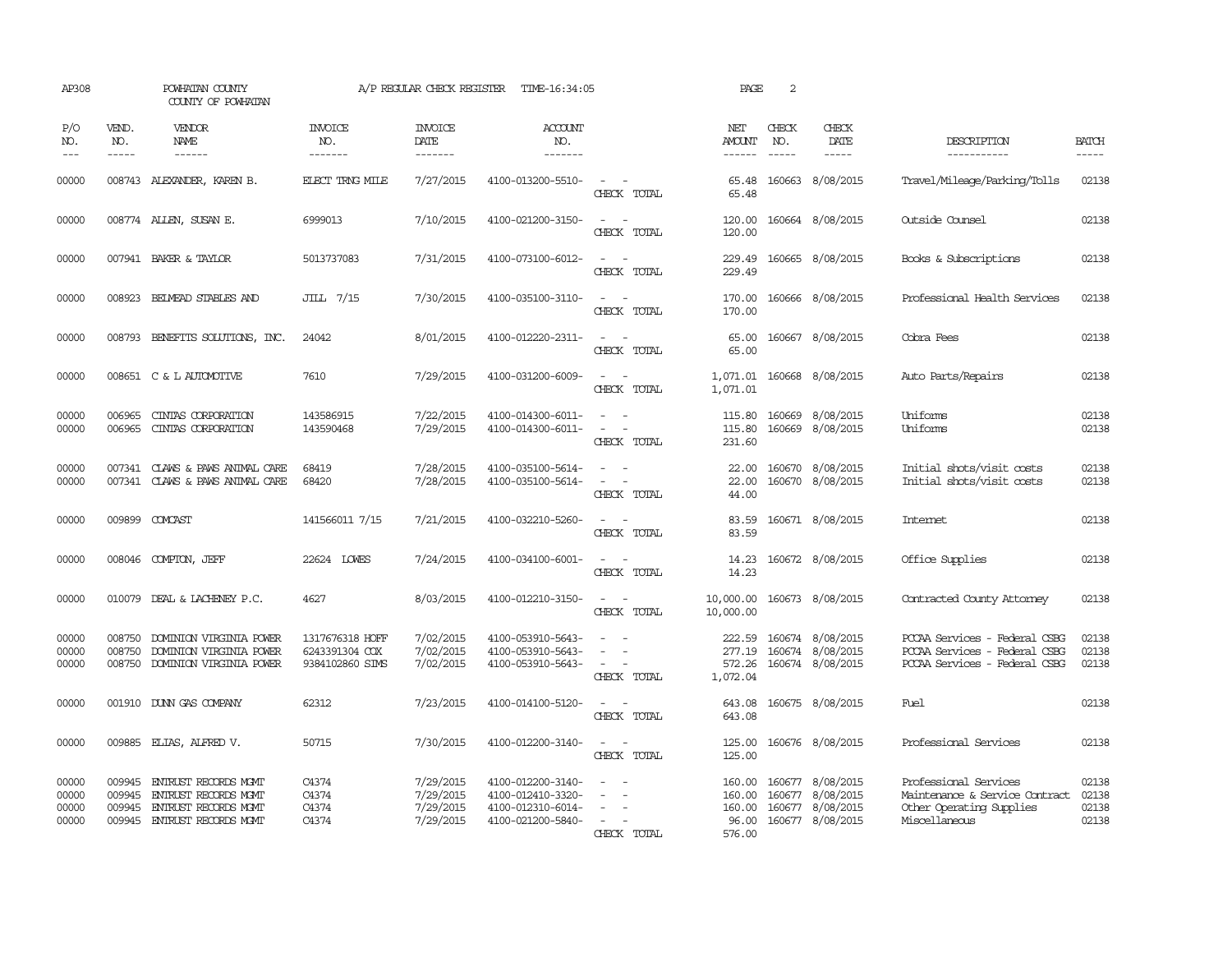| AP308                            |                                      | POWHATAN COUNTY<br>COUNTY OF POWHATAN                                                                      |                                                      | A/P REGULAR CHECK REGISTER                       | TIME-16:34:05                                                                    |                                                                                                                             | PAGE                                          | 2                           |                                                                              |                                                                                                      |                                  |
|----------------------------------|--------------------------------------|------------------------------------------------------------------------------------------------------------|------------------------------------------------------|--------------------------------------------------|----------------------------------------------------------------------------------|-----------------------------------------------------------------------------------------------------------------------------|-----------------------------------------------|-----------------------------|------------------------------------------------------------------------------|------------------------------------------------------------------------------------------------------|----------------------------------|
| P/O<br>NO.<br>$---$              | VEND.<br>NO.<br>$- - - - -$          | VENDOR<br>NAME<br>$- - - - - -$                                                                            | <b>INVOICE</b><br>NO.<br>-------                     | <b>INVOICE</b><br>DATE<br>-------                | <b>ACCOUNT</b><br>NO.<br>-------                                                 |                                                                                                                             | NET<br>AMOUNT<br>$- - - - - -$                | CHECK<br>NO.<br>$- - - - -$ | CHECK<br>DATE<br>$- - - - -$                                                 | DESCRIPTION<br>-----------                                                                           | <b>BATCH</b><br>-----            |
| 00000                            |                                      | 008743 ALEXANDER, KAREN B.                                                                                 | <b>ELECT TRNG MILE</b>                               | 7/27/2015                                        | 4100-013200-5510-                                                                | $\overline{\phantom{a}}$<br>CHECK TOTAL                                                                                     | 65.48<br>65.48                                |                             | 160663 8/08/2015                                                             | Travel/Mileage/Parking/Tolls                                                                         | 02138                            |
| 00000                            |                                      | 008774 ALLEN, SUSAN E.                                                                                     | 6999013                                              | 7/10/2015                                        | 4100-021200-3150-                                                                | $\sim$ $\sim$<br>CHECK TOTAL                                                                                                | 120.00<br>120.00                              |                             | 160664 8/08/2015                                                             | Outside Counsel                                                                                      | 02138                            |
| 00000                            |                                      | 007941 BAKER & TAYLOR                                                                                      | 5013737083                                           | 7/31/2015                                        | 4100-073100-6012-                                                                | $\equiv$<br>$\sim$<br>CHECK TOTAL                                                                                           | 229.49<br>229.49                              |                             | 160665 8/08/2015                                                             | Books & Subscriptions                                                                                | 02138                            |
| 00000                            |                                      | 008923 BEIMEAD STABLES AND                                                                                 | JILL 7/15                                            | 7/30/2015                                        | 4100-035100-3110-                                                                | $\sim$ $-$<br>$\sim$<br>CHECK TOTAL                                                                                         | 170.00<br>170.00                              |                             | 160666 8/08/2015                                                             | Professional Health Services                                                                         | 02138                            |
| 00000                            |                                      | 008793 BENEFITS SOLUTIONS, INC.                                                                            | 24042                                                | 8/01/2015                                        | 4100-012220-2311-                                                                | $\frac{1}{2} \left( \frac{1}{2} \right) \left( \frac{1}{2} \right) = \frac{1}{2} \left( \frac{1}{2} \right)$<br>CHECK TOTAL | 65.00                                         |                             | 65.00 160667 8/08/2015                                                       | Cobra Fees                                                                                           | 02138                            |
| 00000                            |                                      | 008651 C & L AUTOMOTTVE                                                                                    | 7610                                                 | 7/29/2015                                        | 4100-031200-6009-                                                                | $\overline{\phantom{a}}$<br>CHECK TOTAL                                                                                     | 1,071.01<br>1,071.01                          |                             | 160668 8/08/2015                                                             | Auto Parts/Repairs                                                                                   | 02138                            |
| 00000<br>00000                   | 006965<br>006965                     | CINIAS CORPORATION<br>CINIAS CORPORATION                                                                   | 143586915<br>143590468                               | 7/22/2015<br>7/29/2015                           | 4100-014300-6011-<br>4100-014300-6011-                                           | CHECK TOTAL                                                                                                                 | 115.80<br>115.80<br>231.60                    | 160669<br>160669            | 8/08/2015<br>8/08/2015                                                       | Uniforms<br>Uniforms                                                                                 | 02138<br>02138                   |
| 00000<br>00000                   |                                      | 007341 CLAWS & PAWS ANIMAL CARE<br>007341 CLAWS & PAWS ANIMAL CARE                                         | 68419<br>68420                                       | 7/28/2015<br>7/28/2015                           | 4100-035100-5614-<br>4100-035100-5614-                                           | $\overline{\phantom{a}}$<br>$\sim$ $ \sim$<br>CHECK TOTAL                                                                   | 22.00<br>22.00<br>44.00                       |                             | 160670 8/08/2015<br>160670 8/08/2015                                         | Initial shots/visit costs<br>Initial shots/visit costs                                               | 02138<br>02138                   |
| 00000                            |                                      | 009899 COMCAST                                                                                             | 141566011 7/15                                       | 7/21/2015                                        | 4100-032210-5260-                                                                | CHECK TOTAL                                                                                                                 | 83.59<br>83.59                                |                             | 160671 8/08/2015                                                             | <b>Intemet</b>                                                                                       | 02138                            |
| 00000                            |                                      | 008046 COMPTON, JEFF                                                                                       | 22624 LOWES                                          | 7/24/2015                                        | 4100-034100-6001-                                                                | $\sim$<br>CHECK TOTAL                                                                                                       | 14.23<br>14.23                                |                             | 160672 8/08/2015                                                             | Office Supplies                                                                                      | 02138                            |
| 00000                            | 010079                               | DEAL & LACHENEY P.C.                                                                                       | 4627                                                 | 8/03/2015                                        | 4100-012210-3150-                                                                | $\overline{\phantom{a}}$<br>$\sim$<br>CHECK TOTAL                                                                           | 10,000.00<br>10,000.00                        |                             | 160673 8/08/2015                                                             | Contracted County Attomey                                                                            | 02138                            |
| 00000<br>00000<br>00000          | 008750<br>008750                     | DOMINION VIRGINIA POWER<br>DOMINION VIRGINIA POWER<br>008750 DOMINION VIRGINIA POWER                       | 1317676318 HOFF<br>6243391304 COX<br>9384102860 SIMS | 7/02/2015<br>7/02/2015<br>7/02/2015              | 4100-053910-5643-<br>4100-053910-5643-<br>4100-053910-5643-                      | $\sim$<br>$\sim$ $\sim$<br>CHECK TOTAL                                                                                      | 222.59<br>277.19<br>1,072.04                  |                             | 160674 8/08/2015<br>160674 8/08/2015<br>572.26 160674 8/08/2015              | PCCAA Services - Federal CSBG<br>PCCAA Services - Federal CSBG<br>PCCAA Services - Federal CSBG      | 02138<br>02138<br>02138          |
| 00000                            |                                      | 001910 DUNN GAS COMPANY                                                                                    | 62312                                                | 7/23/2015                                        | 4100-014100-5120-                                                                | $\overline{\phantom{a}}$<br>$\sim$<br>CHECK TOTAL                                                                           | 643.08<br>643.08                              |                             | 160675 8/08/2015                                                             | Fuel                                                                                                 | 02138                            |
| 00000                            |                                      | 009885 ELIAS, ALFRED V.                                                                                    | 50715                                                | 7/30/2015                                        | 4100-012200-3140-                                                                | $\sim$<br>CHECK TOTAL                                                                                                       | 125.00<br>125.00                              |                             | 160676 8/08/2015                                                             | Professional Services                                                                                | 02138                            |
| 00000<br>00000<br>00000<br>00000 | 009945<br>009945<br>009945<br>009945 | <b>ENTRUST RECORDS MGMT</b><br><b>ENTRUST RECORDS MGMT</b><br>ENTRUST RECORDS MOMT<br>ENTRUST RECORDS MGMT | C4374<br>C4374<br>C4374<br>C4374                     | 7/29/2015<br>7/29/2015<br>7/29/2015<br>7/29/2015 | 4100-012200-3140-<br>4100-012410-3320-<br>4100-012310-6014-<br>4100-021200-5840- | $\sim$<br>CHECK TOTAL                                                                                                       | 160.00<br>160.00<br>160.00<br>96.00<br>576.00 |                             | 160677 8/08/2015<br>160677 8/08/2015<br>160677 8/08/2015<br>160677 8/08/2015 | Professional Services<br>Maintenance & Service Contract<br>Other Operating Supplies<br>Miscellaneous | 02138<br>02138<br>02138<br>02138 |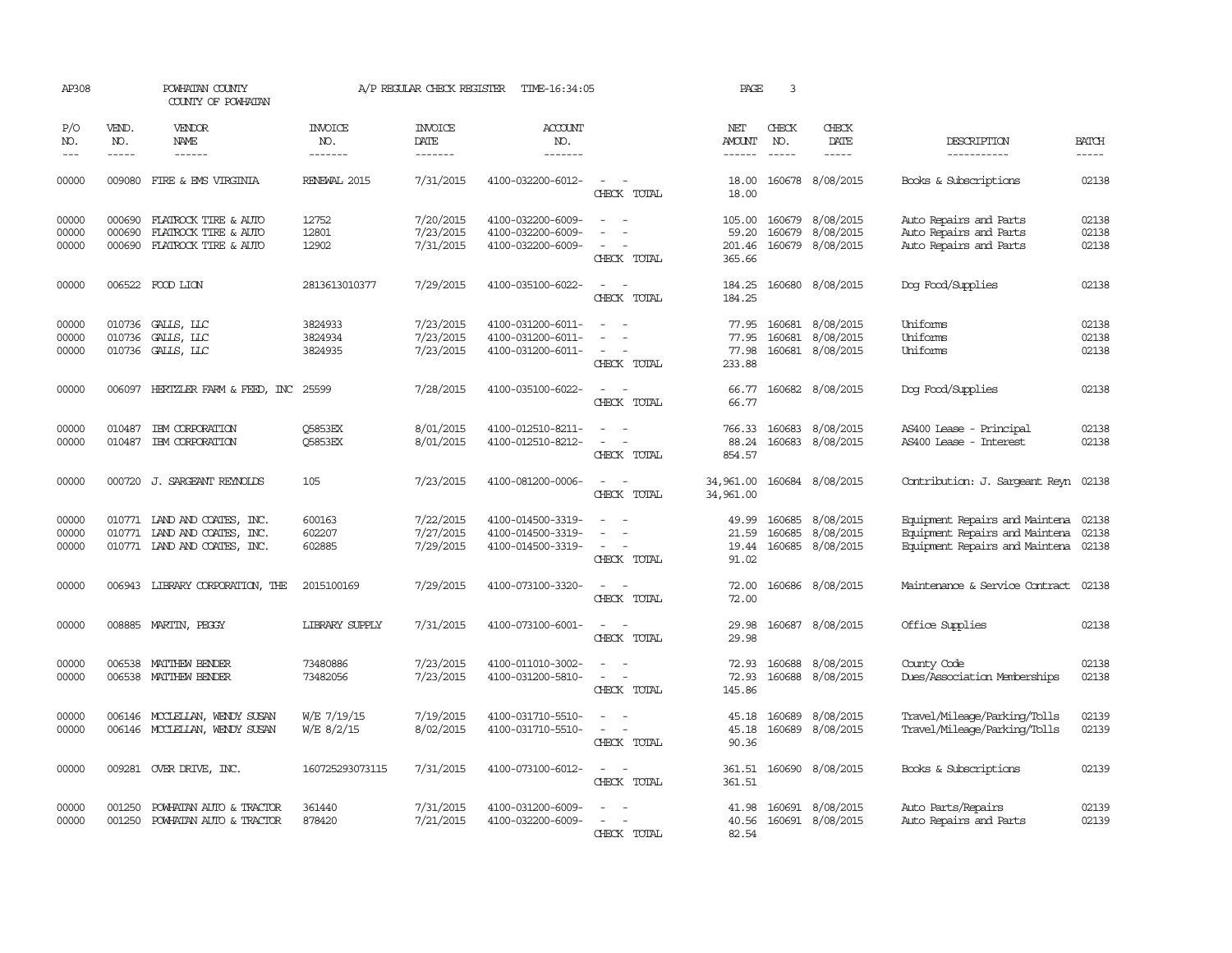| AP308          |                  | POWHATAN COUNTY<br>COUNTY OF POWHATAN        |                       | A/P REGULAR CHECK REGISTER | TIME-16:34:05                          |                                                                     | PAGE                   | 3                |                        |                                                  |                         |
|----------------|------------------|----------------------------------------------|-----------------------|----------------------------|----------------------------------------|---------------------------------------------------------------------|------------------------|------------------|------------------------|--------------------------------------------------|-------------------------|
| P/O<br>NO.     | VEND.<br>NO.     | <b>VENDOR</b><br>NAME                        | INVOICE<br>NO.        | <b>INVOICE</b><br>DATE     | ACCOUNT<br>NO.                         |                                                                     | NET<br>AMOUNT          | CHECK<br>NO.     | CHECK<br>DATE          | DESCRIPTION                                      | <b>BATCH</b>            |
| $\frac{1}{2}$  | $- - - - -$      | ------                                       | -------               | -------                    | -------                                |                                                                     | $- - - - - -$          | $\frac{1}{2}$    | -----                  | -----------                                      |                         |
| 00000          |                  | 009080 FIRE & EMS VIRGINIA                   | RENEWAL 2015          | 7/31/2015                  | 4100-032200-6012-                      | $\sim$ 100 $\mu$<br>$\sim$<br>CHECK TOTAL                           | 18.00<br>18.00         |                  | 160678 8/08/2015       | Books & Subscriptions                            | 02138                   |
| 00000<br>00000 | 000690<br>000690 | FLATROCK TIRE & AUTO<br>FLATROCK TIRE & AUTO | 12752<br>12801        | 7/20/2015<br>7/23/2015     | 4100-032200-6009-<br>4100-032200-6009- | $\overline{\phantom{a}}$                                            | 105.00<br>59.20        | 160679<br>160679 | 8/08/2015<br>8/08/2015 | Auto Repairs and Parts<br>Auto Repairs and Parts | 02138<br>02138<br>02138 |
| 00000          | 000690           | FLATROCK TIRE & AUTO                         | 12902                 | 7/31/2015                  | 4100-032200-6009-                      | CHECK TOTAL                                                         | 201.46<br>365.66       | 160679           | 8/08/2015              | Auto Repairs and Parts                           |                         |
| 00000          |                  | 006522 FOOD LION                             | 2813613010377         | 7/29/2015                  | 4100-035100-6022-                      | $\overline{\phantom{a}}$<br>$\sim$<br>CHECK TOTAL                   | 184.25<br>184.25       |                  | 160680 8/08/2015       | Dog Food/Supplies                                | 02138                   |
| 00000          |                  | 010736 GALLS, LLC                            | 3824933               | 7/23/2015                  | 4100-031200-6011-                      | $\overline{\phantom{a}}$                                            | 77.95                  | 160681           | 8/08/2015              | Uniforms                                         | 02138                   |
| 00000          | 010736           | GALLS, LLC                                   | 3824934               | 7/23/2015                  | 4100-031200-6011-                      |                                                                     | 77.95                  | 160681           | 8/08/2015              | Uniforms                                         | 02138                   |
| 00000          |                  | 010736 GALLS, LLC                            | 3824935               | 7/23/2015                  | 4100-031200-6011-                      | CHECK TOTAL                                                         | 77.98<br>233.88        |                  | 160681 8/08/2015       | Uniforms                                         | 02138                   |
| 00000          |                  | 006097 HERTZLER FARM & FEED, INC 25599       |                       | 7/28/2015                  | 4100-035100-6022-                      | CHECK TOTAL                                                         | 66.77<br>66.77         |                  | 160682 8/08/2015       | Dog Food/Supplies                                | 02138                   |
| 00000          | 010487           | IBM CORPORATION                              | <b>O5853EX</b>        | 8/01/2015                  | 4100-012510-8211-                      |                                                                     | 766.33                 | 160683           | 8/08/2015              | AS400 Lease - Principal                          | 02138                   |
| 00000          |                  | 010487 IBM CORPORATION                       | <b>O5853EX</b>        | 8/01/2015                  | 4100-012510-8212-                      | $\overline{\phantom{a}}$<br>CHECK TOTAL                             | 88.24<br>854.57        |                  | 160683 8/08/2015       | AS400 Lease - Interest                           | 02138                   |
| 00000          |                  | 000720 J. SARGEANT REYNOLDS                  | 105                   | 7/23/2015                  | 4100-081200-0006-                      | $\sim$<br>$\overline{\phantom{a}}$<br>CHECK TOTAL                   | 34,961.00<br>34,961.00 |                  | 160684 8/08/2015       | Contribution: J. Sargeant Reyn                   | 02138                   |
| 00000          |                  | 010771 IAND AND COATES, INC.                 | 600163                | 7/22/2015                  | 4100-014500-3319-                      |                                                                     | 49.99                  | 160685           | 8/08/2015              | Equipment Repairs and Maintena 02138             |                         |
| 00000          |                  | 010771 LAND AND COATES, INC.                 | 602207                | 7/27/2015                  | 4100-014500-3319-                      |                                                                     | 21.59                  | 160685           | 8/08/2015              | Equipment Repairs and Maintena                   | 02138                   |
| 00000          |                  | 010771 LAND AND COATES, INC.                 | 602885                | 7/29/2015                  | 4100-014500-3319-                      | $\sim$<br>CHECK TOTAL                                               | 19.44<br>91.02         |                  | 160685 8/08/2015       | Equipment Repairs and Maintena 02138             |                         |
| 00000          |                  | 006943 LIBRARY CORPORATION, THE              | 2015100169            | 7/29/2015                  | 4100-073100-3320-                      | $\sim$ $\sim$<br>CHECK TOTAL                                        | 72.00<br>72.00         |                  | 160686 8/08/2015       | Maintenance & Service Contract                   | 02138                   |
| 00000          |                  | 008885 MARTIN, PEGGY                         | <b>LIBRARY SUPPLY</b> | 7/31/2015                  | 4100-073100-6001-                      | $\sim$ $\sim$                                                       | 29.98                  |                  | 160687 8/08/2015       | Office Supplies                                  | 02138                   |
|                |                  |                                              |                       |                            |                                        | CHECK TOTAL                                                         | 29.98                  |                  |                        |                                                  |                         |
| 00000          |                  | 006538 MATTHEW BENDER                        | 73480886              | 7/23/2015                  | 4100-011010-3002-                      |                                                                     | 72.93                  | 160688           | 8/08/2015              | County Code                                      | 02138                   |
| 00000          |                  | 006538 MATTHEW BENDER                        | 73482056              | 7/23/2015                  | 4100-031200-5810-                      | CHECK TOTAL                                                         | 72.93<br>145.86        | 160688           | 8/08/2015              | Dues/Association Memberships                     | 02138                   |
| 00000          |                  | 006146 MCCLELLAN, WENDY SUSAN                | W/E 7/19/15           | 7/19/2015                  | 4100-031710-5510-                      |                                                                     | 45.18                  | 160689           | 8/08/2015              | Travel/Mileage/Parking/Tolls                     | 02139                   |
| 00000          |                  | 006146 MCCLELLAN, WENDY SUSAN                | W/E 8/2/15            | 8/02/2015                  | 4100-031710-5510-                      | $\overline{\phantom{a}}$<br>$\overline{\phantom{a}}$<br>CHECK TOTAL | 45.18<br>90.36         |                  | 160689 8/08/2015       | Travel/Mileage/Parking/Tolls                     | 02139                   |
| 00000          |                  | 009281 OVER DRIVE, INC.                      | 160725293073115       | 7/31/2015                  | 4100-073100-6012-                      | $\sim$ $ \sim$<br>CHECK TOTAL                                       | 361.51<br>361.51       |                  | 160690 8/08/2015       | Books & Subscriptions                            | 02139                   |
| 00000          | 001250           | POWHATAN AUTO & TRACTOR                      | 361440                | 7/31/2015                  | 4100-031200-6009-                      |                                                                     | 41.98                  |                  | 160691 8/08/2015       | Auto Parts/Repairs                               | 02139                   |
| 00000          | 001250           | POWHATAN AUTO & TRACTOR                      | 878420                | 7/21/2015                  | 4100-032200-6009-                      | $\overline{\phantom{a}}$<br>CHECK TOTAL                             | 40.56<br>82.54         |                  | 160691 8/08/2015       | Auto Repairs and Parts                           | 02139                   |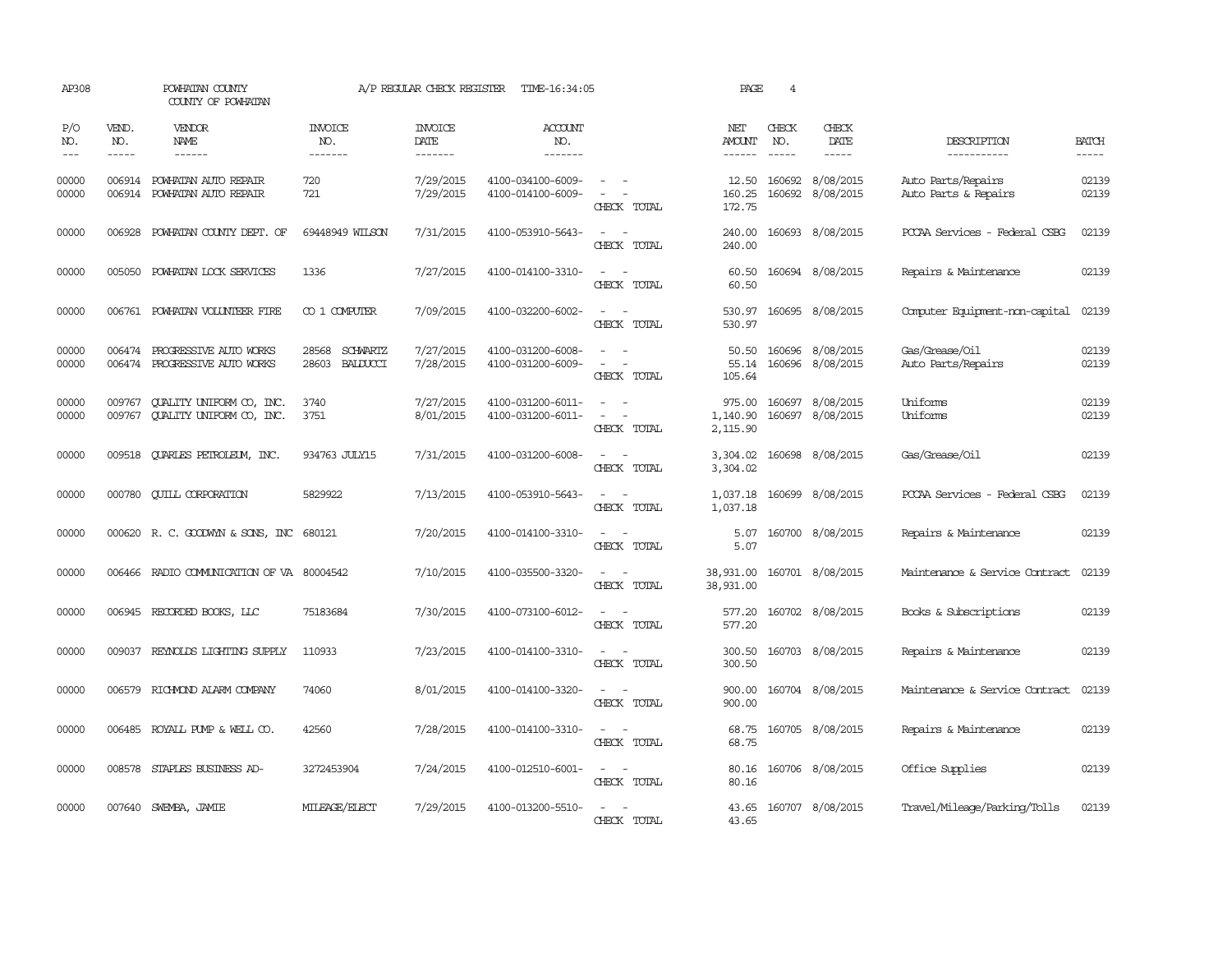| AP308               |                             | POWHATAN COUNTY<br>COUNTY OF POWHATAN                       |                                        | A/P REGULAR CHECK REGISTER        | TIME-16:34:05                          |                                                                                                                             | PAGE                           | 4            |                                             |                                            |                       |
|---------------------|-----------------------------|-------------------------------------------------------------|----------------------------------------|-----------------------------------|----------------------------------------|-----------------------------------------------------------------------------------------------------------------------------|--------------------------------|--------------|---------------------------------------------|--------------------------------------------|-----------------------|
| P/O<br>NO.<br>$---$ | VEND.<br>NO.<br>$- - - - -$ | <b>VENDOR</b><br>NAME<br>$- - - - - -$                      | <b>INVOICE</b><br>NO.<br>-------       | <b>INVOICE</b><br>DATE<br>------- | <b>ACCOUNT</b><br>NO.<br>-------       |                                                                                                                             | NET<br>AMOUNT<br>$- - - - - -$ | CHECK<br>NO. | CHECK<br>DATE<br>$- - - - -$                | DESCRIPTION<br>-----------                 | <b>BATCH</b><br>----- |
| 00000<br>00000      |                             | 006914 POWHATAN AUTO REPAIR<br>006914 POWHATAN AUTO REPAIR  | 720<br>721                             | 7/29/2015<br>7/29/2015            | 4100-034100-6009-<br>4100-014100-6009- | $\sim$<br>$\sim$ $-$<br>$\overline{a}$<br>CHECK TOTAL                                                                       | 12.50<br>160.25<br>172.75      |              | 160692 8/08/2015<br>160692 8/08/2015        | Auto Parts/Repairs<br>Auto Parts & Repairs | 02139<br>02139        |
| 00000               |                             | 006928 POWHATAN COUNTY DEPT. OF                             | 69448949 WILSON                        | 7/31/2015                         | 4100-053910-5643-                      | $\sim$<br>CHECK TOTAL                                                                                                       | 240.00<br>240.00               |              | 160693 8/08/2015                            | PCCAA Services - Federal CSBG              | 02139                 |
| 00000               | 005050                      | POWHATAN LOCK SERVICES                                      | 1336                                   | 7/27/2015                         | 4100-014100-3310-                      | CHECK TOTAL                                                                                                                 | 60.50<br>60.50                 |              | 160694 8/08/2015                            | Repairs & Maintenance                      | 02139                 |
| 00000               |                             | 006761 POWHATAN VOLUNTEER FIRE                              | CO 1 COMPUTER                          | 7/09/2015                         | 4100-032200-6002-                      | $\overline{\phantom{a}}$<br>$\sim$<br>CHECK TOTAL                                                                           | 530.97<br>530.97               |              | 160695 8/08/2015                            | Computer Equipment-non-capital             | 02139                 |
| 00000<br>00000      | 006474<br>006474            | PROGRESSIVE AUTO WORKS<br>PROGRESSIVE AUTO WORKS            | SCHWARTZ<br>28568<br>28603<br>BALDUCCI | 7/27/2015<br>7/28/2015            | 4100-031200-6008-<br>4100-031200-6009- | CHECK TOTAL                                                                                                                 | 50.50<br>105.64                |              | 160696 8/08/2015<br>55.14 160696 8/08/2015  | Gas/Grease/Oil<br>Auto Parts/Repairs       | 02139<br>02139        |
| 00000<br>00000      | 009767                      | QUALITY UNIFORM CO, INC.<br>009767 QUALITY UNIFORM CO, INC. | 3740<br>3751                           | 7/27/2015<br>8/01/2015            | 4100-031200-6011-<br>4100-031200-6011- | $\frac{1}{2} \left( \frac{1}{2} \right) \left( \frac{1}{2} \right) = \frac{1}{2} \left( \frac{1}{2} \right)$<br>CHECK TOTAL | 1,140.90<br>2,115.90           |              | 975.00 160697 8/08/2015<br>160697 8/08/2015 | Uniforms<br>Uniforms                       | 02139<br>02139        |
| 00000               |                             | 009518 QUARLES PETROLEUM, INC.                              | 934763 JULY15                          | 7/31/2015                         | 4100-031200-6008-                      | $\sim$<br>CHECK TOTAL                                                                                                       | 3,304.02<br>3,304.02           |              | 160698 8/08/2015                            | Gas/Grease/Oil                             | 02139                 |
| 00000               |                             | 000780 QUILL CORPORATION                                    | 5829922                                | 7/13/2015                         | 4100-053910-5643-                      | $\frac{1}{2} \left( \frac{1}{2} \right) \left( \frac{1}{2} \right) = \frac{1}{2} \left( \frac{1}{2} \right)$<br>CHECK TOTAL | 1,037.18                       |              | 1,037.18 160699 8/08/2015                   | PCCAA Services - Federal CSBG              | 02139                 |
| 00000               |                             | 000620 R.C. GOODWYN & SONS, INC 680121                      |                                        | 7/20/2015                         | 4100-014100-3310-                      | $\frac{1}{2} \left( \frac{1}{2} \right) \left( \frac{1}{2} \right) = \frac{1}{2} \left( \frac{1}{2} \right)$<br>CHECK TOTAL | 5.07<br>5.07                   |              | 160700 8/08/2015                            | Repairs & Maintenance                      | 02139                 |
| 00000               |                             | 006466 RADIO COMMUNICATION OF VA 80004542                   |                                        | 7/10/2015                         | 4100-035500-3320-                      | $\overline{\phantom{a}}$<br>CHECK TOTAL                                                                                     | 38,931.00<br>38,931.00         |              | 160701 8/08/2015                            | Maintenance & Service Contract             | 02139                 |
| 00000               |                             | 006945 RECORDED BOOKS, LLC                                  | 75183684                               | 7/30/2015                         | 4100-073100-6012-                      | $\sim$<br>$\sim$<br>CHECK TOTAL                                                                                             | 577.20<br>577.20               |              | 160702 8/08/2015                            | Books & Subscriptions                      | 02139                 |
| 00000               | 009037                      | REYNOLDS LIGHTING SUPPLY                                    | 110933                                 | 7/23/2015                         | 4100-014100-3310-                      | $\frac{1}{2} \left( \frac{1}{2} \right) \left( \frac{1}{2} \right) = \frac{1}{2} \left( \frac{1}{2} \right)$<br>CHECK TOTAL | 300.50<br>300.50               |              | 160703 8/08/2015                            | Repairs & Maintenance                      | 02139                 |
| 00000               | 006579                      | RICHMOND ALARM COMPANY                                      | 74060                                  | 8/01/2015                         | 4100-014100-3320-                      | $\overline{\phantom{a}}$<br>$\sim$<br>CHECK TOTAL                                                                           | 900.00<br>900.00               |              | 160704 8/08/2015                            | Maintenance & Service Contract             | 02139                 |
| 00000               |                             | 006485 ROYALL PUMP & WELL CO.                               | 42560                                  | 7/28/2015                         | 4100-014100-3310-                      | $\frac{1}{2} \left( \frac{1}{2} \right) \left( \frac{1}{2} \right) = \frac{1}{2} \left( \frac{1}{2} \right)$<br>CHECK TOTAL | 68.75<br>68.75                 |              | 160705 8/08/2015                            | Repairs & Maintenance                      | 02139                 |
| 00000               |                             | 008578 STAPLES BUSINESS AD-                                 | 3272453904                             | 7/24/2015                         | 4100-012510-6001-                      | $ -$<br>CHECK TOTAL                                                                                                         | 80.16<br>80.16                 |              | 160706 8/08/2015                            | Office Supplies                            | 02139                 |
| 00000               |                             | 007640 SWEMBA, JAMIE                                        | MILEAGE/ELECT                          | 7/29/2015                         | 4100-013200-5510-                      | CHECK TOTAL                                                                                                                 | 43.65<br>43.65                 |              | 160707 8/08/2015                            | Travel/Mileage/Parking/Tolls               | 02139                 |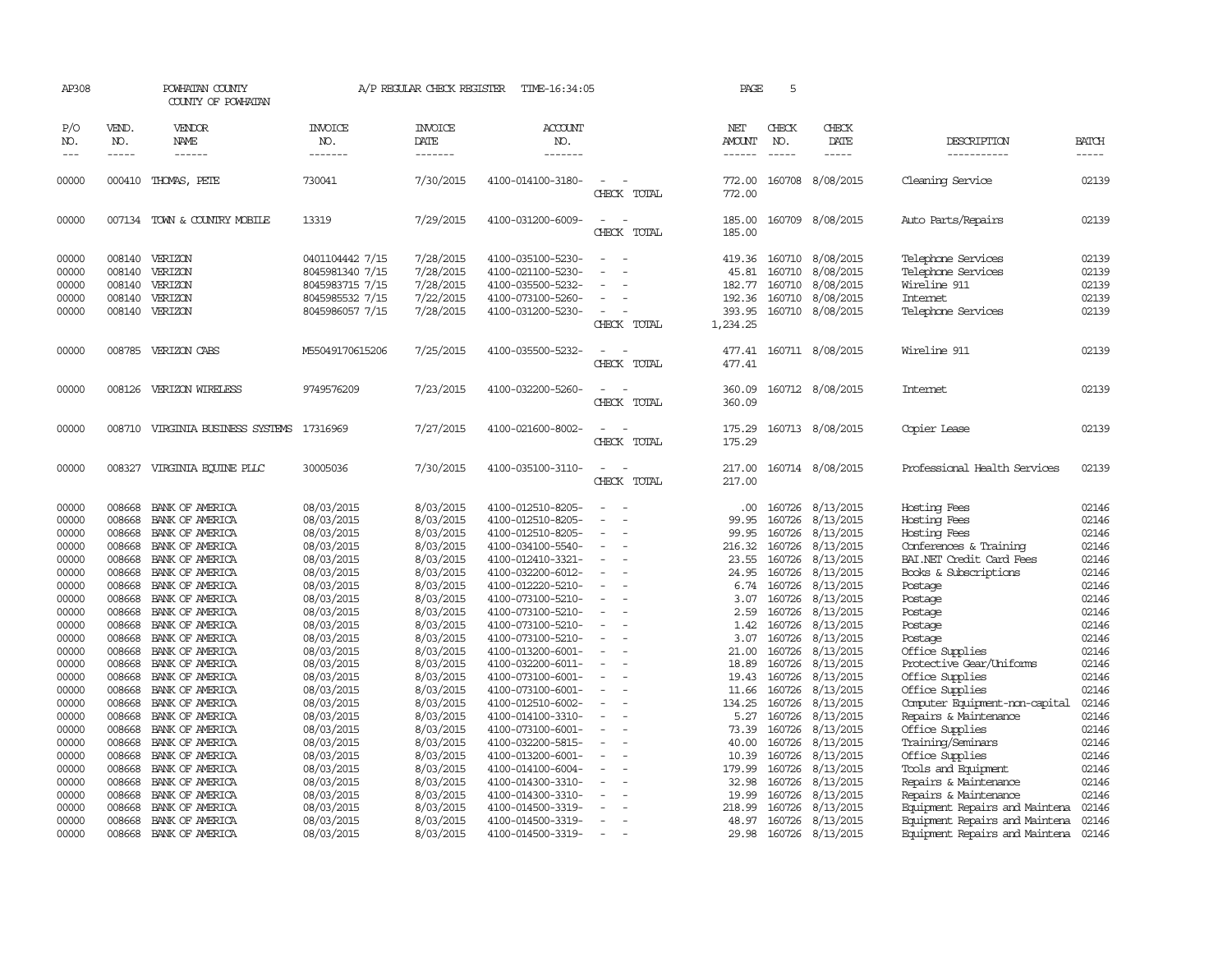| AP308                                     |                             | POWHATAN COUNTY<br>COUNTY OF POWHATAN                             |                                                                                             | A/P REGULAR CHECK REGISTER                                    | TIME-16:34:05                                                                                         |                                                | PAGE                                            | 5                          |                                                                                    |                                                                                                   |                                           |
|-------------------------------------------|-----------------------------|-------------------------------------------------------------------|---------------------------------------------------------------------------------------------|---------------------------------------------------------------|-------------------------------------------------------------------------------------------------------|------------------------------------------------|-------------------------------------------------|----------------------------|------------------------------------------------------------------------------------|---------------------------------------------------------------------------------------------------|-------------------------------------------|
| P/O<br>NO.<br>$---$                       | VEND.<br>NO.<br>$- - - - -$ | VENDOR<br>NAME<br>------                                          | <b>INVOICE</b><br>NO.<br>-------                                                            | <b>INVOICE</b><br>DATE<br>-------                             | <b>ACCOUNT</b><br>NO.<br>-------                                                                      |                                                | <b>NET</b><br><b>AMOUNT</b>                     | CHECK<br>NO.               | CHECK<br>DATE<br>-----                                                             | DESCRIPTION<br>-----------                                                                        | <b>BATCH</b><br>-----                     |
| 00000                                     |                             | 000410 THOMAS, PETE                                               | 730041                                                                                      | 7/30/2015                                                     | 4100-014100-3180-                                                                                     | $\overline{\phantom{a}}$<br>CHECK TOTAL        | 772.00<br>772.00                                |                            | 160708 8/08/2015                                                                   | Cleaning Service                                                                                  | 02139                                     |
| 00000                                     |                             | 007134 TOWN & COUNTRY MOBILE                                      | 13319                                                                                       | 7/29/2015                                                     | 4100-031200-6009-                                                                                     | $\equiv$<br>CHECK TOTAL                        | 185.00<br>185.00                                |                            | 160709 8/08/2015                                                                   | Auto Parts/Repairs                                                                                | 02139                                     |
| 00000<br>00000<br>00000<br>00000<br>00000 | 008140<br>008140<br>008140  | 008140 VERIZON<br>VERIZON<br>VERIZON<br>VERIZON<br>008140 VERIZON | 0401104442 7/15<br>8045981340 7/15<br>8045983715 7/15<br>8045985532 7/15<br>8045986057 7/15 | 7/28/2015<br>7/28/2015<br>7/28/2015<br>7/22/2015<br>7/28/2015 | 4100-035100-5230-<br>4100-021100-5230-<br>4100-035500-5232-<br>4100-073100-5260-<br>4100-031200-5230- | $\equiv$<br>$\equiv$<br>$\sim$<br>CHECK TOTAL  | 45.81<br>182.77<br>192.36<br>393.95<br>1,234.25 | 160710<br>160710<br>160710 | 419.36 160710 8/08/2015<br>8/08/2015<br>8/08/2015<br>8/08/2015<br>160710 8/08/2015 | Telephone Services<br>Telephone Services<br>Wireline 911<br><b>Internet</b><br>Telephone Services | 02139<br>02139<br>02139<br>02139<br>02139 |
| 00000                                     |                             | 008785 VERIZON CABS                                               | M55049170615206                                                                             | 7/25/2015                                                     | 4100-035500-5232-                                                                                     | CHECK TOTAL                                    | 477.41<br>477.41                                |                            | 160711 8/08/2015                                                                   | Wireline 911                                                                                      | 02139                                     |
| 00000                                     | 008126                      | VERIZON WIRELESS                                                  | 9749576209                                                                                  | 7/23/2015                                                     | 4100-032200-5260-                                                                                     | CHECK TOTAL                                    | 360.09<br>360.09                                |                            | 160712 8/08/2015                                                                   | Internet                                                                                          | 02139                                     |
| 00000                                     |                             | 008710 VIRGINIA BUSINESS SYSTEMS 17316969                         |                                                                                             | 7/27/2015                                                     | 4100-021600-8002-                                                                                     | CHECK TOTAL                                    | 175.29<br>175.29                                |                            | 160713 8/08/2015                                                                   | Copier Lease                                                                                      | 02139                                     |
| 00000                                     | 008327                      | VIRGINIA EQUINE PLLC                                              | 30005036                                                                                    | 7/30/2015                                                     | 4100-035100-3110-                                                                                     | $\sim$<br>CHECK TOTAL                          | 217.00<br>217.00                                |                            | 160714 8/08/2015                                                                   | Professional Health Services                                                                      | 02139                                     |
| 00000<br>00000<br>00000                   | 008668<br>008668<br>008668  | BANK OF AMERICA<br>BANK OF AMERICA<br>BANK OF AMERICA             | 08/03/2015<br>08/03/2015<br>08/03/2015                                                      | 8/03/2015<br>8/03/2015<br>8/03/2015                           | 4100-012510-8205-<br>4100-012510-8205-<br>4100-012510-8205-                                           | $\equiv$                                       | .00<br>99.95<br>99.95                           | 160726<br>160726           | 160726 8/13/2015<br>8/13/2015<br>8/13/2015                                         | Hosting Fees<br>Hosting Fees<br>Hosting Fees                                                      | 02146<br>02146<br>02146                   |
| 00000<br>00000<br>00000                   | 008668<br>008668<br>008668  | BANK OF AMERICA<br>BANK OF AMERICA<br>BANK OF AMERICA             | 08/03/2015<br>08/03/2015<br>08/03/2015                                                      | 8/03/2015<br>8/03/2015<br>8/03/2015                           | 4100-034100-5540-<br>4100-012410-3321-<br>4100-032200-6012-                                           | $\sim$<br>$\sim$                               | 216.32<br>23.55<br>24.95                        | 160726<br>160726<br>160726 | 8/13/2015<br>8/13/2015<br>8/13/2015                                                | Conferences & Training<br>BAI.NET Credit Card Fees<br>Books & Subscriptions                       | 02146<br>02146<br>02146                   |
| 00000<br>00000<br>00000                   | 008668<br>008668<br>008668  | BANK OF AMERICA<br>BANK OF AMERICA<br>BANK OF AMERICA             | 08/03/2015<br>08/03/2015<br>08/03/2015                                                      | 8/03/2015<br>8/03/2015<br>8/03/2015                           | 4100-012220-5210-<br>4100-073100-5210-<br>4100-073100-5210-                                           |                                                | 6.74<br>3.07<br>2.59                            | 160726<br>160726<br>160726 | 8/13/2015<br>8/13/2015<br>8/13/2015                                                | Postage<br>Postage<br>Postage                                                                     | 02146<br>02146<br>02146                   |
| 00000<br>00000<br>00000                   | 008668<br>008668<br>008668  | BANK OF AMERICA<br>BANK OF AMERICA<br>BANK OF AMERICA             | 08/03/2015<br>08/03/2015<br>08/03/2015                                                      | 8/03/2015<br>8/03/2015<br>8/03/2015                           | 4100-073100-5210-<br>4100-073100-5210-<br>4100-013200-6001-                                           | $\equiv$                                       | 1.42<br>3.07<br>21.00                           | 160726<br>160726<br>160726 | 8/13/2015<br>8/13/2015<br>8/13/2015                                                | Postage<br>Postage<br>Office Supplies                                                             | 02146<br>02146<br>02146                   |
| 00000<br>00000<br>00000                   | 008668<br>008668<br>008668  | BANK OF AMERICA<br>BANK OF AMERICA<br>BANK OF AMERICA             | 08/03/2015<br>08/03/2015<br>08/03/2015                                                      | 8/03/2015<br>8/03/2015<br>8/03/2015                           | 4100-032200-6011-<br>4100-073100-6001-<br>4100-073100-6001-                                           | $\equiv$                                       | 18.89<br>19.43<br>11.66                         | 160726<br>160726           | 160726 8/13/2015<br>8/13/2015<br>8/13/2015                                         | Protective Gear/Uniforms<br>Office Supplies<br>Office Supplies                                    | 02146<br>02146<br>02146                   |
| 00000<br>00000<br>00000                   | 008668<br>008668<br>008668  | BANK OF AMERICA<br>BANK OF AMERICA<br>BANK OF AMERICA             | 08/03/2015<br>08/03/2015<br>08/03/2015                                                      | 8/03/2015<br>8/03/2015<br>8/03/2015                           | 4100-012510-6002-<br>4100-014100-3310-<br>4100-073100-6001-                                           | $\sim$<br>$\overline{\phantom{a}}$<br>$\equiv$ | 134.25<br>5.27<br>73.39                         | 160726<br>160726<br>160726 | 8/13/2015<br>8/13/2015<br>8/13/2015                                                | Computer Equipment-non-capital<br>Repairs & Maintenance<br>Office Supplies                        | 02146<br>02146<br>02146                   |
| 00000<br>00000<br>00000                   | 008668<br>008668<br>008668  | BANK OF AMERICA<br>BANK OF AMERICA<br>BANK OF AMERICA             | 08/03/2015<br>08/03/2015<br>08/03/2015                                                      | 8/03/2015<br>8/03/2015<br>8/03/2015                           | 4100-032200-5815-<br>4100-013200-6001-<br>4100-014100-6004-                                           | $\sim$                                         | 40.00<br>10.39<br>179.99                        | 160726<br>160726           | 8/13/2015<br>160726 8/13/2015<br>8/13/2015                                         | Training/Seminars<br>Office Supplies<br>Tools and Equipment                                       | 02146<br>02146<br>02146                   |
| 00000<br>00000<br>00000                   | 008668<br>008668<br>008668  | BANK OF AMERICA<br>BANK OF AMERICA<br>BANK OF AMERICA             | 08/03/2015<br>08/03/2015<br>08/03/2015                                                      | 8/03/2015<br>8/03/2015<br>8/03/2015                           | 4100-014300-3310-<br>4100-014300-3310-<br>4100-014500-3319-                                           |                                                | 32.98<br>19.99<br>218.99                        | 160726<br>160726<br>160726 | 8/13/2015<br>8/13/2015<br>8/13/2015                                                | Repairs & Maintenance<br>Repairs & Maintenance<br>Equipment Repairs and Maintena                  | 02146<br>02146<br>02146                   |
| 00000<br>00000                            | 008668<br>008668            | BANK OF AMERICA<br>BANK OF AMERICA                                | 08/03/2015<br>08/03/2015                                                                    | 8/03/2015<br>8/03/2015                                        | 4100-014500-3319-<br>4100-014500-3319-                                                                | $\equiv$<br>$\sim$                             | 48.97<br>29.98                                  |                            | 160726 8/13/2015<br>160726 8/13/2015                                               | Equipment Repairs and Maintena<br>Equipment Repairs and Maintena                                  | 02146<br>02146                            |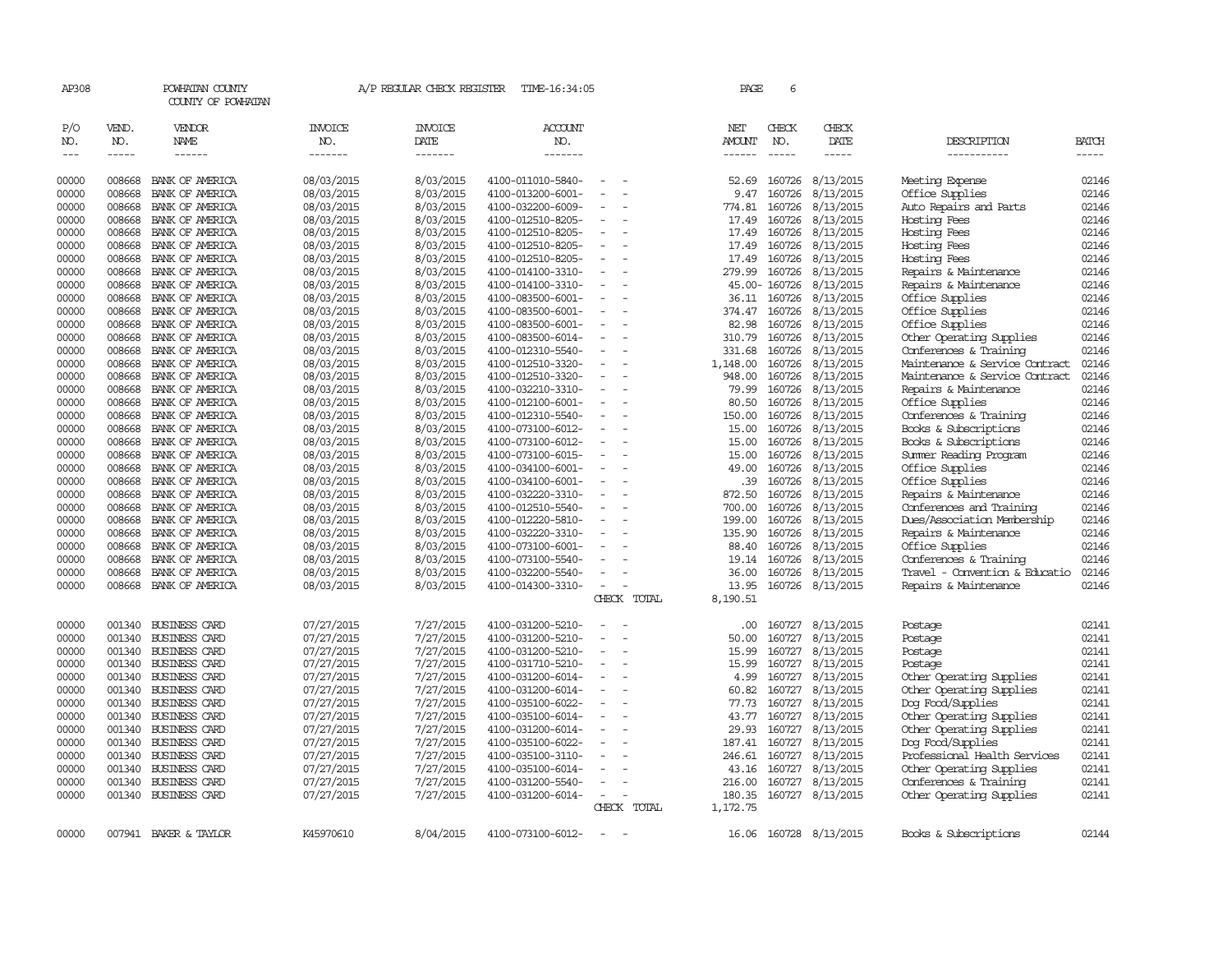| AP308               |                             | POWHATAN COUNTY<br>COUNTY OF POWHATAN |                                  | A/P REGULAR CHECK REGISTER        | TIME-16:34:05                          |             |  | PAGE                           | 6                           |                              |                                |                |
|---------------------|-----------------------------|---------------------------------------|----------------------------------|-----------------------------------|----------------------------------------|-------------|--|--------------------------------|-----------------------------|------------------------------|--------------------------------|----------------|
| P/O<br>NO.<br>$---$ | VEND.<br>NO.<br>$- - - - -$ | VENDOR<br>NAME<br>------              | <b>INVOICE</b><br>NO.<br>------- | <b>INVOICE</b><br>DATE<br>------- | ACCOUNT<br>NO.<br>-------              |             |  | NET<br>AMOUNT<br>$- - - - - -$ | CHECK<br>NO.<br>$- - - - -$ | CHECK<br>DATE<br>$- - - - -$ | DESCRIPTION<br>-----------     | BATCH<br>----- |
| 00000               | 008668                      | BANK OF AMERICA                       | 08/03/2015                       | 8/03/2015                         | 4100-011010-5840-                      |             |  | 52.69                          | 160726                      | 8/13/2015                    | Meeting Expense                | 02146          |
| 00000               | 008668                      | BANK OF AMERICA                       | 08/03/2015                       | 8/03/2015                         | 4100-013200-6001-                      |             |  | 9.47                           | 160726                      | 8/13/2015                    | Office Supplies                | 02146<br>02146 |
| 00000<br>00000      | 008668                      | BANK OF AMERICA                       | 08/03/2015                       | 8/03/2015                         | 4100-032200-6009-                      |             |  | 774.81                         | 160726                      | 8/13/2015                    | Auto Repairs and Parts         | 02146          |
| 00000               | 008668<br>008668            | BANK OF AMERICA<br>BANK OF AMERICA    | 08/03/2015<br>08/03/2015         | 8/03/2015<br>8/03/2015            | 4100-012510-8205-<br>4100-012510-8205- |             |  | 17.49<br>17.49                 | 160726<br>160726            | 8/13/2015<br>8/13/2015       | Hosting Fees<br>Hosting Fees   | 02146          |
| 00000               | 008668                      | BANK OF AMERICA                       | 08/03/2015                       | 8/03/2015                         | 4100-012510-8205-                      |             |  | 17.49                          | 160726                      | 8/13/2015                    | Hosting Fees                   | 02146          |
| 00000               | 008668                      | BANK OF AMERICA                       | 08/03/2015                       | 8/03/2015                         | 4100-012510-8205-                      | $\equiv$    |  | 17.49                          |                             | 160726 8/13/2015             | Hosting Fees                   | 02146          |
| 00000               | 008668                      | BANK OF AMERICA                       | 08/03/2015                       | 8/03/2015                         | 4100-014100-3310-                      |             |  | 279.99                         | 160726                      | 8/13/2015                    | Repairs & Maintenance          | 02146          |
| 00000               | 008668                      | BANK OF AMERICA                       | 08/03/2015                       | 8/03/2015                         | 4100-014100-3310-                      |             |  |                                | 45.00-160726                | 8/13/2015                    | Repairs & Maintenance          | 02146          |
| 00000               | 008668                      | BANK OF AMERICA                       | 08/03/2015                       | 8/03/2015                         | 4100-083500-6001-                      |             |  | 36.11                          | 160726                      | 8/13/2015                    | Office Supplies                | 02146          |
| 00000               | 008668                      | BANK OF AMERICA                       | 08/03/2015                       | 8/03/2015                         | 4100-083500-6001-                      | $\equiv$    |  | 374.47                         |                             | 160726 8/13/2015             | Office Supplies                | 02146          |
| 00000               | 008668                      | BANK OF AMERICA                       | 08/03/2015                       | 8/03/2015                         | 4100-083500-6001-                      |             |  | 82.98                          | 160726                      | 8/13/2015                    | Office Supplies                | 02146          |
| 00000               | 008668                      | BANK OF AMERICA                       | 08/03/2015                       | 8/03/2015                         | 4100-083500-6014-                      |             |  | 310.79                         |                             | 160726 8/13/2015             | Other Operating Supplies       | 02146          |
| 00000               | 008668                      | BANK OF AMERICA                       | 08/03/2015                       | 8/03/2015                         | 4100-012310-5540-                      |             |  | 331.68                         |                             | 160726 8/13/2015             | Conferences & Training         | 02146          |
| 00000               | 008668                      | BANK OF AMERICA                       | 08/03/2015                       | 8/03/2015                         | 4100-012510-3320-                      | $\equiv$    |  | 1,148.00                       | 160726                      | 8/13/2015                    | Maintenance & Service Contract | 02146          |
| 00000               | 008668                      | BANK OF AMERICA                       | 08/03/2015                       | 8/03/2015                         | 4100-012510-3320-                      |             |  | 948.00                         | 160726                      | 8/13/2015                    | Maintenance & Service Contract | 02146          |
| 00000               | 008668                      | BANK OF AMERICA                       | 08/03/2015                       | 8/03/2015                         | 4100-032210-3310-                      |             |  | 79.99                          | 160726                      | 8/13/2015                    | Repairs & Maintenance          | 02146          |
| 00000               | 008668                      | BANK OF AMERICA                       | 08/03/2015                       | 8/03/2015                         | 4100-012100-6001-                      | $\equiv$    |  | 80.50                          |                             | 160726 8/13/2015             | Office Supplies                | 02146          |
| 00000               | 008668                      | BANK OF AMERICA                       | 08/03/2015                       | 8/03/2015                         | 4100-012310-5540-                      |             |  | 150.00                         | 160726                      | 8/13/2015                    | Conferences & Training         | 02146          |
| 00000               | 008668                      | BANK OF AMERICA                       | 08/03/2015                       | 8/03/2015                         | 4100-073100-6012-                      |             |  | 15.00                          | 160726                      | 8/13/2015                    | Books & Subscriptions          | 02146          |
| 00000               | 008668                      | BANK OF AMERICA                       | 08/03/2015                       | 8/03/2015                         | 4100-073100-6012-                      |             |  | 15.00                          | 160726                      | 8/13/2015                    | Books & Subscriptions          | 02146          |
| 00000               | 008668                      | BANK OF AMERICA                       | 08/03/2015                       | 8/03/2015                         | 4100-073100-6015-                      | $\equiv$    |  | 15.00                          | 160726                      | 8/13/2015                    | Summer Reading Program         | 02146          |
| 00000               | 008668                      | BANK OF AMERICA                       | 08/03/2015                       | 8/03/2015                         | 4100-034100-6001-                      |             |  | 49.00                          | 160726                      | 8/13/2015                    | Office Supplies                | 02146          |
| 00000               | 008668                      | BANK OF AMERICA                       | 08/03/2015                       | 8/03/2015                         | 4100-034100-6001-                      |             |  | .39                            | 160726                      | 8/13/2015                    | Office Supplies                | 02146          |
| 00000               | 008668                      | BANK OF AMERICA                       | 08/03/2015                       | 8/03/2015                         | 4100-032220-3310-                      |             |  | 872.50                         | 160726                      | 8/13/2015                    | Repairs & Maintenance          | 02146          |
| 00000               | 008668                      | BANK OF AMERICA                       | 08/03/2015                       | 8/03/2015                         | 4100-012510-5540-                      |             |  | 700.00                         | 160726                      | 8/13/2015                    | Conferences and Training       | 02146          |
| 00000               | 008668                      | BANK OF AMERICA                       | 08/03/2015                       | 8/03/2015                         | 4100-012220-5810-                      |             |  | 199.00                         | 160726                      | 8/13/2015                    | Dues/Association Membership    | 02146          |
| 00000               | 008668                      | BANK OF AMERICA                       | 08/03/2015                       | 8/03/2015                         | 4100-032220-3310-                      |             |  | 135.90                         | 160726                      | 8/13/2015                    | Repairs & Maintenance          | 02146          |
| 00000               | 008668                      | BANK OF AMERICA                       | 08/03/2015                       | 8/03/2015                         | 4100-073100-6001-                      |             |  | 88.40                          | 160726                      | 8/13/2015                    | Office Supplies                | 02146          |
| 00000               | 008668                      | BANK OF AMERICA                       | 08/03/2015                       | 8/03/2015                         | 4100-073100-5540-                      |             |  | 19.14                          | 160726                      | 8/13/2015                    | Conferences & Training         | 02146          |
| 00000               | 008668                      | BANK OF AMERICA                       | 08/03/2015                       | 8/03/2015                         | 4100-032200-5540-                      |             |  | 36.00                          | 160726                      | 8/13/2015                    | Travel - Convention & Educatio | 02146          |
| 00000               | 008668                      | BANK OF AMERICA                       | 08/03/2015                       | 8/03/2015                         | 4100-014300-3310-                      | $\equiv$    |  | 13.95                          |                             | 160726 8/13/2015             | Repairs & Maintenance          | 02146          |
|                     |                             |                                       |                                  |                                   |                                        | CHECK TOTAL |  | 8,190.51                       |                             |                              |                                |                |
| 00000               | 001340                      | <b>BUSINESS CARD</b>                  | 07/27/2015                       | 7/27/2015                         | 4100-031200-5210-                      |             |  | .00.                           |                             | 160727 8/13/2015             | Postage                        | 02141          |
| 00000               | 001340                      | <b>BUSINESS CARD</b>                  | 07/27/2015                       | 7/27/2015                         | 4100-031200-5210-                      |             |  | 50.00                          | 160727                      | 8/13/2015                    | Postage                        | 02141          |
| 00000               |                             | 001340 BUSINESS CARD                  | 07/27/2015                       | 7/27/2015                         | 4100-031200-5210-                      |             |  | 15.99                          |                             | 160727 8/13/2015             | Postage                        | 02141          |
| 00000               | 001340                      | <b>BUSINESS CARD</b>                  | 07/27/2015                       | 7/27/2015                         | 4100-031710-5210-                      |             |  | 15.99                          | 160727                      | 8/13/2015                    | Postage                        | 02141          |
| 00000               | 001340                      | BUSINESS CARD                         | 07/27/2015                       | 7/27/2015                         | 4100-031200-6014-                      |             |  | 4.99                           | 160727                      | 8/13/2015                    | Other Operating Supplies       | 02141          |
| 00000               | 001340                      | <b>BUSINESS CARD</b>                  | 07/27/2015                       | 7/27/2015                         | 4100-031200-6014-                      |             |  | 60.82                          | 160727                      | 8/13/2015                    | Other Operating Supplies       | 02141          |
| 00000               | 001340                      | <b>BUSINESS CARD</b>                  | 07/27/2015                       | 7/27/2015                         | 4100-035100-6022-                      |             |  | 77.73                          | 160727                      | 8/13/2015                    | Dog Food/Supplies              | 02141          |
| 00000               | 001340                      | <b>BUSINESS CARD</b>                  | 07/27/2015                       | 7/27/2015                         | 4100-035100-6014-                      |             |  | 43.77                          | 160727                      | 8/13/2015                    | Other Operating Supplies       | 02141          |
| 00000               | 001340                      | <b>BUSINESS CARD</b>                  | 07/27/2015                       | 7/27/2015                         | 4100-031200-6014-                      |             |  | 29.93                          |                             | 160727 8/13/2015             | Other Operating Supplies       | 02141          |
| 00000               | 001340                      | <b>BUSINESS CARD</b>                  | 07/27/2015                       | 7/27/2015                         | 4100-035100-6022-                      |             |  | 187.41                         |                             | 160727 8/13/2015             | Dog Food/Supplies              | 02141          |
| 00000               | 001340                      | <b>BUSINESS CARD</b>                  | 07/27/2015                       | 7/27/2015                         | 4100-035100-3110-                      |             |  | 246.61                         | 160727                      | 8/13/2015                    | Professional Health Services   | 02141          |
| 00000               | 001340                      | <b>BUSINESS CARD</b>                  | 07/27/2015                       | 7/27/2015                         | 4100-035100-6014-                      |             |  | 43.16                          | 160727                      | 8/13/2015                    | Other Operating Supplies       | 02141          |
| 00000               | 001340                      | BUSINESS CARD                         | 07/27/2015                       | 7/27/2015                         | 4100-031200-5540-                      |             |  | 216.00                         |                             | 160727 8/13/2015             | Conferences & Training         | 02141          |
| 00000               |                             | 001340 BUSINESS CARD                  | 07/27/2015                       | 7/27/2015                         | 4100-031200-6014-                      | $\equiv$    |  | 180.35                         |                             | 160727 8/13/2015             | Other Operating Supplies       | 02141          |
|                     |                             |                                       |                                  |                                   |                                        | CHECK TOTAL |  | 1,172.75                       |                             |                              |                                |                |
| 00000               |                             | 007941 BAKER & TAYLOR                 | K45970610                        | 8/04/2015                         | 4100-073100-6012-                      |             |  | 16.06                          |                             | 160728 8/13/2015             | Books & Subscriptions          | 02144          |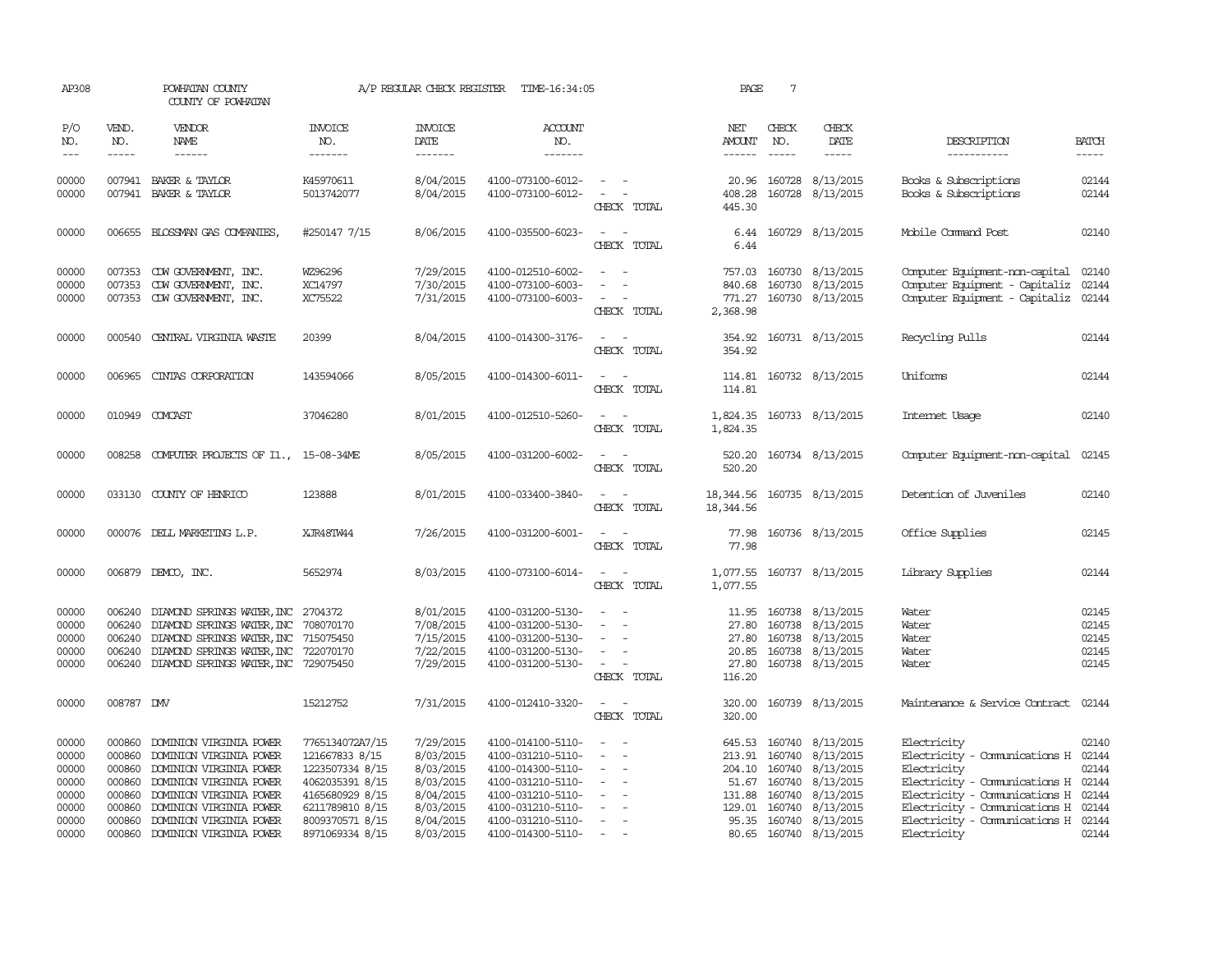| AP308                                                                |                                                                              | POWHATAN COUNTY<br>COUNTY OF POWHATAN                                                                                                                                                                                |                                                                                                                                                     | A/P REGULAR CHECK REGISTER                                                                           | TIME-16:34:05                                                                                                                                                        |                                                                                                                                          | PAGE                                          | $7\phantom{.0}$                                      |                                                                                                                                        |                                                                                                                                                                                                                              |                                                    |
|----------------------------------------------------------------------|------------------------------------------------------------------------------|----------------------------------------------------------------------------------------------------------------------------------------------------------------------------------------------------------------------|-----------------------------------------------------------------------------------------------------------------------------------------------------|------------------------------------------------------------------------------------------------------|----------------------------------------------------------------------------------------------------------------------------------------------------------------------|------------------------------------------------------------------------------------------------------------------------------------------|-----------------------------------------------|------------------------------------------------------|----------------------------------------------------------------------------------------------------------------------------------------|------------------------------------------------------------------------------------------------------------------------------------------------------------------------------------------------------------------------------|----------------------------------------------------|
| P/O<br>NO.<br>$\frac{1}{2}$                                          | VEND.<br>NO.<br>-----                                                        | VENDOR<br><b>NAME</b>                                                                                                                                                                                                | <b>INVOICE</b><br>NO.<br>-------                                                                                                                    | <b>INVOICE</b><br>DATE<br>-------                                                                    | <b>ACCOUNT</b><br>NO.<br>-------                                                                                                                                     |                                                                                                                                          | NET<br>AMOUNT                                 | CHECK<br>NO.<br>$\frac{1}{2}$                        | CHECK<br>DATE<br>-----                                                                                                                 | DESCRIPTION<br>-----------                                                                                                                                                                                                   | <b>BATCH</b><br>$- - - - -$                        |
| 00000<br>00000                                                       |                                                                              | 007941 BAKER & TAYLOR<br>007941 BAKER & TAYLOR                                                                                                                                                                       | K45970611<br>5013742077                                                                                                                             | 8/04/2015<br>8/04/2015                                                                               | 4100-073100-6012-<br>4100-073100-6012-                                                                                                                               | $\sim$ 100 $\sim$ 100 $\sim$<br>$\sim$ 100 $\sim$ 100 $\sim$<br>CHECK TOTAL                                                              | 408.28<br>445.30                              |                                                      | 20.96 160728 8/13/2015<br>160728 8/13/2015                                                                                             | Books & Subscriptions<br>Books & Subscriptions                                                                                                                                                                               | 02144<br>02144                                     |
| 00000                                                                |                                                                              | 006655 BLOSSMAN GAS COMPANIES,                                                                                                                                                                                       | #250147 7/15                                                                                                                                        | 8/06/2015                                                                                            | 4100-035500-6023-                                                                                                                                                    | $\overline{\phantom{a}}$<br>$\overline{\phantom{a}}$<br>CHECK TOTAL                                                                      | 6.44<br>6.44                                  |                                                      | 160729 8/13/2015                                                                                                                       | Mobile Command Post                                                                                                                                                                                                          | 02140                                              |
| 00000<br>00000<br>00000                                              | 007353                                                                       | CDW GOVERNMENT, INC.<br>007353 CDW GOVERNMENT, INC.<br>007353 CDW GOVERNMENT, INC.                                                                                                                                   | WZ96296<br>XC14797<br>XC75522                                                                                                                       | 7/29/2015<br>7/30/2015<br>7/31/2015                                                                  | 4100-012510-6002-<br>4100-073100-6003-<br>4100-073100-6003-                                                                                                          | $\sim$<br>CHECK TOTAL                                                                                                                    | 757.03<br>771.27<br>2,368.98                  |                                                      | 160730 8/13/2015<br>840.68 160730 8/13/2015<br>160730 8/13/2015                                                                        | Computer Equipment-non-capital<br>Computer Equipment - Capitaliz<br>Computer Equipment - Capitaliz                                                                                                                           | 02140<br>02144<br>02144                            |
| 00000                                                                |                                                                              | 000540 CENTRAL VIRGINIA WASTE                                                                                                                                                                                        | 20399                                                                                                                                               | 8/04/2015                                                                                            | 4100-014300-3176-                                                                                                                                                    | $\sim$ $\sim$<br>CHECK TOTAL                                                                                                             | 354.92                                        |                                                      | 354.92 160731 8/13/2015                                                                                                                | Recycling Pulls                                                                                                                                                                                                              | 02144                                              |
| 00000                                                                | 006965                                                                       | CINIAS CORPORATION                                                                                                                                                                                                   | 143594066                                                                                                                                           | 8/05/2015                                                                                            | 4100-014300-6011-                                                                                                                                                    | $\frac{1}{2} \left( \frac{1}{2} \right) \left( \frac{1}{2} \right) \left( \frac{1}{2} \right) \left( \frac{1}{2} \right)$<br>CHECK TOTAL | 114.81                                        |                                                      | 114.81 160732 8/13/2015                                                                                                                | Uniforms                                                                                                                                                                                                                     | 02144                                              |
| 00000                                                                |                                                                              | 010949 COMCAST                                                                                                                                                                                                       | 37046280                                                                                                                                            | 8/01/2015                                                                                            | 4100-012510-5260-                                                                                                                                                    | CHECK TOTAL                                                                                                                              | 1,824.35                                      |                                                      | 1,824.35 160733 8/13/2015                                                                                                              | Internet Usage                                                                                                                                                                                                               | 02140                                              |
| 00000                                                                | 008258                                                                       | COMPUTER PROJECTS OF I1., 15-08-34ME                                                                                                                                                                                 |                                                                                                                                                     | 8/05/2015                                                                                            | 4100-031200-6002-                                                                                                                                                    | $\overline{\phantom{a}}$<br>CHECK TOTAL                                                                                                  | 520.20<br>520.20                              |                                                      | 160734 8/13/2015                                                                                                                       | Computer Equipment-non-capital                                                                                                                                                                                               | 02145                                              |
| 00000                                                                |                                                                              | 033130 COUNTY OF HENRICO                                                                                                                                                                                             | 123888                                                                                                                                              | 8/01/2015                                                                                            | 4100-033400-3840-                                                                                                                                                    | $\overline{\phantom{a}}$<br>CHECK TOTAL                                                                                                  | 18,344.56<br>18,344.56                        |                                                      | 160735 8/13/2015                                                                                                                       | Detention of Juveniles                                                                                                                                                                                                       | 02140                                              |
| 00000                                                                |                                                                              | 000076 DELL MARKETING L.P.                                                                                                                                                                                           | XJR48TW44                                                                                                                                           | 7/26/2015                                                                                            | 4100-031200-6001-                                                                                                                                                    | $\sim$ $  -$<br>CHECK TOTAL                                                                                                              | 77.98<br>77.98                                |                                                      | 160736 8/13/2015                                                                                                                       | Office Supplies                                                                                                                                                                                                              | 02145                                              |
| 00000                                                                |                                                                              | 006879 DEMCO, INC.                                                                                                                                                                                                   | 5652974                                                                                                                                             | 8/03/2015                                                                                            | 4100-073100-6014-                                                                                                                                                    | CHECK TOTAL                                                                                                                              | 1,077.55                                      |                                                      | 1,077.55 160737 8/13/2015                                                                                                              | Library Supplies                                                                                                                                                                                                             | 02144                                              |
| 00000<br>00000<br>00000<br>00000<br>00000                            | 006240<br>006240<br>006240<br>006240                                         | DIAMOND SPRINGS WATER, INC 2704372<br>DIAMOND SPRINGS WATER, INC 708070170<br>DIAMOND SPRINGS WATER, INC 715075450<br>DIAMOND SPRINGS WATER, INC 722070170<br>006240 DIAMOND SPRINGS WATER, INC 729075450            |                                                                                                                                                     | 8/01/2015<br>7/08/2015<br>7/15/2015<br>7/22/2015<br>7/29/2015                                        | 4100-031200-5130-<br>4100-031200-5130-<br>4100-031200-5130-<br>4100-031200-5130-<br>4100-031200-5130-                                                                | $\overline{\phantom{a}}$<br>$\sim$<br>$\overline{\phantom{a}}$<br>CHECK TOTAL                                                            | 11.95<br>27.80<br>27.80<br>27.80<br>116.20    | 160738                                               | 160738 8/13/2015<br>8/13/2015<br>160738 8/13/2015<br>20.85 160738 8/13/2015<br>160738 8/13/2015                                        | Water<br>Water<br>Water<br>Water<br>Water                                                                                                                                                                                    | 02145<br>02145<br>02145<br>02145<br>02145          |
| 00000                                                                | 008787 DMV                                                                   |                                                                                                                                                                                                                      | 15212752                                                                                                                                            | 7/31/2015                                                                                            | 4100-012410-3320-                                                                                                                                                    | $\sim$ $\sim$<br>CHECK TOTAL                                                                                                             | 320.00<br>320.00                              |                                                      | 160739 8/13/2015                                                                                                                       | Maintenance & Service Contract                                                                                                                                                                                               | 02144                                              |
| 00000<br>00000<br>00000<br>00000<br>00000<br>00000<br>00000<br>00000 | 000860<br>000860<br>000860<br>000860<br>000860<br>000860<br>000860<br>000860 | DOMINION VIRGINIA POWER<br>DOMINION VIRGINIA POWER<br>DOMINION VIRGINIA POWER<br>DOMINION VIRGINIA POWER<br>DOMINION VIRGINIA POWER<br>DOMINION VIRGINIA POWER<br>DOMINION VIRGINIA POWER<br>DOMINION VIRGINIA POWER | 7765134072A7/15<br>121667833 8/15<br>1223507334 8/15<br>4062035391 8/15<br>4165680929 8/15<br>6211789810 8/15<br>8009370571 8/15<br>8971069334 8/15 | 7/29/2015<br>8/03/2015<br>8/03/2015<br>8/03/2015<br>8/04/2015<br>8/03/2015<br>8/04/2015<br>8/03/2015 | 4100-014100-5110-<br>4100-031210-5110-<br>4100-014300-5110-<br>4100-031210-5110-<br>4100-031210-5110-<br>4100-031210-5110-<br>4100-031210-5110-<br>4100-014300-5110- | $\equiv$<br>$\sim$<br>$\overline{\phantom{a}}$<br>$\overline{\phantom{a}}$                                                               | 213.91<br>204.10<br>131.88<br>129.01<br>95.35 | 160740<br>160740<br>51.67 160740<br>160740<br>160740 | 645.53 160740 8/13/2015<br>8/13/2015<br>8/13/2015<br>8/13/2015<br>8/13/2015<br>8/13/2015<br>160740 8/13/2015<br>80.65 160740 8/13/2015 | Electricity<br>Electricity - Comunications H<br>Electricity<br>Electricity - Communications H 02144<br>Electricity - Comunications H<br>Electricity - Comunications H<br>Electricity - Communications H 02144<br>Electricity | 02140<br>02144<br>02144<br>02144<br>02144<br>02144 |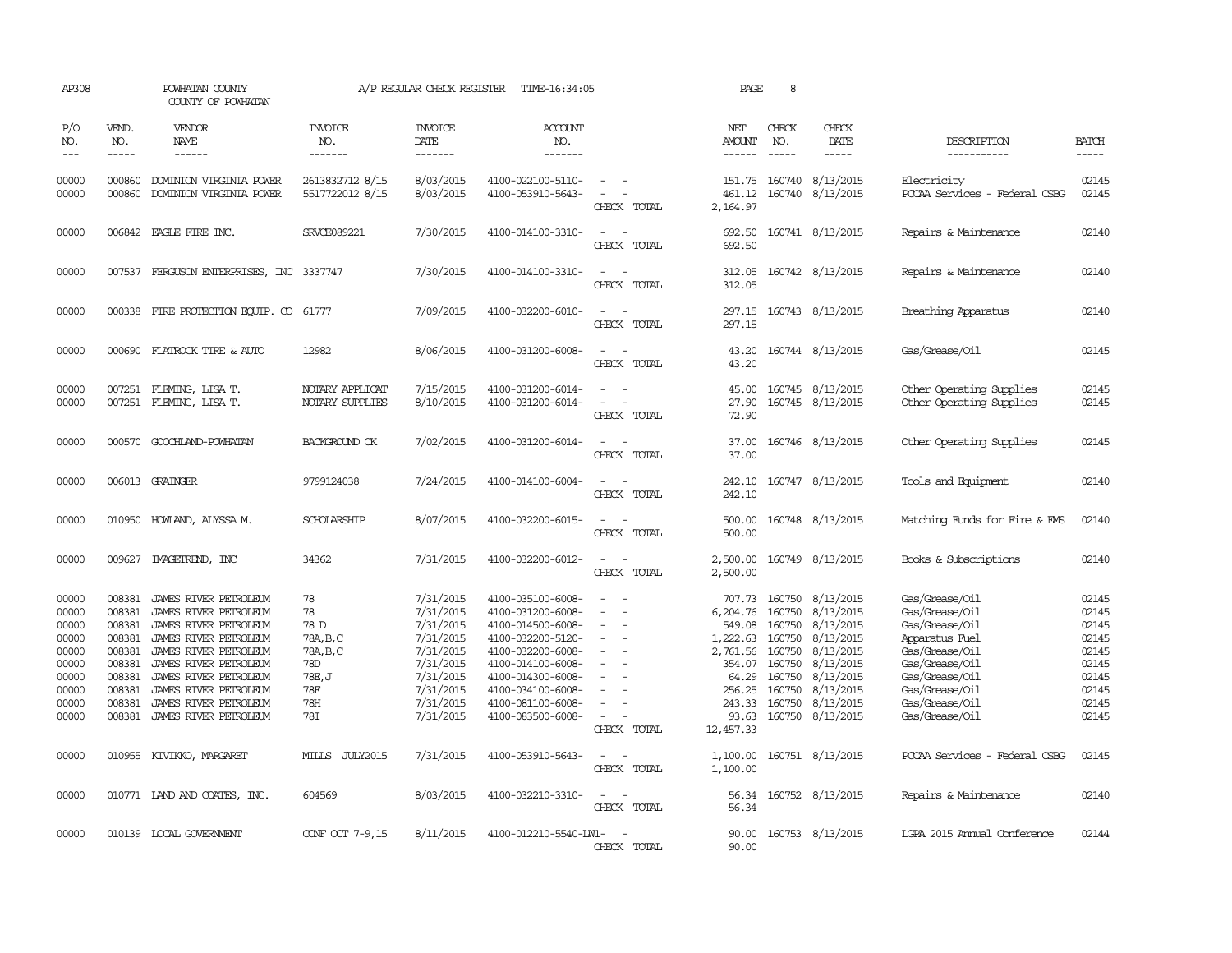| AP308                                                                                  |                                                                                                  | POWHATAN COUNTY<br>COUNTY OF POWHATAN                                                                                                                                                                                                                  |                                                                                  | A/P REGULAR CHECK REGISTER                                                                                                     | TIME-16:34:05                                                                                                                                                                                                  |                                                                                                                                               | PAGE                                                                                                              | 8                                                        |                                                                                                                                                            |                                                                                                                                                                                  |                                                                                        |
|----------------------------------------------------------------------------------------|--------------------------------------------------------------------------------------------------|--------------------------------------------------------------------------------------------------------------------------------------------------------------------------------------------------------------------------------------------------------|----------------------------------------------------------------------------------|--------------------------------------------------------------------------------------------------------------------------------|----------------------------------------------------------------------------------------------------------------------------------------------------------------------------------------------------------------|-----------------------------------------------------------------------------------------------------------------------------------------------|-------------------------------------------------------------------------------------------------------------------|----------------------------------------------------------|------------------------------------------------------------------------------------------------------------------------------------------------------------|----------------------------------------------------------------------------------------------------------------------------------------------------------------------------------|----------------------------------------------------------------------------------------|
| P/O<br>NO.<br>$\frac{1}{2}$                                                            | VEND.<br>NO.<br>$- - - - -$                                                                      | VENDOR<br><b>NAME</b><br>$- - - - - -$                                                                                                                                                                                                                 | <b>INVOICE</b><br>NO.<br>-------                                                 | <b>INVOICE</b><br>DATE<br>-------                                                                                              | ACCOUNT<br>NO.<br>-------                                                                                                                                                                                      |                                                                                                                                               | NET<br>AMOUNT<br>$- - - - - -$                                                                                    | CHECK<br>NO.<br>$- - - - -$                              | CHECK<br>DATE<br>$- - - - -$                                                                                                                               | DESCRIPTION<br>-----------                                                                                                                                                       | <b>BATCH</b><br>$- - - - -$                                                            |
| 00000<br>00000                                                                         | 000860<br>000860                                                                                 | DOMINION VIRGINIA POWER<br>DOMINION VIRGINIA POWER                                                                                                                                                                                                     | 2613832712 8/15<br>5517722012 8/15                                               | 8/03/2015<br>8/03/2015                                                                                                         | 4100-022100-5110-<br>4100-053910-5643-                                                                                                                                                                         | $\sim$ $-$<br>$\sim$<br>CHECK TOTAL                                                                                                           | 151.75<br>461.12<br>2,164.97                                                                                      | 160740                                                   | 160740 8/13/2015<br>8/13/2015                                                                                                                              | Electricity<br>PCCAA Services - Federal CSBG                                                                                                                                     | 02145<br>02145                                                                         |
| 00000                                                                                  |                                                                                                  | 006842 EAGLE FIRE INC.                                                                                                                                                                                                                                 | SRVCE089221                                                                      | 7/30/2015                                                                                                                      | 4100-014100-3310-                                                                                                                                                                                              | $ -$<br>CHECK TOTAL                                                                                                                           | 692.50<br>692.50                                                                                                  |                                                          | 160741 8/13/2015                                                                                                                                           | Repairs & Maintenance                                                                                                                                                            | 02140                                                                                  |
| 00000                                                                                  |                                                                                                  | 007537 FERGUSON ENTERPRISES, INC 3337747                                                                                                                                                                                                               |                                                                                  | 7/30/2015                                                                                                                      | 4100-014100-3310-                                                                                                                                                                                              | $\sim$<br>CHECK TOTAL                                                                                                                         | 312.05<br>312.05                                                                                                  |                                                          | 160742 8/13/2015                                                                                                                                           | Repairs & Maintenance                                                                                                                                                            | 02140                                                                                  |
| 00000                                                                                  |                                                                                                  | 000338 FIRE PROTECTION EQUIP. CO 61777                                                                                                                                                                                                                 |                                                                                  | 7/09/2015                                                                                                                      | 4100-032200-6010-                                                                                                                                                                                              | $\frac{1}{2} \left( \frac{1}{2} \right) \left( \frac{1}{2} \right) = \frac{1}{2} \left( \frac{1}{2} \right)$<br>CHECK TOTAL                   | 297.15<br>297.15                                                                                                  |                                                          | 160743 8/13/2015                                                                                                                                           | Breathing Apparatus                                                                                                                                                              | 02140                                                                                  |
| 00000                                                                                  |                                                                                                  | 000690 FLATROCK TIRE & AUTO                                                                                                                                                                                                                            | 12982                                                                            | 8/06/2015                                                                                                                      | 4100-031200-6008-                                                                                                                                                                                              | $\sim$<br>$\overline{\phantom{a}}$<br>CHECK TOTAL                                                                                             | 43.20<br>43.20                                                                                                    |                                                          | 160744 8/13/2015                                                                                                                                           | Gas/Grease/Oil                                                                                                                                                                   | 02145                                                                                  |
| 00000<br>00000                                                                         |                                                                                                  | 007251 FLEMING, LISA T.<br>007251 FLEMING, LISA T.                                                                                                                                                                                                     | NOTARY APPLICAT<br>NOTARY SUPPLIES                                               | 7/15/2015<br>8/10/2015                                                                                                         | 4100-031200-6014-<br>4100-031200-6014-                                                                                                                                                                         | $\overline{\phantom{a}}$<br>$\sim$<br>CHECK TOTAL                                                                                             | 45.00<br>27.90<br>72.90                                                                                           |                                                          | 160745 8/13/2015<br>160745 8/13/2015                                                                                                                       | Other Operating Supplies<br>Other Operating Supplies                                                                                                                             | 02145<br>02145                                                                         |
| 00000                                                                                  |                                                                                                  | 000570 GOOCHLAND-POWHATAN                                                                                                                                                                                                                              | <b>BACKGROUND CK</b>                                                             | 7/02/2015                                                                                                                      | 4100-031200-6014-                                                                                                                                                                                              | $\sim$<br>CHECK TOTAL                                                                                                                         | 37.00<br>37.00                                                                                                    |                                                          | 160746 8/13/2015                                                                                                                                           | Other Operating Supplies                                                                                                                                                         | 02145                                                                                  |
| 00000                                                                                  |                                                                                                  | 006013 GRAINGER                                                                                                                                                                                                                                        | 9799124038                                                                       | 7/24/2015                                                                                                                      | 4100-014100-6004-                                                                                                                                                                                              | $\equiv$<br>CHECK TOTAL                                                                                                                       | 242.10<br>242.10                                                                                                  |                                                          | 160747 8/13/2015                                                                                                                                           | Tools and Equipment                                                                                                                                                              | 02140                                                                                  |
| 00000                                                                                  | 010950                                                                                           | HOWLAND, ALYSSA M.                                                                                                                                                                                                                                     | SCHOLARSHIP                                                                      | 8/07/2015                                                                                                                      | 4100-032200-6015-                                                                                                                                                                                              | $\sim$ 100 $\sim$<br>CHECK TOTAL                                                                                                              | 500.00<br>500.00                                                                                                  |                                                          | 160748 8/13/2015                                                                                                                                           | Matching Funds for Fire & EMS                                                                                                                                                    | 02140                                                                                  |
| 00000                                                                                  | 009627                                                                                           | IMAGEIREND, INC                                                                                                                                                                                                                                        | 34362                                                                            | 7/31/2015                                                                                                                      | 4100-032200-6012-                                                                                                                                                                                              | $\overline{\phantom{a}}$<br>CHECK TOTAL                                                                                                       | 2,500.00<br>2,500.00                                                                                              |                                                          | 160749 8/13/2015                                                                                                                                           | Books & Subscriptions                                                                                                                                                            | 02140                                                                                  |
| 00000<br>00000<br>00000<br>00000<br>00000<br>00000<br>00000<br>00000<br>00000<br>00000 | 008381<br>008381<br>008381<br>008381<br>008381<br>008381<br>008381<br>008381<br>008381<br>008381 | JAMES RIVER PETROLEUM<br>JAMES RIVER PETROLEUM<br>JAMES RIVER PETROLEUM<br>JAMES RIVER PETROLEUM<br>JAMES RIVER PETROLEUM<br>JAMES RIVER PETROLEUM<br>JAMES RIVER PETROLEUM<br>JAMES RIVER PETROLEUM<br>JAMES RIVER PEIROLEUM<br>JAMES RIVER PETROLEUM | 78<br>78<br>78 D<br>78A, B, C<br>78A, B, C<br>78D<br>78E, J<br>78F<br>78H<br>78I | 7/31/2015<br>7/31/2015<br>7/31/2015<br>7/31/2015<br>7/31/2015<br>7/31/2015<br>7/31/2015<br>7/31/2015<br>7/31/2015<br>7/31/2015 | 4100-035100-6008-<br>4100-031200-6008-<br>4100-014500-6008-<br>4100-032200-5120-<br>4100-032200-6008-<br>4100-014100-6008-<br>4100-014300-6008-<br>4100-034100-6008-<br>4100-081100-6008-<br>4100-083500-6008- | $\equiv$<br>$\sim$<br>$\sim$<br>$\overline{a}$<br>$\overline{\phantom{a}}$<br>$\equiv$<br>$\equiv$<br>$\overline{\phantom{a}}$<br>CHECK TOTAL | 707.73<br>6,204.76<br>549.08<br>1,222.63<br>2,761.56<br>354.07<br>64.29<br>256.25<br>243.33<br>93.63<br>12,457.33 | 160750<br>160750<br>160750<br>160750<br>160750<br>160750 | 160750 8/13/2015<br>8/13/2015<br>8/13/2015<br>8/13/2015<br>8/13/2015<br>8/13/2015<br>8/13/2015<br>160750 8/13/2015<br>160750 8/13/2015<br>160750 8/13/2015 | Gas/Grease/Oil<br>Gas/Grease/Oil<br>Gas/Grease/Oil<br>Apparatus Fuel<br>Gas/Grease/Oil<br>Gas/Grease/Oil<br>Gas/Grease/Oil<br>Gas/Grease/Oil<br>Gas/Grease/Oil<br>Gas/Grease/Oil | 02145<br>02145<br>02145<br>02145<br>02145<br>02145<br>02145<br>02145<br>02145<br>02145 |
| 00000                                                                                  |                                                                                                  | 010955 KIVIKKO, MARGARET                                                                                                                                                                                                                               | MILLS JULY2015                                                                   | 7/31/2015                                                                                                                      | 4100-053910-5643-                                                                                                                                                                                              | $\sim$<br>CHECK TOTAL                                                                                                                         | 1,100.00<br>1,100.00                                                                                              |                                                          | 160751 8/13/2015                                                                                                                                           | PCCAA Services - Federal CSBG                                                                                                                                                    | 02145                                                                                  |
| 00000                                                                                  |                                                                                                  | 010771 LAND AND COATES, INC.                                                                                                                                                                                                                           | 604569                                                                           | 8/03/2015                                                                                                                      | 4100-032210-3310-                                                                                                                                                                                              | $\sim$<br>$\sim$<br>CHECK TOTAL                                                                                                               | 56.34<br>56.34                                                                                                    |                                                          | 160752 8/13/2015                                                                                                                                           | Repairs & Maintenance                                                                                                                                                            | 02140                                                                                  |
| 00000                                                                                  |                                                                                                  | 010139 LOCAL GOVERNMENT                                                                                                                                                                                                                                | CONF OCT 7-9,15                                                                  | 8/11/2015                                                                                                                      | 4100-012210-5540-LW1-                                                                                                                                                                                          | $\sim$<br>CHECK TOTAL                                                                                                                         | 90.00<br>90.00                                                                                                    |                                                          | 160753 8/13/2015                                                                                                                                           | IGPA 2015 Annual Conference                                                                                                                                                      | 02144                                                                                  |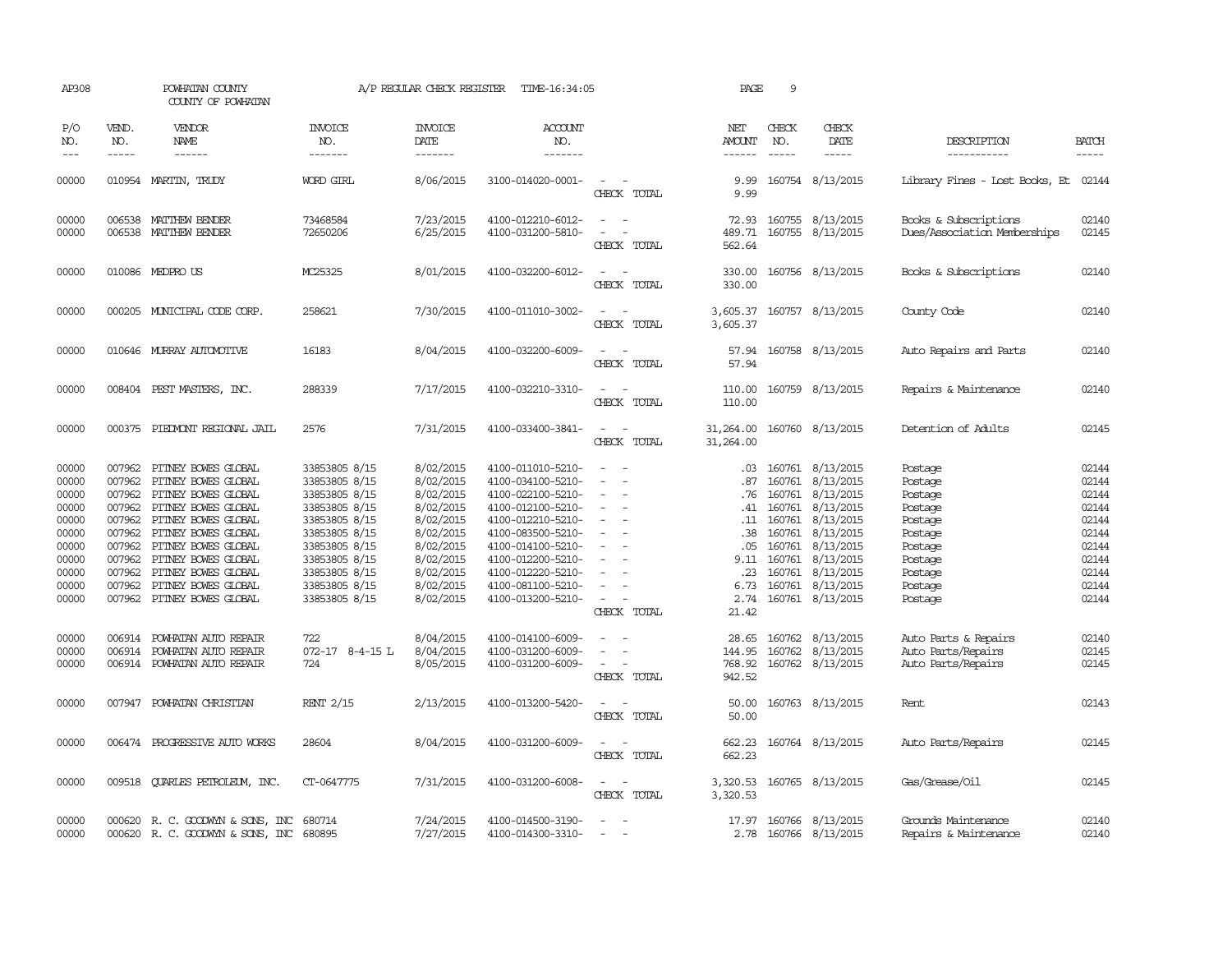| AP308                                                                                           |                                                                                        | POWHATAN COUNTY<br>COUNTY OF POWHATAN                                                                                                                                                                                                                                   |                                                                                                                                                                                         | A/P REGULAR CHECK REGISTER                                                                                                                  | TIME-16:34:05                                                                                                                                                                                                                       |                                                                                                                             | PAGE                                                                                  | 9                                                                                                |                                                                                                                                                    |                                                                                                                       |                                                                                                 |
|-------------------------------------------------------------------------------------------------|----------------------------------------------------------------------------------------|-------------------------------------------------------------------------------------------------------------------------------------------------------------------------------------------------------------------------------------------------------------------------|-----------------------------------------------------------------------------------------------------------------------------------------------------------------------------------------|---------------------------------------------------------------------------------------------------------------------------------------------|-------------------------------------------------------------------------------------------------------------------------------------------------------------------------------------------------------------------------------------|-----------------------------------------------------------------------------------------------------------------------------|---------------------------------------------------------------------------------------|--------------------------------------------------------------------------------------------------|----------------------------------------------------------------------------------------------------------------------------------------------------|-----------------------------------------------------------------------------------------------------------------------|-------------------------------------------------------------------------------------------------|
| P/O<br>NO.<br>$---$                                                                             | VEND.<br>NO.<br>$\frac{1}{2}$                                                          | VENDOR<br><b>NAME</b><br>------                                                                                                                                                                                                                                         | <b>INVOICE</b><br>NO.<br>-------                                                                                                                                                        | <b>INVOICE</b><br>DATE<br>-------                                                                                                           | <b>ACCOUNT</b><br>NO.<br>-------                                                                                                                                                                                                    |                                                                                                                             | NET<br>AMOUNT<br>------                                                               | CHECK<br>NO.<br>$- - - - -$                                                                      | CHECK<br>DATE<br>$- - - - -$                                                                                                                       | DESCRIPTION<br>-----------                                                                                            | <b>BATCH</b><br>$- - - - -$                                                                     |
| 00000                                                                                           |                                                                                        | 010954 MARTIN, TRUDY                                                                                                                                                                                                                                                    | WORD GIRL                                                                                                                                                                               | 8/06/2015                                                                                                                                   | 3100-014020-0001-                                                                                                                                                                                                                   | $\sim$ 100 $\mu$<br>CHECK TOTAL                                                                                             | 9.99<br>9.99                                                                          |                                                                                                  | 160754 8/13/2015                                                                                                                                   | Library Fines - Lost Books, Et 02144                                                                                  |                                                                                                 |
| 00000<br>00000                                                                                  | 006538<br>006538                                                                       | MATTHEW BENDER<br>MATTHEW BENDER                                                                                                                                                                                                                                        | 73468584<br>72650206                                                                                                                                                                    | 7/23/2015<br>6/25/2015                                                                                                                      | 4100-012210-6012-<br>4100-031200-5810-                                                                                                                                                                                              | $\equiv$<br>$\sim$<br>CHECK TOTAL                                                                                           | 72.93<br>489.71<br>562.64                                                             |                                                                                                  | 160755 8/13/2015<br>160755 8/13/2015                                                                                                               | Books & Subscriptions<br>Dues/Association Memberships                                                                 | 02140<br>02145                                                                                  |
| 00000                                                                                           |                                                                                        | 010086 MEDPRO US                                                                                                                                                                                                                                                        | MC25325                                                                                                                                                                                 | 8/01/2015                                                                                                                                   | 4100-032200-6012-                                                                                                                                                                                                                   | $\sim$<br>CHECK TOTAL                                                                                                       | 330.00<br>330.00                                                                      |                                                                                                  | 160756 8/13/2015                                                                                                                                   | Books & Subscriptions                                                                                                 | 02140                                                                                           |
| 00000                                                                                           |                                                                                        | 000205 MUNICIPAL CODE CORP.                                                                                                                                                                                                                                             | 258621                                                                                                                                                                                  | 7/30/2015                                                                                                                                   | 4100-011010-3002-                                                                                                                                                                                                                   | $\sim$<br>CHECK TOTAL                                                                                                       | 3,605.37<br>3,605.37                                                                  |                                                                                                  | 160757 8/13/2015                                                                                                                                   | County Code                                                                                                           | 02140                                                                                           |
| 00000                                                                                           |                                                                                        | 010646 MURRAY AUTOMOTTVE                                                                                                                                                                                                                                                | 16183                                                                                                                                                                                   | 8/04/2015                                                                                                                                   | 4100-032200-6009-                                                                                                                                                                                                                   | $\sim$<br>CHECK TOTAL                                                                                                       | 57.94<br>57.94                                                                        |                                                                                                  | 160758 8/13/2015                                                                                                                                   | Auto Repairs and Parts                                                                                                | 02140                                                                                           |
| 00000                                                                                           |                                                                                        | 008404 PEST MASTERS, INC.                                                                                                                                                                                                                                               | 288339                                                                                                                                                                                  | 7/17/2015                                                                                                                                   | 4100-032210-3310-                                                                                                                                                                                                                   | CHECK TOTAL                                                                                                                 | 110.00<br>110.00                                                                      |                                                                                                  | 160759 8/13/2015                                                                                                                                   | Repairs & Maintenance                                                                                                 | 02140                                                                                           |
| 00000                                                                                           | 000375                                                                                 | PIEDMONT REGIONAL JAIL                                                                                                                                                                                                                                                  | 2576                                                                                                                                                                                    | 7/31/2015                                                                                                                                   | 4100-033400-3841-                                                                                                                                                                                                                   | $\sim$<br>CHECK TOTAL                                                                                                       | 31,264.00<br>31,264.00                                                                |                                                                                                  | 160760 8/13/2015                                                                                                                                   | Detention of Adults                                                                                                   | 02145                                                                                           |
| 00000<br>00000<br>00000<br>00000<br>00000<br>00000<br>00000<br>00000<br>00000<br>00000<br>00000 | 007962<br>007962<br>007962<br>007962<br>007962<br>007962<br>007962<br>007962<br>007962 | PITNEY BOWES GLOBAL<br>PITNEY BOWES GLOBAL<br>PITNEY BOWES GLOBAL<br>PITNEY BOWES GLOBAL<br>PITNEY BOWES GLOBAL<br>007962 PITNEY BOWES GLOBAL<br>PITNEY BOWES GLOBAL<br>PITNEY BOWES GLOBAL<br>PITNEY BOWES GLOBAL<br>PITNEY BOWES GLOBAL<br>007962 PITNEY BOWES GLOBAL | 33853805 8/15<br>33853805 8/15<br>33853805 8/15<br>33853805 8/15<br>33853805 8/15<br>33853805 8/15<br>33853805 8/15<br>33853805 8/15<br>33853805 8/15<br>33853805 8/15<br>33853805 8/15 | 8/02/2015<br>8/02/2015<br>8/02/2015<br>8/02/2015<br>8/02/2015<br>8/02/2015<br>8/02/2015<br>8/02/2015<br>8/02/2015<br>8/02/2015<br>8/02/2015 | 4100-011010-5210-<br>4100-034100-5210-<br>4100-022100-5210-<br>4100-012100-5210-<br>4100-012210-5210-<br>4100-083500-5210-<br>4100-014100-5210-<br>4100-012200-5210-<br>4100-012220-5210-<br>4100-081100-5210-<br>4100-013200-5210- | $\overline{\phantom{a}}$<br>$\overline{\phantom{a}}$<br>$\equiv$<br>$\equiv$<br>CHECK TOTAL                                 | .03<br>.87<br>.76<br>.41<br>.11<br>.38<br>.05<br>9.11<br>.23<br>6.73<br>2.74<br>21.42 | 160761<br>160761<br>160761<br>160761<br>160761<br>160761<br>160761<br>160761<br>160761<br>160761 | 8/13/2015<br>8/13/2015<br>8/13/2015<br>8/13/2015<br>8/13/2015<br>8/13/2015<br>8/13/2015<br>8/13/2015<br>8/13/2015<br>8/13/2015<br>160761 8/13/2015 | Postage<br>Postage<br>Postage<br>Postage<br>Postage<br>Postage<br>Postage<br>Postage<br>Postage<br>Postage<br>Postage | 02144<br>02144<br>02144<br>02144<br>02144<br>02144<br>02144<br>02144<br>02144<br>02144<br>02144 |
| 00000<br>00000<br>00000                                                                         | 006914<br>006914                                                                       | POWHATAN AUTO REPAIR<br>POWHATAN AUTO REPAIR<br>006914 POWHATAN AUTO REPAIR                                                                                                                                                                                             | 722<br>072-17 8-4-15 L<br>724                                                                                                                                                           | 8/04/2015<br>8/04/2015<br>8/05/2015                                                                                                         | 4100-014100-6009-<br>4100-031200-6009-<br>4100-031200-6009-                                                                                                                                                                         | $\sim$<br>$\sim$<br>CHECK TOTAL                                                                                             | 28.65<br>144.95<br>768.92<br>942.52                                                   | 160762                                                                                           | 8/13/2015<br>160762 8/13/2015<br>160762 8/13/2015                                                                                                  | Auto Parts & Repairs<br>Auto Parts/Repairs<br>Auto Parts/Repairs                                                      | 02140<br>02145<br>02145                                                                         |
| 00000                                                                                           |                                                                                        | 007947 POWHATAN CHRISTIAN                                                                                                                                                                                                                                               | <b>RENT 2/15</b>                                                                                                                                                                        | 2/13/2015                                                                                                                                   | 4100-013200-5420-                                                                                                                                                                                                                   | $\equiv$<br>CHECK TOTAL                                                                                                     | 50.00<br>50.00                                                                        |                                                                                                  | 160763 8/13/2015                                                                                                                                   | Rent                                                                                                                  | 02143                                                                                           |
| 00000                                                                                           |                                                                                        | 006474 PROGRESSIVE AUTO WORKS                                                                                                                                                                                                                                           | 28604                                                                                                                                                                                   | 8/04/2015                                                                                                                                   | 4100-031200-6009-                                                                                                                                                                                                                   | $\sim$<br>CHECK TOTAL                                                                                                       | 662.23<br>662.23                                                                      |                                                                                                  | 160764 8/13/2015                                                                                                                                   | Auto Parts/Repairs                                                                                                    | 02145                                                                                           |
| 00000                                                                                           |                                                                                        | 009518 QUARLES PETROLEUM, INC.                                                                                                                                                                                                                                          | CT-0647775                                                                                                                                                                              | 7/31/2015                                                                                                                                   | 4100-031200-6008-                                                                                                                                                                                                                   | $\frac{1}{2} \left( \frac{1}{2} \right) \left( \frac{1}{2} \right) = \frac{1}{2} \left( \frac{1}{2} \right)$<br>CHECK TOTAL | 3,320.53<br>3,320.53                                                                  |                                                                                                  | 160765 8/13/2015                                                                                                                                   | Gas/Grease/Oil                                                                                                        | 02145                                                                                           |
| 00000<br>00000                                                                                  |                                                                                        | 000620 R. C. GOODWYN & SONS, INC<br>000620 R.C. GOODWYN & SONS, INC 680895                                                                                                                                                                                              | 680714                                                                                                                                                                                  | 7/24/2015<br>7/27/2015                                                                                                                      | 4100-014500-3190-<br>4100-014300-3310-                                                                                                                                                                                              | $\sim$                                                                                                                      | 17.97                                                                                 |                                                                                                  | 160766 8/13/2015<br>2.78 160766 8/13/2015                                                                                                          | Grounds Maintenance<br>Repairs & Maintenance                                                                          | 02140<br>02140                                                                                  |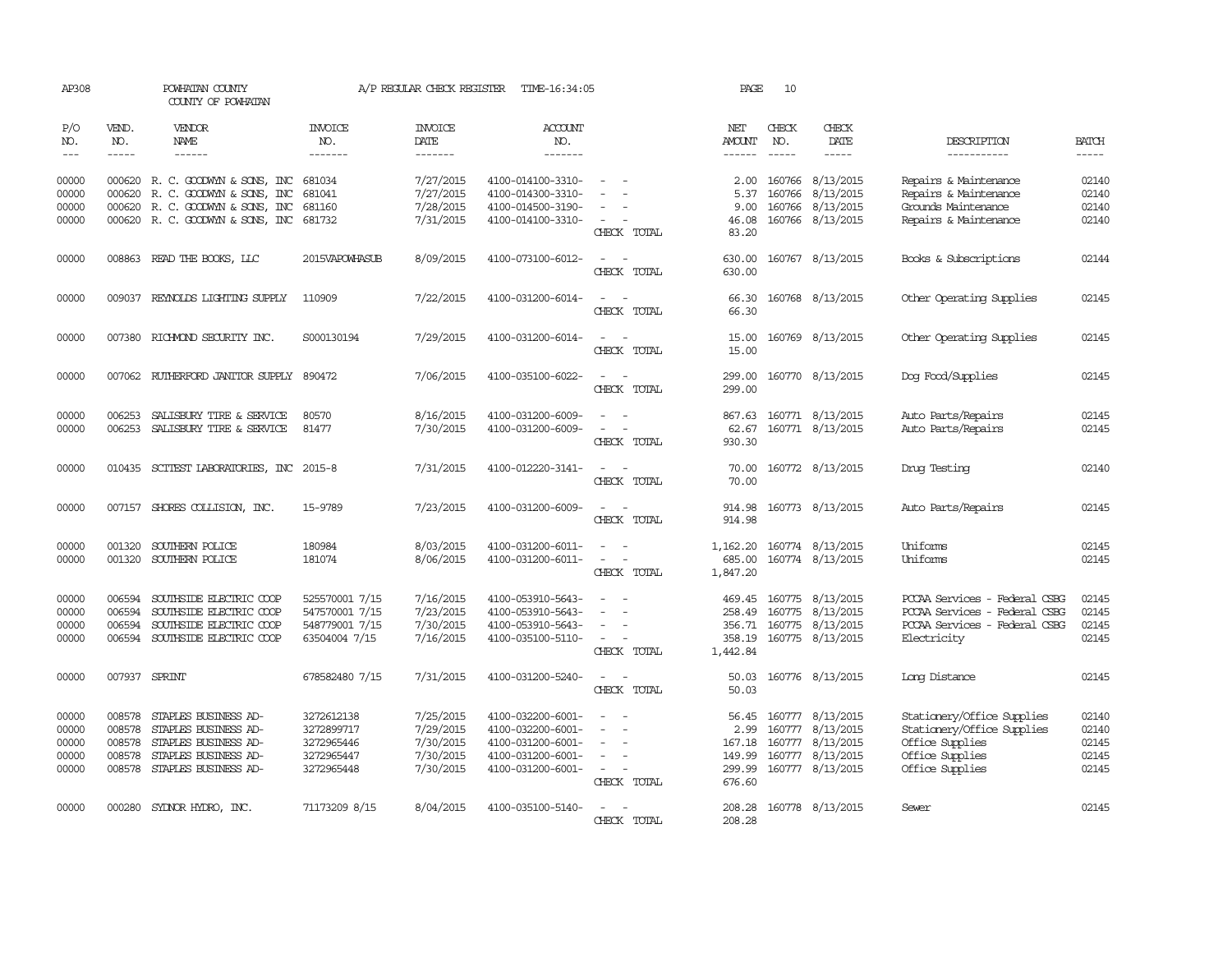| AP308                                     |                                      | POWHATAN COUNTY<br>COUNTY OF POWHATAN                                                                                                 |                                                                     | A/P REGULAR CHECK REGISTER                                    | TIME-16:34:05                                                                                         |                                                                                           | PAGE                                                  | 10                            |                                                                                    |                                                                                                                   |                                           |
|-------------------------------------------|--------------------------------------|---------------------------------------------------------------------------------------------------------------------------------------|---------------------------------------------------------------------|---------------------------------------------------------------|-------------------------------------------------------------------------------------------------------|-------------------------------------------------------------------------------------------|-------------------------------------------------------|-------------------------------|------------------------------------------------------------------------------------|-------------------------------------------------------------------------------------------------------------------|-------------------------------------------|
| P/O<br>NO.<br>$---$                       | VEND.<br>NO.                         | VENDOR<br><b>NAME</b><br>$- - - - - -$                                                                                                | <b>INVOICE</b><br>NO.<br>-------                                    | <b>INVOICE</b><br>DATE<br>-------                             | <b>ACCOUNT</b><br>NO.<br>-------                                                                      |                                                                                           | NET<br><b>AMOUNT</b><br>$- - - - - -$                 | CHECK<br>NO.<br>$\frac{1}{2}$ | CHECK<br>DATE<br>$- - - - -$                                                       | DESCRIPTION<br>-----------                                                                                        | <b>BATCH</b>                              |
| 00000<br>00000<br>00000<br>00000          | 000620                               | 000620 R. C. GOODWYN & SONS, INC<br>R. C. GOODWYN & SONS, INC<br>000620 R. C. GOODWYN & SONS, INC<br>000620 R. C. GOODWYN & SONS, INC | 681034<br>681041<br>681160<br>681732                                | 7/27/2015<br>7/27/2015<br>7/28/2015<br>7/31/2015              | 4100-014100-3310-<br>4100-014300-3310-<br>4100-014500-3190-<br>4100-014100-3310-                      | $\sim$<br>$\equiv$                                                                        | 2.00<br>5.37<br>9.00<br>46.08                         | 160766<br>160766              | 8/13/2015<br>8/13/2015<br>160766 8/13/2015<br>160766 8/13/2015                     | Repairs & Maintenance<br>Repairs & Maintenance<br>Grounds Maintenance<br>Repairs & Maintenance                    | 02140<br>02140<br>02140<br>02140          |
| 00000                                     |                                      | 008863 READ THE BOOKS, LLC                                                                                                            | 2015VAPOWHASUB                                                      | 8/09/2015                                                     | 4100-073100-6012-                                                                                     | CHECK TOTAL<br>$\sim$<br>$\sim$<br>CHECK TOTAL                                            | 83.20<br>630.00<br>630.00                             |                               | 160767 8/13/2015                                                                   | Books & Subscriptions                                                                                             | 02144                                     |
| 00000                                     |                                      | 009037 REYNOLDS LIGHTING SUPPLY                                                                                                       | 110909                                                              | 7/22/2015                                                     | 4100-031200-6014-                                                                                     | CHECK TOTAL                                                                               | 66.30<br>66.30                                        |                               | 160768 8/13/2015                                                                   | Other Operating Supplies                                                                                          | 02145                                     |
| 00000                                     |                                      | 007380 RICHMOND SECURITY INC.                                                                                                         | S000130194                                                          | 7/29/2015                                                     | 4100-031200-6014-                                                                                     | $\equiv$<br>CHECK TOTAL                                                                   | 15.00<br>15.00                                        |                               | 160769 8/13/2015                                                                   | Other Operating Supplies                                                                                          | 02145                                     |
| 00000                                     |                                      | 007062 RUIHERFORD JANITOR SUPPLY 890472                                                                                               |                                                                     | 7/06/2015                                                     | 4100-035100-6022-                                                                                     | $\overline{\phantom{a}}$<br>CHECK TOTAL                                                   | 299.00<br>299.00                                      |                               | 160770 8/13/2015                                                                   | Dog Food/Supplies                                                                                                 | 02145                                     |
| 00000<br>00000                            | 006253<br>006253                     | SALISBURY TIRE & SERVICE<br>SALISBURY TIRE & SERVICE                                                                                  | 80570<br>81477                                                      | 8/16/2015<br>7/30/2015                                        | 4100-031200-6009-<br>4100-031200-6009-                                                                | $\equiv$<br>$\sim$<br>$\overline{\phantom{a}}$<br>$\overline{\phantom{a}}$<br>CHECK TOTAL | 867.63<br>62.67<br>930.30                             |                               | 160771 8/13/2015<br>160771 8/13/2015                                               | Auto Parts/Repairs<br>Auto Parts/Repairs                                                                          | 02145<br>02145                            |
| 00000                                     |                                      | 010435 SCITEST LABORATORIES, INC                                                                                                      | 2015-8                                                              | 7/31/2015                                                     | 4100-012220-3141-                                                                                     | $\overline{\phantom{a}}$<br>$\sim$<br>CHECK TOTAL                                         | 70.00<br>70.00                                        |                               | 160772 8/13/2015                                                                   | Dnuq Testinq                                                                                                      | 02140                                     |
| 00000                                     |                                      | 007157 SHORES COLLISION, INC.                                                                                                         | 15-9789                                                             | 7/23/2015                                                     | 4100-031200-6009-                                                                                     | $\overline{a}$<br>- -<br>CHECK TOTAL                                                      | 914.98<br>914.98                                      |                               | 160773 8/13/2015                                                                   | Auto Parts/Repairs                                                                                                | 02145                                     |
| 00000<br>00000                            | 001320<br>001320                     | SOUTHERN POLICE<br>SOUTHERN POLICE                                                                                                    | 180984<br>181074                                                    | 8/03/2015<br>8/06/2015                                        | 4100-031200-6011-<br>4100-031200-6011-                                                                | $\overline{\phantom{a}}$<br>CHECK TOTAL                                                   | 1,162.20<br>685.00<br>1,847.20                        |                               | 160774 8/13/2015<br>160774 8/13/2015                                               | Uniforms<br>Uniforms                                                                                              | 02145<br>02145                            |
| 00000<br>00000<br>00000<br>00000          | 006594<br>006594<br>006594<br>006594 | SOUTHSIDE ELECTRIC COOP<br>SOUTHSIDE ELECTRIC COOP<br>SOUTHSIDE ELECTRIC COOP<br>SOUTHSIDE ELECTRIC COOP                              | 525570001 7/15<br>547570001 7/15<br>548779001 7/15<br>63504004 7/15 | 7/16/2015<br>7/23/2015<br>7/30/2015<br>7/16/2015              | 4100-053910-5643-<br>4100-053910-5643-<br>4100-053910-5643-<br>4100-035100-5110-                      | $\overline{\phantom{a}}$<br>$\sim$<br>CHECK TOTAL                                         | 469.45<br>258.49<br>356.71<br>358.19<br>1,442.84      |                               | 160775 8/13/2015<br>160775 8/13/2015<br>160775 8/13/2015<br>160775 8/13/2015       | PCCAA Services - Federal CSBG<br>PCCAA Services - Federal CSBG<br>PCCAA Services - Federal CSBG<br>Electricity    | 02145<br>02145<br>02145<br>02145          |
| 00000                                     | 007937                               | SPRINT                                                                                                                                | 678582480 7/15                                                      | 7/31/2015                                                     | 4100-031200-5240-                                                                                     | CHECK TOTAL                                                                               | 50.03<br>50.03                                        |                               | 160776 8/13/2015                                                                   | Long Distance                                                                                                     | 02145                                     |
| 00000<br>00000<br>00000<br>00000<br>00000 | 008578<br>008578<br>008578<br>008578 | STAPLES BUSINESS AD-<br>STAPLES BUSINESS AD-<br>STAPLES BUSINESS AD-<br>STAPLES BUSINESS AD-<br>008578 STAPLES BUSINESS AD-           | 3272612138<br>3272899717<br>3272965446<br>3272965447<br>3272965448  | 7/25/2015<br>7/29/2015<br>7/30/2015<br>7/30/2015<br>7/30/2015 | 4100-032200-6001-<br>4100-032200-6001-<br>4100-031200-6001-<br>4100-031200-6001-<br>4100-031200-6001- | $\equiv$<br>$\overline{\phantom{a}}$<br>$\overline{\phantom{a}}$<br>$\sim$<br>CHECK TOTAL | 56.45<br>2.99<br>167.18<br>149.99<br>299.99<br>676.60 | 160777<br>160777              | 8/13/2015<br>160777 8/13/2015<br>160777 8/13/2015<br>8/13/2015<br>160777 8/13/2015 | Stationery/Office Supplies<br>Stationery/Office Supplies<br>Office Supplies<br>Office Supplies<br>Office Supplies | 02140<br>02140<br>02145<br>02145<br>02145 |
| 00000                                     |                                      | 000280 SYDNOR HYDRO, INC.                                                                                                             | 71173209 8/15                                                       | 8/04/2015                                                     | 4100-035100-5140-                                                                                     | $\sim$<br>$\sim$<br>CHECK TOTAL                                                           | 208.28<br>208.28                                      |                               | 160778 8/13/2015                                                                   | Sewer                                                                                                             | 02145                                     |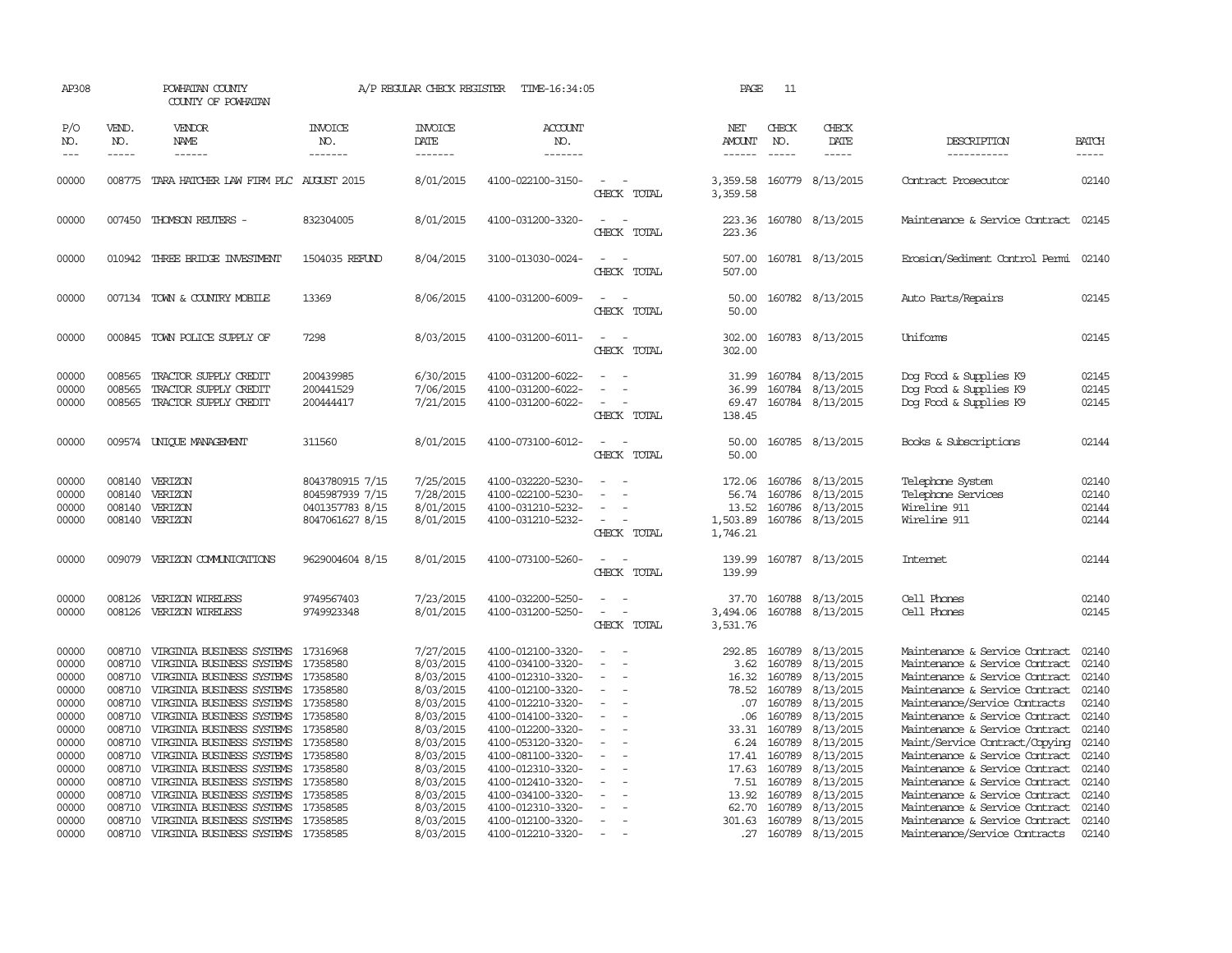| AP308                                     |                                                | POWHATAN COUNTY<br>COUNTY OF POWHATAN                                                                                                         |                                                                          | A/P REGULAR CHECK REGISTER                                    | TIME-16:34:05                                                                                         |                                                                                                        | PAGE                                             | 11                                             |                                                                       |                                                                                                                                                                        |                                           |
|-------------------------------------------|------------------------------------------------|-----------------------------------------------------------------------------------------------------------------------------------------------|--------------------------------------------------------------------------|---------------------------------------------------------------|-------------------------------------------------------------------------------------------------------|--------------------------------------------------------------------------------------------------------|--------------------------------------------------|------------------------------------------------|-----------------------------------------------------------------------|------------------------------------------------------------------------------------------------------------------------------------------------------------------------|-------------------------------------------|
| P/O<br>NO.<br>$---$                       | VEND.<br>NO.<br>$- - - - -$                    | VENDOR<br>NAME<br>------                                                                                                                      | <b>INVOICE</b><br>NO.<br>-------                                         | <b>INVOICE</b><br>DATE<br>-------                             | ACCOUNT<br>NO.<br>-------                                                                             |                                                                                                        | NET<br>AMOUNT<br>$- - - - - -$                   | CHECK<br>NO.<br>$- - - - -$                    | CHECK<br>DATE<br>$- - - - -$                                          | DESCRIPTION<br>-----------                                                                                                                                             | <b>BATCH</b><br>-----                     |
| 00000                                     |                                                | 008775 TARA HATCHER LAW FIRM PLC AUGUST 2015                                                                                                  |                                                                          | 8/01/2015                                                     | 4100-022100-3150-                                                                                     | $\equiv$<br>CHECK TOTAL                                                                                | 3,359.58<br>3,359.58                             |                                                | 160779 8/13/2015                                                      | Contract Prosecutor                                                                                                                                                    | 02140                                     |
| 00000                                     |                                                | 007450 THOMSON REUTERS -                                                                                                                      | 832304005                                                                | 8/01/2015                                                     | 4100-031200-3320-                                                                                     | $\equiv$<br>CHECK TOTAL                                                                                | 223.36<br>223.36                                 |                                                | 160780 8/13/2015                                                      | Maintenance & Service Contract 02145                                                                                                                                   |                                           |
| 00000                                     |                                                | 010942 THREE BRIDGE INVESTMENT                                                                                                                | 1504035 REFUND                                                           | 8/04/2015                                                     | 3100-013030-0024-                                                                                     | CHECK TOTAL                                                                                            | 507.00<br>507.00                                 |                                                | 160781 8/13/2015                                                      | Enosion/Sediment Control Penmi 02140                                                                                                                                   |                                           |
| 00000                                     |                                                | 007134 TOWN & COUNTRY MOBILE                                                                                                                  | 13369                                                                    | 8/06/2015                                                     | 4100-031200-6009-                                                                                     | $\equiv$<br>CHECK TOTAL                                                                                | 50.00<br>50.00                                   |                                                | 160782 8/13/2015                                                      | Auto Parts/Repairs                                                                                                                                                     | 02145                                     |
| 00000                                     |                                                | 000845 TOWN POLICE SUPPLY OF                                                                                                                  | 7298                                                                     | 8/03/2015                                                     | 4100-031200-6011-                                                                                     | $\sim$ $\sim$<br>CHECK TOTAL                                                                           | 302.00<br>302.00                                 |                                                | 160783 8/13/2015                                                      | Uniforms                                                                                                                                                               | 02145                                     |
| 00000<br>00000<br>00000                   | 008565<br>008565<br>008565                     | TRACTOR SUPPLY CREDIT<br>TRACTOR SUPPLY CREDIT<br>TRACTOR SUPPLY CREDIT                                                                       | 200439985<br>200441529<br>200444417                                      | 6/30/2015<br>7/06/2015<br>7/21/2015                           | 4100-031200-6022-<br>4100-031200-6022-<br>4100-031200-6022-                                           | $\sim$<br>$\equiv$<br>$\sim$<br>CHECK TOTAL                                                            | 31.99<br>36.99<br>69.47<br>138.45                | 160784                                         | 8/13/2015<br>160784 8/13/2015<br>160784 8/13/2015                     | Dog Food & Supplies K9<br>Dog Food & Supplies K9<br>Dog Food & Supplies K9                                                                                             | 02145<br>02145<br>02145                   |
| 00000                                     |                                                | 009574 UNIOUE MANAGEMENT                                                                                                                      | 311560                                                                   | 8/01/2015                                                     | 4100-073100-6012-                                                                                     | $\sim$<br>CHECK TOTAL                                                                                  | 50.00<br>50.00                                   |                                                | 160785 8/13/2015                                                      | Books & Subscriptions                                                                                                                                                  | 02144                                     |
| 00000<br>00000<br>00000<br>00000          | 008140                                         | 008140 VERIZON<br>VERIZON<br>008140 VERIZON<br>008140 VERIZON                                                                                 | 8043780915 7/15<br>8045987939 7/15<br>0401357783 8/15<br>8047061627 8/15 | 7/25/2015<br>7/28/2015<br>8/01/2015<br>8/01/2015              | 4100-032220-5230-<br>4100-022100-5230-<br>4100-031210-5232-<br>4100-031210-5232-                      | $\sim$<br>$\equiv$<br>$\equiv$<br>$\equiv$<br>CHECK TOTAL                                              | 172.06<br>56.74<br>13.52<br>1,503.89<br>1,746.21 | 160786                                         | 160786 8/13/2015<br>8/13/2015<br>160786 8/13/2015<br>160786 8/13/2015 | Telephone System<br>Telephone Services<br>Wireline 911<br>Wireline 911                                                                                                 | 02140<br>02140<br>02144<br>02144          |
| 00000                                     |                                                | 009079 VERIZON COMUNICATIONS                                                                                                                  | 9629004604 8/15                                                          | 8/01/2015                                                     | 4100-073100-5260-                                                                                     | $\equiv$<br>CHECK TOTAL                                                                                | 139.99<br>139.99                                 |                                                | 160787 8/13/2015                                                      | Internet.                                                                                                                                                              | 02144                                     |
| 00000<br>00000                            | 008126<br>008126                               | VERIZON WIRELESS<br>VERIZON WIRELESS                                                                                                          | 9749567403<br>9749923348                                                 | 7/23/2015<br>8/01/2015                                        | 4100-032200-5250-<br>4100-031200-5250-                                                                | $\overline{\phantom{a}}$<br>CHECK TOTAL                                                                | 37.70<br>3,494.06<br>3,531.76                    | 160788                                         | 8/13/2015<br>160788 8/13/2015                                         | Cell Phones<br>Cell Phones                                                                                                                                             | 02140<br>02145                            |
| 00000<br>00000<br>00000<br>00000<br>00000 | 008710<br>008710<br>008710<br>008710<br>008710 | VIRGINIA BUSINESS SYSTEMS<br>VIRGINIA BUSINESS SYSTEMS<br>VIRGINIA BUSINESS SYSTEMS<br>VIRGINIA BUSINESS SYSTEMS<br>VIRGINIA BUSINESS SYSTEMS | 17316968<br>17358580<br>17358580<br>17358580<br>17358580                 | 7/27/2015<br>8/03/2015<br>8/03/2015<br>8/03/2015<br>8/03/2015 | 4100-012100-3320-<br>4100-034100-3320-<br>4100-012310-3320-<br>4100-012100-3320-<br>4100-012210-3320- | $\sim$<br>$\sim$<br>$\sim$<br>$\overline{\phantom{a}}$<br>$\overline{\phantom{a}}$                     | 292.85<br>3.62<br>16.32<br>78.52<br>.07          | 160789<br>160789<br>160789<br>160789<br>160789 | 8/13/2015<br>8/13/2015<br>8/13/2015<br>8/13/2015<br>8/13/2015         | Maintenance & Service Contract<br>Maintenance & Service Contract<br>Maintenance & Service Contract<br>Maintenance & Service Contract<br>Maintenance/Service Contracts  | 02140<br>02140<br>02140<br>02140<br>02140 |
| 00000<br>00000<br>00000<br>00000<br>00000 | 008710<br>008710<br>008710<br>008710<br>008710 | VIRGINIA BUSINESS SYSTEMS<br>VIRGINIA BUSINESS SYSTEMS<br>VIRGINIA BUSINESS SYSTEMS<br>VIRGINIA BUSINESS SYSTEMS<br>VIRGINIA BUSINESS SYSTEMS | 17358580<br>17358580<br>17358580<br>17358580<br>17358580                 | 8/03/2015<br>8/03/2015<br>8/03/2015<br>8/03/2015<br>8/03/2015 | 4100-014100-3320-<br>4100-012200-3320-<br>4100-053120-3320-<br>4100-081100-3320-                      | $\overline{\phantom{a}}$<br>$\sim$<br>$\equiv$<br>$\overline{\phantom{a}}$<br>$\overline{\phantom{a}}$ | .06<br>33.31<br>6.24<br>17.41<br>17.63           | 160789<br>160789<br>160789<br>160789<br>160789 | 8/13/2015<br>8/13/2015<br>8/13/2015<br>8/13/2015<br>8/13/2015         | Maintenance & Service Contract<br>Maintenance & Service Contract<br>Maint/Service Contract/Copying<br>Maintenance & Service Contract<br>Maintenance & Service Contract | 02140<br>02140<br>02140<br>02140<br>02140 |
| 00000<br>00000<br>00000                   | 008710<br>008710                               | VIRGINIA BUSINESS SYSTEMS<br>008710 VIRGINIA BUSINESS SYSTEMS 17358585<br>VIRGINIA BUSINESS SYSTEMS                                           | 17358580<br>17358585                                                     | 8/03/2015<br>8/03/2015<br>8/03/2015                           | 4100-012310-3320-<br>4100-012410-3320-<br>4100-034100-3320-<br>4100-012310-3320-                      | $\equiv$                                                                                               | 7.51<br>13.92<br>62.70                           | 160789<br>160789<br>160789                     | 8/13/2015<br>8/13/2015<br>8/13/2015                                   | Maintenance & Service Contract<br>Maintenance & Service Contract<br>Maintenance & Service Contract                                                                     | 02140<br>02140<br>02140                   |
| 00000<br>00000                            | 008710                                         | 008710 VIRGINIA BUSINESS SYSTEMS 17358585<br>VIRGINIA BUSINESS SYSTEMS 17358585                                                               |                                                                          | 8/03/2015<br>8/03/2015                                        | 4100-012100-3320-<br>4100-012210-3320-                                                                | $\overline{\phantom{a}}$<br>$\sim$                                                                     | .27                                              |                                                | 301.63 160789 8/13/2015<br>160789 8/13/2015                           | Maintenance & Service Contract<br>Maintenance/Service Contracts                                                                                                        | 02140<br>02140                            |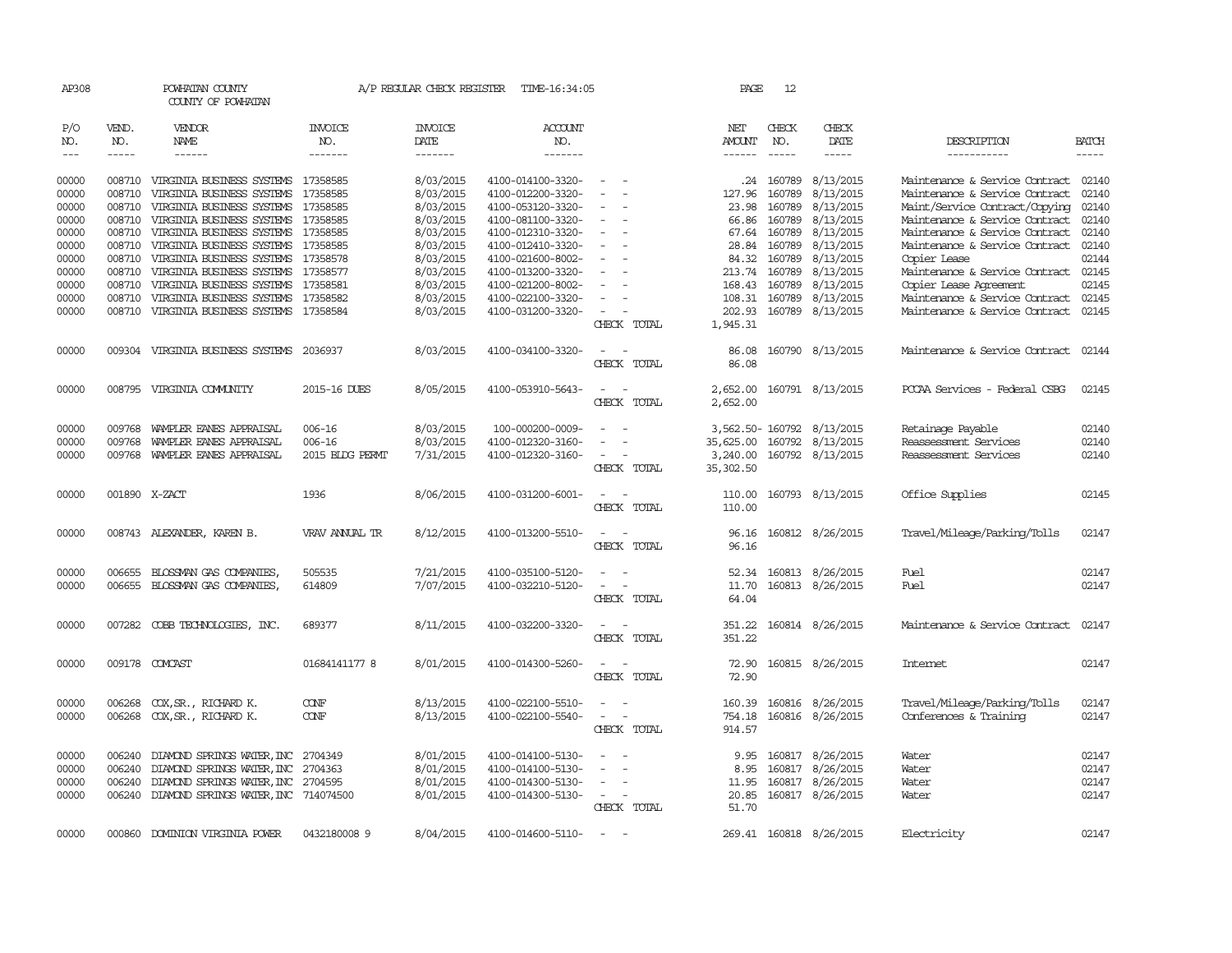| AP308      |               | POWHATAN COUNTY<br>COUNTY OF POWHATAN               |                 | A/P REGULAR CHECK REGISTER | TIME-16:34:05         |                                                      | PAGE           | 12           |                               |                                                        |              |
|------------|---------------|-----------------------------------------------------|-----------------|----------------------------|-----------------------|------------------------------------------------------|----------------|--------------|-------------------------------|--------------------------------------------------------|--------------|
| P/O<br>NO. | VEND.<br>NO.  | VENDOR<br>NAME                                      | INVOICE<br>NO.  | INVOICE<br>DATE            | <b>ACCOUNT</b><br>NO. |                                                      | NET<br>AMOUNT  | CHECK<br>NO. | CHECK<br>DATE                 | DESCRIPTION                                            | <b>BATCH</b> |
| $---$      | $\cdots$      | ------                                              | -------         | -------                    | -------               |                                                      | $- - - - - -$  | $- - - - -$  | -----                         | -----------                                            | $- - - - -$  |
| 00000      |               | 008710 VIRGINIA BUSINESS SYSTEMS 17358585           |                 | 8/03/2015                  | 4100-014100-3320-     |                                                      |                | .24 160789   | 8/13/2015                     | Maintenance & Service Contract                         | 02140        |
| 00000      | 008710        | VIRGINIA BUSINESS SYSTEMS                           | 17358585        | 8/03/2015                  | 4100-012200-3320-     |                                                      | 127.96         | 160789       | 8/13/2015                     | Maintenance & Service Contract                         | 02140        |
| 00000      | 008710        | VIRGINIA BUSINESS SYSTEMS                           | 17358585        | 8/03/2015                  | 4100-053120-3320-     |                                                      | 23.98          | 160789       | 8/13/2015                     | Maint/Service Contract/Copying                         | 02140        |
| 00000      | 008710        | VIRGINIA BUSINESS SYSTEMS                           | 17358585        | 8/03/2015                  | 4100-081100-3320-     |                                                      | 66.86          | 160789       | 8/13/2015                     | Maintenance & Service Contract                         | 02140        |
| 00000      | 008710        | VIRGINIA BUSINESS SYSTEMS                           | 17358585        | 8/03/2015                  | 4100-012310-3320-     | $\overline{\phantom{a}}$                             | 67.64          | 160789       | 8/13/2015                     | Maintenance & Service Contract                         | 02140        |
| 00000      | 008710        | VIRGINIA BUSINESS SYSTEMS                           | 17358585        | 8/03/2015                  | 4100-012410-3320-     |                                                      | 28.84          | 160789       | 8/13/2015                     | Maintenance & Service Contract                         | 02140        |
| 00000      | 008710        | VIRGINIA BUSINESS SYSTEMS                           | 17358578        | 8/03/2015                  | 4100-021600-8002-     |                                                      | 84.32          | 160789       | 8/13/2015                     | Copier Lease                                           | 02144        |
| 00000      | 008710        | VIRGINIA BUSINESS SYSTEMS                           | 17358577        | 8/03/2015                  | 4100-013200-3320-     |                                                      | 213.74         | 160789       | 8/13/2015                     | Maintenance & Service Contract 02145                   |              |
| 00000      | 008710        | VIRGINIA BUSINESS SYSTEMS                           | 17358581        | 8/03/2015                  | 4100-021200-8002-     |                                                      | 168.43         | 160789       | 8/13/2015                     | Copier Lease Agreement                                 | 02145        |
| 00000      | 008710        | VIRGINIA BUSINESS SYSTEMS                           | 17358582        | 8/03/2015                  | 4100-022100-3320-     |                                                      | 108.31         | 160789       | 8/13/2015                     | Maintenance & Service Contract                         | 02145        |
| 00000      | 008710        | VIRGINIA BUSINESS SYSTEMS 17358584                  |                 | 8/03/2015                  | 4100-031200-3320-     |                                                      | 202.93         |              | 160789 8/13/2015              | Maintenance & Service Contract                         | 02145        |
|            |               |                                                     |                 |                            |                       | CHECK TOTAL                                          | 1,945.31       |              |                               |                                                        |              |
|            |               |                                                     |                 |                            |                       |                                                      |                |              |                               |                                                        |              |
| 00000      |               | 009304 VIRGINIA BUSINESS SYSTEMS 2036937            |                 | 8/03/2015                  | 4100-034100-3320-     | CHECK TOTAL                                          | 86.08<br>86.08 |              | 160790 8/13/2015              | Maintenance & Service Contract 02144                   |              |
|            |               |                                                     |                 |                            |                       |                                                      |                |              |                               |                                                        |              |
| 00000      |               | 008795 VIRGINIA COMUNITY                            | 2015-16 DUES    | 8/05/2015                  | 4100-053910-5643-     |                                                      | 2,652.00       |              | 160791 8/13/2015              | PCCAA Services - Federal CSBG                          | 02145        |
|            |               |                                                     |                 |                            |                       | CHECK TOTAL                                          | 2,652.00       |              |                               |                                                        |              |
| 00000      | 009768        | WAMPLER EANES APPRAISAL                             | $006 - 16$      | 8/03/2015                  | 100-000200-0009-      |                                                      |                |              | 3,562.50-160792 8/13/2015     | Retainage Payable                                      | 02140        |
| 00000      | 009768        | WAMPLER EANES APPRAISAL                             | $006 - 16$      | 8/03/2015                  | 4100-012320-3160-     |                                                      | 35,625.00      | 160792       | 8/13/2015                     | Reassessment Services                                  | 02140        |
| 00000      |               | 009768 WAMPLER EANES APPRAISAL                      | 2015 BIDG PERMT | 7/31/2015                  | 4100-012320-3160-     | $\overline{\phantom{a}}$                             | 3,240.00       |              | 160792 8/13/2015              | Reassessment Services                                  | 02140        |
|            |               |                                                     |                 |                            |                       | CHECK TOTAL                                          | 35,302.50      |              |                               |                                                        |              |
| 00000      | 001890 X-ZACT |                                                     | 1936            | 8/06/2015                  | 4100-031200-6001-     | $\sim$                                               | 110.00         |              | 160793 8/13/2015              | Office Supplies                                        | 02145        |
|            |               |                                                     |                 |                            |                       | CHECK TOTAL                                          | 110.00         |              |                               |                                                        |              |
| 00000      |               | 008743 ALEXANDER, KAREN B.                          | VRAV ANNUAL TR  | 8/12/2015                  | 4100-013200-5510-     |                                                      | 96.16          |              | 160812 8/26/2015              | Travel/Mileage/Parking/Tolls                           | 02147        |
|            |               |                                                     |                 |                            |                       | CHECK TOTAL                                          | 96.16          |              |                               |                                                        |              |
|            |               |                                                     |                 |                            |                       |                                                      |                |              |                               |                                                        |              |
| 00000      | 006655        | BLOSSMAN GAS COMPANIES                              | 505535          | 7/21/2015                  | 4100-035100-5120-     | $\sim$<br>$\overline{\phantom{a}}$                   | 52.34          |              | 160813 8/26/2015              | Fuel                                                   | 02147        |
| 00000      |               | 006655 BLOSSMAN GAS COMPANIES                       | 614809          | 7/07/2015                  | 4100-032210-5120-     |                                                      | 11.70          |              | 160813 8/26/2015              | Fuel                                                   | 02147        |
|            |               |                                                     |                 |                            |                       | CHECK TOTAL                                          | 64.04          |              |                               |                                                        |              |
| 00000      |               | 007282 COBB TECHNOLOGIES, INC.                      | 689377          | 8/11/2015                  | 4100-032200-3320-     | $\overline{\phantom{a}}$<br>$\overline{\phantom{a}}$ | 351.22         |              | 160814 8/26/2015              | Maintenance & Service Contract                         | 02147        |
|            |               |                                                     |                 |                            |                       | CHECK TOTAL                                          | 351.22         |              |                               |                                                        |              |
| 00000      |               | 009178 COMCAST                                      | 01684141177 8   | 8/01/2015                  | 4100-014300-5260-     | $\overline{\phantom{a}}$                             | 72.90          |              | 160815 8/26/2015              | Internet                                               | 02147        |
|            |               |                                                     |                 |                            |                       | CHECK TOTAL                                          | 72.90          |              |                               |                                                        |              |
| 00000      |               |                                                     | CONF            | 8/13/2015                  | 4100-022100-5510-     |                                                      | 160.39         | 160816       |                               |                                                        | 02147        |
| 00000      | 006268        | COX, SR., RICHARD K.<br>006268 COX, SR., RICHARD K. | <b>CONF</b>     | 8/13/2015                  | 4100-022100-5540-     | $\equiv$<br>$\overline{\phantom{a}}$                 | 754.18         |              | 8/26/2015<br>160816 8/26/2015 | Travel/Mileage/Parking/Tolls<br>Conferences & Training | 02147        |
|            |               |                                                     |                 |                            |                       | CHECK TOTAL                                          | 914.57         |              |                               |                                                        |              |
|            |               |                                                     |                 |                            |                       |                                                      |                |              |                               |                                                        |              |
| 00000      | 006240        | DIAMOND SPRINGS WATER, INC                          | 2704349         | 8/01/2015                  | 4100-014100-5130-     |                                                      | 9.95           |              | 160817 8/26/2015              | Water                                                  | 02147        |
| 00000      | 006240        | DIAMOND SPRINGS WATER, INC                          | 2704363         | 8/01/2015                  | 4100-014100-5130-     | $\sim$<br>$\overline{\phantom{a}}$                   | 8.95           |              | 160817 8/26/2015              | Water                                                  | 02147        |
| 00000      | 006240        | DIAMOND SPRINGS WATER, INC                          | 2704595         | 8/01/2015                  | 4100-014300-5130-     |                                                      | 11.95          | 160817       | 8/26/2015                     | Water                                                  | 02147        |
| 00000      | 006240        | DIAMOND SPRINGS WATER, INC 714074500                |                 | 8/01/2015                  | 4100-014300-5130-     | $\overline{\phantom{a}}$                             | 20.85          |              | 160817 8/26/2015              | Water                                                  | 02147        |
|            |               |                                                     |                 |                            |                       | CHECK TOTAL                                          | 51.70          |              |                               |                                                        |              |
| 00000      | 000860        | DOMINION VIRGINIA POWER                             | 0432180008 9    | 8/04/2015                  | 4100-014600-5110-     | $\overline{\phantom{a}}$<br>$\sim$                   |                |              | 269.41 160818 8/26/2015       | Electricity                                            | 02147        |
|            |               |                                                     |                 |                            |                       |                                                      |                |              |                               |                                                        |              |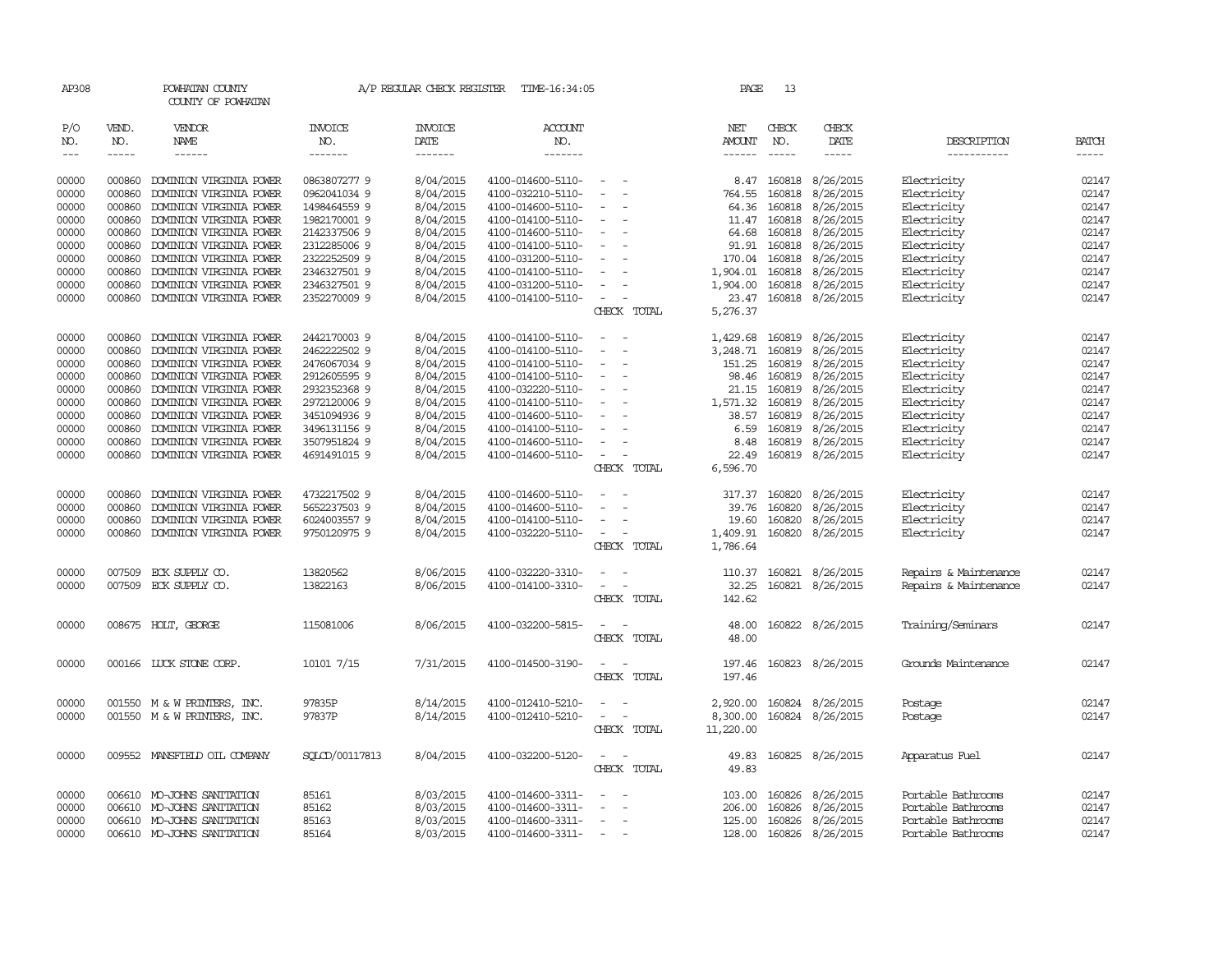| AP308                             |                             | POWHATAN COUNTY<br>COUNTY OF POWHATAN              |                                  | A/P REGULAR CHECK REGISTER        | TIME-16:34:05                          |                                                      | PAGE             | 13                            |                                                                                                                                                                                                                                                                                                                                                                                                                                                                          |                            |                       |
|-----------------------------------|-----------------------------|----------------------------------------------------|----------------------------------|-----------------------------------|----------------------------------------|------------------------------------------------------|------------------|-------------------------------|--------------------------------------------------------------------------------------------------------------------------------------------------------------------------------------------------------------------------------------------------------------------------------------------------------------------------------------------------------------------------------------------------------------------------------------------------------------------------|----------------------------|-----------------------|
| P/O<br>NO.<br>$\qquad \qquad - -$ | VEND.<br>NO.<br>$- - - - -$ | VENDOR<br>NAME<br>------                           | <b>INVOICE</b><br>NO.<br>------- | <b>INVOICE</b><br>DATE<br>------- | ACCOUNT<br>NO.<br>-------              |                                                      | NET<br>AMOUNT    | CHECK<br>NO.<br>$\frac{1}{2}$ | CHECK<br>DATE<br>$\begin{tabular}{ccccc} \multicolumn{2}{c }{\multicolumn{2}{c }{\multicolumn{2}{c }{\multicolumn{2}{c}}{\hspace{-2.2cm}}}} \multicolumn{2}{c }{\multicolumn{2}{c }{\hspace{-2.2cm}}\hline} \multicolumn{2}{c }{\hspace{-2.2cm}}\hline \multicolumn{2}{c }{\hspace{-2.2cm}}\hline \multicolumn{2}{c }{\hspace{-2.2cm}}\hline \multicolumn{2}{c }{\hspace{-2.2cm}}\hline \multicolumn{2}{c }{\hspace{-2.2cm}}\hline \multicolumn{2}{c }{\hspace{-2.2cm}}$ | DESCRIPTION<br>----------- | <b>BATCH</b><br>----- |
| 00000                             | 000860                      | DOMINION VIRGINIA POWER                            | 0863807277 9                     | 8/04/2015                         | 4100-014600-5110-                      |                                                      |                  | 8.47 160818                   | 8/26/2015                                                                                                                                                                                                                                                                                                                                                                                                                                                                | Electricity                | 02147                 |
| 00000                             | 000860                      | DOMINION VIRGINIA POWER                            | 0962041034 9                     | 8/04/2015                         | 4100-032210-5110-                      |                                                      | 764.55           | 160818                        | 8/26/2015                                                                                                                                                                                                                                                                                                                                                                                                                                                                | Electricity                | 02147                 |
| 00000                             | 000860                      | DOMINION VIRGINIA POWER                            | 1498464559 9                     | 8/04/2015                         | 4100-014600-5110-                      | $\sim$<br>$\overline{\phantom{a}}$                   | 64.36            | 160818                        | 8/26/2015                                                                                                                                                                                                                                                                                                                                                                                                                                                                | Electricity                | 02147                 |
| 00000                             | 000860                      | DOMINION VIRGINIA POWER                            | 1982170001 9                     | 8/04/2015                         | 4100-014100-5110-                      | $\sim$                                               |                  | 11.47 160818                  | 8/26/2015                                                                                                                                                                                                                                                                                                                                                                                                                                                                | Electricity                | 02147                 |
| 00000                             | 000860                      | DOMINION VIRGINIA POWER                            | 2142337506 9                     | 8/04/2015                         | 4100-014600-5110-                      | $\overline{\phantom{a}}$                             | 64.68            | 160818                        | 8/26/2015                                                                                                                                                                                                                                                                                                                                                                                                                                                                | Electricity                | 02147                 |
| 00000                             | 000860                      | DOMINION VIRGINIA POWER                            | 2312285006 9                     | 8/04/2015                         | 4100-014100-5110-                      | $\overline{\phantom{a}}$                             | 91.91            | 160818                        | 8/26/2015                                                                                                                                                                                                                                                                                                                                                                                                                                                                | Electricity                | 02147                 |
| 00000                             | 000860                      | DOMINION VIRGINIA POWER                            | 2322252509 9                     | 8/04/2015                         | 4100-031200-5110-                      | $\overline{\phantom{a}}$                             | 170.04           | 160818                        | 8/26/2015                                                                                                                                                                                                                                                                                                                                                                                                                                                                | Electricity                | 02147                 |
| 00000                             | 000860                      | DOMINION VIRGINIA POWER                            | 2346327501 9                     | 8/04/2015                         | 4100-014100-5110-                      |                                                      | 1,904.01         | 160818                        | 8/26/2015                                                                                                                                                                                                                                                                                                                                                                                                                                                                | Electricity                | 02147                 |
| 00000                             | 000860                      | DOMINION VIRGINIA POWER                            | 2346327501 9                     | 8/04/2015                         | 4100-031200-5110-                      |                                                      | 1,904.00         | 160818                        | 8/26/2015                                                                                                                                                                                                                                                                                                                                                                                                                                                                | Electricity                | 02147                 |
| 00000                             |                             | 000860 DOMINION VIRGINIA POWER                     | 2352270009 9                     | 8/04/2015                         | 4100-014100-5110-                      | $\sim$                                               | 23.47            | 160818                        | 8/26/2015                                                                                                                                                                                                                                                                                                                                                                                                                                                                | Electricity                | 02147                 |
|                                   |                             |                                                    |                                  |                                   |                                        | CHECK TOTAL                                          | 5,276.37         |                               |                                                                                                                                                                                                                                                                                                                                                                                                                                                                          |                            |                       |
| 00000                             | 000860                      | DOMINION VIRGINIA POWER                            | 2442170003 9                     | 8/04/2015                         | 4100-014100-5110-                      | $\hspace{0.1mm}-\hspace{0.1mm}$<br>$\sim$            | 1,429.68         | 160819                        | 8/26/2015                                                                                                                                                                                                                                                                                                                                                                                                                                                                | Electricity                | 02147                 |
| 00000                             | 000860                      | DOMINION VIRGINIA POWER                            | 2462222502 9                     | 8/04/2015                         | 4100-014100-5110-                      | $\overline{\phantom{a}}$<br>$\overline{\phantom{a}}$ | 3,248.71         | 160819                        | 8/26/2015                                                                                                                                                                                                                                                                                                                                                                                                                                                                | Electricity                | 02147                 |
| 00000                             | 000860                      | DOMINION VIRGINIA POWER                            | 2476067034 9                     | 8/04/2015                         | 4100-014100-5110-                      | $\overline{\phantom{a}}$                             | 151.25           | 160819                        | 8/26/2015                                                                                                                                                                                                                                                                                                                                                                                                                                                                | Electricity                | 02147                 |
| 00000                             | 000860                      | DOMINION VIRGINIA POWER                            | 2912605595 9                     | 8/04/2015                         | 4100-014100-5110-                      |                                                      | 98.46            | 160819                        | 8/26/2015                                                                                                                                                                                                                                                                                                                                                                                                                                                                | Electricity                | 02147                 |
| 00000                             | 000860                      | DOMINION VIRGINIA POWER                            | 2932352368 9                     | 8/04/2015                         | 4100-032220-5110-                      | $\sim$<br>$\overline{\phantom{a}}$<br>$\overline{a}$ | 21.15            | 160819                        | 8/26/2015                                                                                                                                                                                                                                                                                                                                                                                                                                                                | Electricity                | 02147                 |
| 00000                             | 000860<br>000860            | DOMINION VIRGINIA POWER                            | 2972120006 9                     | 8/04/2015<br>8/04/2015            | 4100-014100-5110-                      |                                                      | 1,571.32         | 160819<br>160819              | 8/26/2015<br>8/26/2015                                                                                                                                                                                                                                                                                                                                                                                                                                                   | Electricity<br>Electricity | 02147<br>02147        |
| 00000<br>00000                    | 000860                      | DOMINION VIRGINIA POWER<br>DOMINION VIRGINIA POWER | 3451094936 9<br>3496131156 9     | 8/04/2015                         | 4100-014600-5110-<br>4100-014100-5110- | $\overline{\phantom{a}}$                             | 38.57<br>6.59    | 160819                        | 8/26/2015                                                                                                                                                                                                                                                                                                                                                                                                                                                                | Electricity                | 02147                 |
| 00000                             | 000860                      | DOMINION VIRGINIA POWER                            | 3507951824 9                     | 8/04/2015                         | 4100-014600-5110-                      | $\overline{\phantom{a}}$                             | 8.48             | 160819                        | 8/26/2015                                                                                                                                                                                                                                                                                                                                                                                                                                                                | Electricity                | 02147                 |
| 00000                             | 000860                      | DOMINION VIRGINIA POWER                            | 4691491015 9                     | 8/04/2015                         | 4100-014600-5110-                      | $\sim$                                               | 22.49            | 160819                        | 8/26/2015                                                                                                                                                                                                                                                                                                                                                                                                                                                                | Electricity                | 02147                 |
|                                   |                             |                                                    |                                  |                                   |                                        | CHECK TOTAL                                          | 6,596.70         |                               |                                                                                                                                                                                                                                                                                                                                                                                                                                                                          |                            |                       |
| 00000                             | 000860                      | DOMINION VIRGINIA POWER                            | 4732217502 9                     | 8/04/2015                         | 4100-014600-5110-                      | $\overline{\phantom{a}}$                             | 317.37           | 160820                        | 8/26/2015                                                                                                                                                                                                                                                                                                                                                                                                                                                                | Electricity                | 02147                 |
| 00000                             | 000860                      | DOMINION VIRGINIA POWER                            | 5652237503 9                     | 8/04/2015                         | 4100-014600-5110-                      |                                                      | 39.76            | 160820                        | 8/26/2015                                                                                                                                                                                                                                                                                                                                                                                                                                                                | Electricity                | 02147                 |
| 00000                             | 000860                      | DOMINION VIRGINIA POWER                            | 6024003557 9                     | 8/04/2015                         | 4100-014100-5110-                      | $\sim$                                               | 19.60            | 160820                        | 8/26/2015                                                                                                                                                                                                                                                                                                                                                                                                                                                                | Electricity                | 02147                 |
| 00000                             | 000860                      | DOMINION VIRGINIA POWER                            | 9750120975 9                     | 8/04/2015                         | 4100-032220-5110-                      | $\overline{\phantom{a}}$                             | 1,409.91         | 160820                        | 8/26/2015                                                                                                                                                                                                                                                                                                                                                                                                                                                                | Electricity                | 02147                 |
|                                   |                             |                                                    |                                  |                                   |                                        | CHECK TOTAL                                          | 1,786.64         |                               |                                                                                                                                                                                                                                                                                                                                                                                                                                                                          |                            |                       |
| 00000                             | 007509                      | ECK SUPPLY CO.                                     | 13820562                         | 8/06/2015                         | 4100-032220-3310-                      | $\overline{\phantom{a}}$<br>$\sim$                   | 110.37           | 160821                        | 8/26/2015                                                                                                                                                                                                                                                                                                                                                                                                                                                                | Repairs & Maintenance      | 02147                 |
| 00000                             | 007509                      | ECK SUPPLY CO.                                     | 13822163                         | 8/06/2015                         | 4100-014100-3310-                      | $\sim$                                               | 32.25            |                               | 160821 8/26/2015                                                                                                                                                                                                                                                                                                                                                                                                                                                         | Repairs & Maintenance      | 02147                 |
|                                   |                             |                                                    |                                  |                                   |                                        | CHECK TOTAL                                          | 142.62           |                               |                                                                                                                                                                                                                                                                                                                                                                                                                                                                          |                            |                       |
| 00000                             |                             | 008675 HOLT, GEORGE                                | 115081006                        | 8/06/2015                         | 4100-032200-5815-                      | $\sim$                                               | 48.00            | 160822                        | 8/26/2015                                                                                                                                                                                                                                                                                                                                                                                                                                                                | Training/Seminars          | 02147                 |
|                                   |                             |                                                    |                                  |                                   |                                        | CHECK TOTAL                                          | 48.00            |                               |                                                                                                                                                                                                                                                                                                                                                                                                                                                                          |                            |                       |
| 00000                             |                             | 000166 LUCK STONE CORP.                            | 10101 7/15                       | 7/31/2015                         | 4100-014500-3190-                      | $\sim$<br>CHECK TOTAL                                | 197.46<br>197.46 |                               | 160823 8/26/2015                                                                                                                                                                                                                                                                                                                                                                                                                                                         | Grounds Maintenance        | 02147                 |
|                                   |                             |                                                    |                                  |                                   |                                        |                                                      |                  |                               |                                                                                                                                                                                                                                                                                                                                                                                                                                                                          |                            |                       |
| 00000                             |                             | 001550 M & W PRINTERS, INC.                        | 97835P                           | 8/14/2015                         | 4100-012410-5210-                      | $\sim$                                               | 2,920.00         | 160824                        | 8/26/2015                                                                                                                                                                                                                                                                                                                                                                                                                                                                | Postage                    | 02147                 |
| 00000                             |                             | 001550 M & W PRINTERS, INC.                        | 97837P                           | 8/14/2015                         | 4100-012410-5210-                      | $\sim$                                               | 8,300.00         | 160824                        | 8/26/2015                                                                                                                                                                                                                                                                                                                                                                                                                                                                | Postage                    | 02147                 |
|                                   |                             |                                                    |                                  |                                   |                                        | CHECK TOTAL                                          | 11,220.00        |                               |                                                                                                                                                                                                                                                                                                                                                                                                                                                                          |                            |                       |
| 00000                             |                             | 009552 MANSFIELD OIL COMPANY                       | SOLCD/00117813                   | 8/04/2015                         | 4100-032200-5120-                      | $\equiv$                                             | 49.83            | 160825                        | 8/26/2015                                                                                                                                                                                                                                                                                                                                                                                                                                                                | Apparatus Fuel             | 02147                 |
|                                   |                             |                                                    |                                  |                                   |                                        | CHECK TOTAL                                          | 49.83            |                               |                                                                                                                                                                                                                                                                                                                                                                                                                                                                          |                            |                       |
| 00000                             |                             | 006610 MO-JOHNS SANITATION                         | 85161                            | 8/03/2015                         | 4100-014600-3311-                      |                                                      | 103.00           | 160826                        | 8/26/2015                                                                                                                                                                                                                                                                                                                                                                                                                                                                | Portable Bathrooms         | 02147                 |
| 00000                             | 006610                      | MO-JOHNS SANITATION                                | 85162                            | 8/03/2015                         | 4100-014600-3311-                      |                                                      | 206.00           | 160826                        | 8/26/2015                                                                                                                                                                                                                                                                                                                                                                                                                                                                | Portable Bathrooms         | 02147                 |
| 00000                             |                             | 006610 MO-JOHNS SANITATION                         | 85163                            | 8/03/2015                         | 4100-014600-3311-                      | $\overline{\phantom{a}}$                             | 125.00           | 160826                        | 8/26/2015                                                                                                                                                                                                                                                                                                                                                                                                                                                                | Portable Bathrooms         | 02147                 |
| 00000                             |                             | 006610 MO-JOHNS SANITATION                         | 85164                            | 8/03/2015                         | 4100-014600-3311-                      | $\sim$                                               |                  |                               | 128.00 160826 8/26/2015                                                                                                                                                                                                                                                                                                                                                                                                                                                  | Portable Bathrooms         | 02147                 |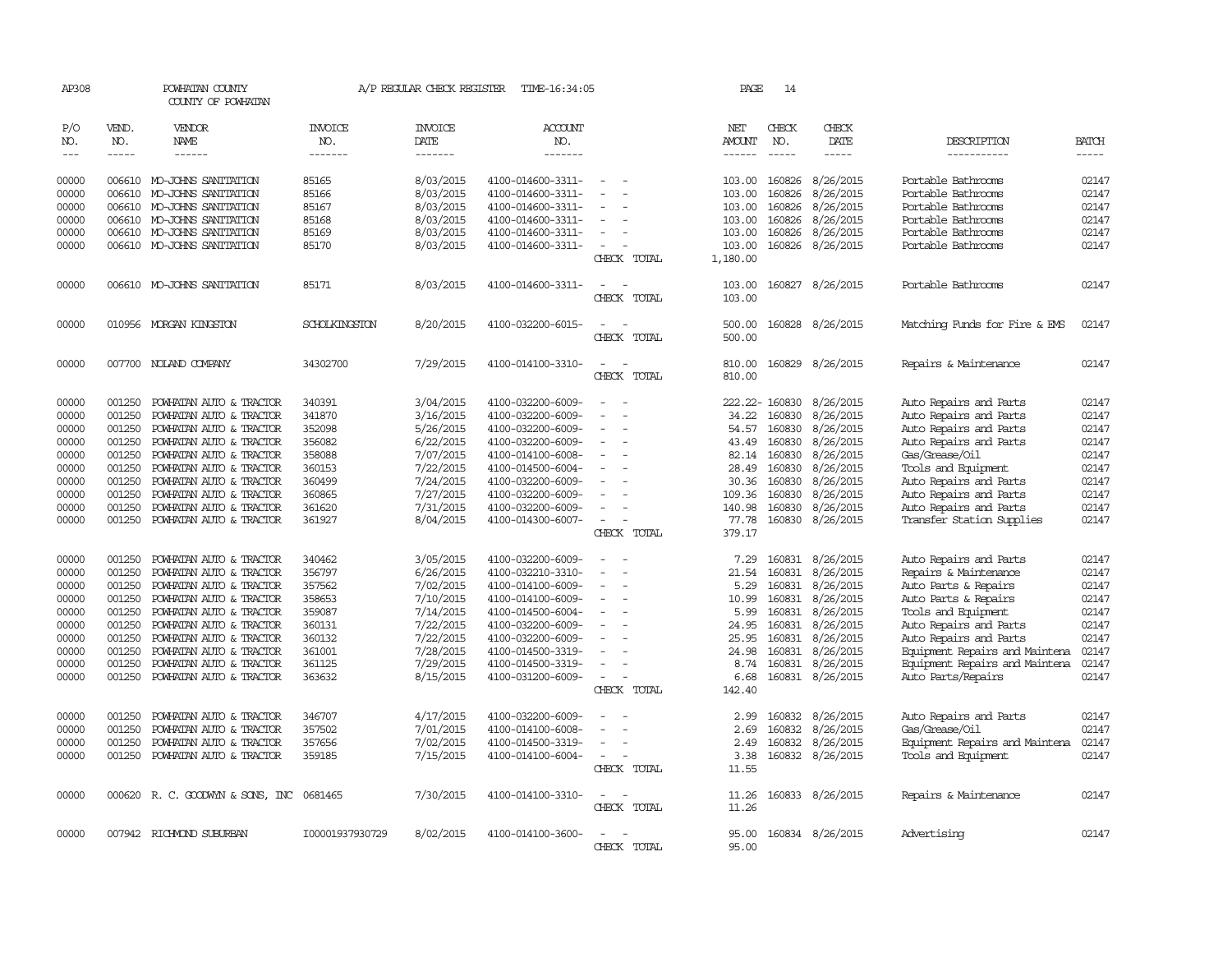| AP308                      |                    | POWHATAN COUNTY<br>COUNTY OF POWHATAN |                 | A/P REGULAR CHECK REGISTER | TIME-16:34:05     |                                                      | PAGE                    | 14                 |                     |                                |                             |
|----------------------------|--------------------|---------------------------------------|-----------------|----------------------------|-------------------|------------------------------------------------------|-------------------------|--------------------|---------------------|--------------------------------|-----------------------------|
| P/O                        | VEND.              | VENDOR                                | <b>INVOICE</b>  | <b>INVOICE</b>             | <b>ACCOUNT</b>    |                                                      | NET                     | CHECK              | CHECK               |                                |                             |
| NO.<br>$\qquad \qquad - -$ | NO.<br>$- - - - -$ | NAME<br>------                        | NO.<br>-------  | DATE<br>-------            | NO.<br>-------    |                                                      | AMOUNT<br>$- - - - - -$ | NO.<br>$- - - - -$ | DATE<br>$- - - - -$ | DESCRIPTION<br>-----------     | <b>BATCH</b><br>$- - - - -$ |
|                            |                    |                                       |                 |                            |                   |                                                      |                         |                    |                     |                                |                             |
| 00000                      |                    | 006610 MO-JOHNS SANITATION            | 85165           | 8/03/2015                  | 4100-014600-3311- |                                                      | 103.00                  | 160826             | 8/26/2015           | Portable Bathrooms             | 02147                       |
| 00000                      | 006610             | MO-JOHNS SANITATION                   | 85166           | 8/03/2015                  | 4100-014600-3311- | $\sim$<br>$\overline{\phantom{a}}$                   | 103.00                  | 160826             | 8/26/2015           | Portable Bathrooms             | 02147                       |
| 00000                      | 006610             | MO-JOHNS SANITATION                   | 85167           | 8/03/2015                  | 4100-014600-3311- |                                                      | 103.00                  | 160826             | 8/26/2015           | Portable Bathrooms             | 02147                       |
| 00000                      | 006610             | MO-JOHNS SANITATION                   | 85168           | 8/03/2015                  | 4100-014600-3311- |                                                      | 103.00                  | 160826             | 8/26/2015           | Portable Bathrooms             | 02147                       |
| 00000                      |                    | 006610 MO-JOHNS SANITATION            | 85169           | 8/03/2015                  | 4100-014600-3311- | $\sim$                                               | 103.00                  | 160826             | 8/26/2015           | Portable Bathrooms             | 02147                       |
| 00000                      |                    | 006610 MO-JOHNS SANITATION            | 85170           | 8/03/2015                  | 4100-014600-3311- |                                                      | 103.00                  | 160826             | 8/26/2015           | Portable Bathrooms             | 02147                       |
|                            |                    |                                       |                 |                            |                   | CHECK TOTAL                                          | 1,180.00                |                    |                     |                                |                             |
|                            |                    |                                       |                 |                            |                   |                                                      |                         |                    |                     |                                |                             |
| 00000                      |                    | 006610 MO-JOHNS SANITATION            | 85171           | 8/03/2015                  | 4100-014600-3311- |                                                      | 103.00                  |                    | 160827 8/26/2015    | Portable Bathrooms             | 02147                       |
|                            |                    |                                       |                 |                            |                   | CHECK TOTAL                                          | 103.00                  |                    |                     |                                |                             |
| 00000                      |                    | 010956 MORGAN KINGSTON                | SCHOLKINGSTON   | 8/20/2015                  | 4100-032200-6015- | $\sim$<br>$\sim$                                     | 500.00                  | 160828             | 8/26/2015           | Matching Funds for Fire & EMS  | 02147                       |
|                            |                    |                                       |                 |                            |                   | CHECK TOTAL                                          | 500.00                  |                    |                     |                                |                             |
|                            |                    |                                       |                 |                            |                   |                                                      |                         |                    |                     |                                |                             |
| 00000                      |                    | 007700 NOLAND COMPANY                 | 34302700        | 7/29/2015                  | 4100-014100-3310- | $\sim$<br>$\sim$                                     | 810.00                  | 160829             | 8/26/2015           | Repairs & Maintenance          | 02147                       |
|                            |                    |                                       |                 |                            |                   | CHECK TOTAL                                          | 810.00                  |                    |                     |                                |                             |
|                            |                    |                                       |                 |                            |                   |                                                      |                         |                    |                     |                                |                             |
| 00000                      | 001250             | POWHATAN AUTO & TRACTOR               | 340391          | 3/04/2015                  | 4100-032200-6009- |                                                      |                         | 222.22-160830      | 8/26/2015           | Auto Repairs and Parts         | 02147                       |
| 00000                      | 001250             | POWHATAN AUTO & TRACTOR               | 341870          | 3/16/2015                  | 4100-032200-6009- |                                                      | 34.22                   | 160830             | 8/26/2015           | Auto Repairs and Parts         | 02147                       |
| 00000                      | 001250             | POWHATAN AUTO & TRACTOR               | 352098          | 5/26/2015                  | 4100-032200-6009- | $\equiv$                                             | 54.57                   | 160830             | 8/26/2015           | Auto Repairs and Parts         | 02147                       |
| 00000                      | 001250             | POWHATAN AUTO & TRACTOR               | 356082          | 6/22/2015                  | 4100-032200-6009- |                                                      | 43.49                   | 160830             | 8/26/2015           | Auto Repairs and Parts         | 02147                       |
| 00000                      | 001250             | POWHATAN AUTO & TRACTOR               | 358088          | 7/07/2015                  | 4100-014100-6008- |                                                      | 82.14                   | 160830             | 8/26/2015           | Gas/Grease/Oil                 | 02147                       |
| 00000                      | 001250             | POWHATAN AUTO & TRACTOR               | 360153          | 7/22/2015                  | 4100-014500-6004- |                                                      | 28.49                   | 160830             | 8/26/2015           | Tools and Equipment            | 02147                       |
| 00000                      | 001250             | POWHATAN AUTO & TRACTOR               | 360499          | 7/24/2015                  | 4100-032200-6009- | $\overline{\phantom{a}}$                             | 30.36                   | 160830             | 8/26/2015           | Auto Repairs and Parts         | 02147                       |
| 00000                      | 001250             | POWHATAN AUTO & TRACTOR               | 360865          | 7/27/2015                  | 4100-032200-6009- |                                                      | 109.36                  | 160830             | 8/26/2015           | Auto Repairs and Parts         | 02147                       |
| 00000                      | 001250             | POWHATAN AUTO & TRACTOR               | 361620          | 7/31/2015                  | 4100-032200-6009- |                                                      | 140.98                  | 160830             | 8/26/2015           | Auto Repairs and Parts         | 02147                       |
| 00000                      | 001250             | POWHATAN AUTO & TRACTOR               | 361927          | 8/04/2015                  | 4100-014300-6007- |                                                      | 77.78                   |                    | 160830 8/26/2015    | Transfer Station Supplies      | 02147                       |
|                            |                    |                                       |                 |                            |                   | CHECK TOTAL                                          | 379.17                  |                    |                     |                                |                             |
| 00000                      | 001250             | POWHATAN AUTO & TRACTOR               | 340462          | 3/05/2015                  | 4100-032200-6009- |                                                      | 7.29                    | 160831             | 8/26/2015           | Auto Repairs and Parts         | 02147                       |
| 00000                      | 001250             | POWHATAN AUTO & TRACTOR               | 356797          | 6/26/2015                  | 4100-032210-3310- |                                                      | 21.54                   | 160831             | 8/26/2015           | Repairs & Maintenance          | 02147                       |
| 00000                      | 001250             | POWHATAN AUTO & TRACTOR               | 357562          | 7/02/2015                  | 4100-014100-6009- | $\sim$<br>$\overline{a}$                             | 5.29                    | 160831             | 8/26/2015           | Auto Parts & Repairs           | 02147                       |
| 00000                      | 001250             | POWHATAN AUTO & TRACTOR               | 358653          | 7/10/2015                  | 4100-014100-6009- | $\overline{a}$                                       | 10.99                   | 160831             | 8/26/2015           | Auto Parts & Repairs           | 02147                       |
| 00000                      | 001250             | POWHATAN AUTO & TRACTOR               | 359087          | 7/14/2015                  | 4100-014500-6004- |                                                      | 5.99                    | 160831             | 8/26/2015           | Tools and Equipment            | 02147                       |
| 00000                      | 001250             | POWHATAN AUTO & TRACTOR               | 360131          | 7/22/2015                  | 4100-032200-6009- |                                                      | 24.95                   | 160831             | 8/26/2015           | Auto Repairs and Parts         | 02147                       |
| 00000                      | 001250             |                                       |                 |                            |                   |                                                      |                         | 160831             |                     |                                | 02147                       |
| 00000                      | 001250             | POWHATAN AUTO & TRACTOR               | 360132          | 7/22/2015                  | 4100-032200-6009- |                                                      | 25.95                   |                    | 8/26/2015           | Auto Repairs and Parts         | 02147                       |
|                            |                    | POWHATAN AUTO & TRACTOR               | 361001          | 7/28/2015                  | 4100-014500-3319- |                                                      | 24.98                   | 160831             | 8/26/2015           | Equipment Repairs and Maintena |                             |
| 00000                      | 001250             | POWHATAN AUTO & TRACTOR               | 361125          | 7/29/2015                  | 4100-014500-3319- |                                                      | 8.74                    | 160831             | 8/26/2015           | Equipment Repairs and Maintena | 02147                       |
| 00000                      | 001250             | POWHATAN AUTO & TRACTOR               | 363632          | 8/15/2015                  | 4100-031200-6009- | $\sim$                                               | 6.68                    |                    | 160831 8/26/2015    | Auto Parts/Repairs             | 02147                       |
|                            |                    |                                       |                 |                            |                   | CHECK TOTAL                                          | 142.40                  |                    |                     |                                |                             |
| 00000                      | 001250             | POWHATAN AUTO & TRACTOR               | 346707          | 4/17/2015                  | 4100-032200-6009- |                                                      | 2.99                    | 160832             | 8/26/2015           | Auto Repairs and Parts         | 02147                       |
| 00000                      | 001250             | POWHATAN AUTO & TRACTOR               | 357502          | 7/01/2015                  | 4100-014100-6008- | $\sim$                                               | 2.69                    | 160832             | 8/26/2015           | Gas/Grease/Oil                 | 02147                       |
| 00000                      | 001250             | POWHATAN AUTO & TRACTOR               | 357656          | 7/02/2015                  | 4100-014500-3319- | $\equiv$                                             | 2.49                    | 160832             | 8/26/2015           | Equipment Repairs and Maintena | 02147                       |
| 00000                      | 001250             | POWHATAN AUTO & TRACTOR               | 359185          | 7/15/2015                  | 4100-014100-6004- | $\overline{\phantom{a}}$<br>$\overline{\phantom{a}}$ | 3.38                    | 160832             | 8/26/2015           | Tools and Equipment            | 02147                       |
|                            |                    |                                       |                 |                            |                   | CHECK TOTAL                                          | 11.55                   |                    |                     |                                |                             |
|                            |                    |                                       |                 |                            |                   |                                                      |                         |                    |                     |                                |                             |
| 00000                      |                    | 000620 R. C. GOODWYN & SONS, INC      | 0681465         | 7/30/2015                  | 4100-014100-3310- | $\overline{\phantom{a}}$                             | 11.26                   | 160833             | 8/26/2015           | Repairs & Maintenance          | 02147                       |
|                            |                    |                                       |                 |                            |                   | CHECK TOTAL                                          | 11.26                   |                    |                     |                                |                             |
| 00000                      |                    | 007942 RICHMOND SUBURBAN              | I00001937930729 | 8/02/2015                  | 4100-014100-3600- |                                                      | 95.00                   |                    | 160834 8/26/2015    | Advertising                    | 02147                       |
|                            |                    |                                       |                 |                            |                   | CHECK TOTAL                                          | 95.00                   |                    |                     |                                |                             |
|                            |                    |                                       |                 |                            |                   |                                                      |                         |                    |                     |                                |                             |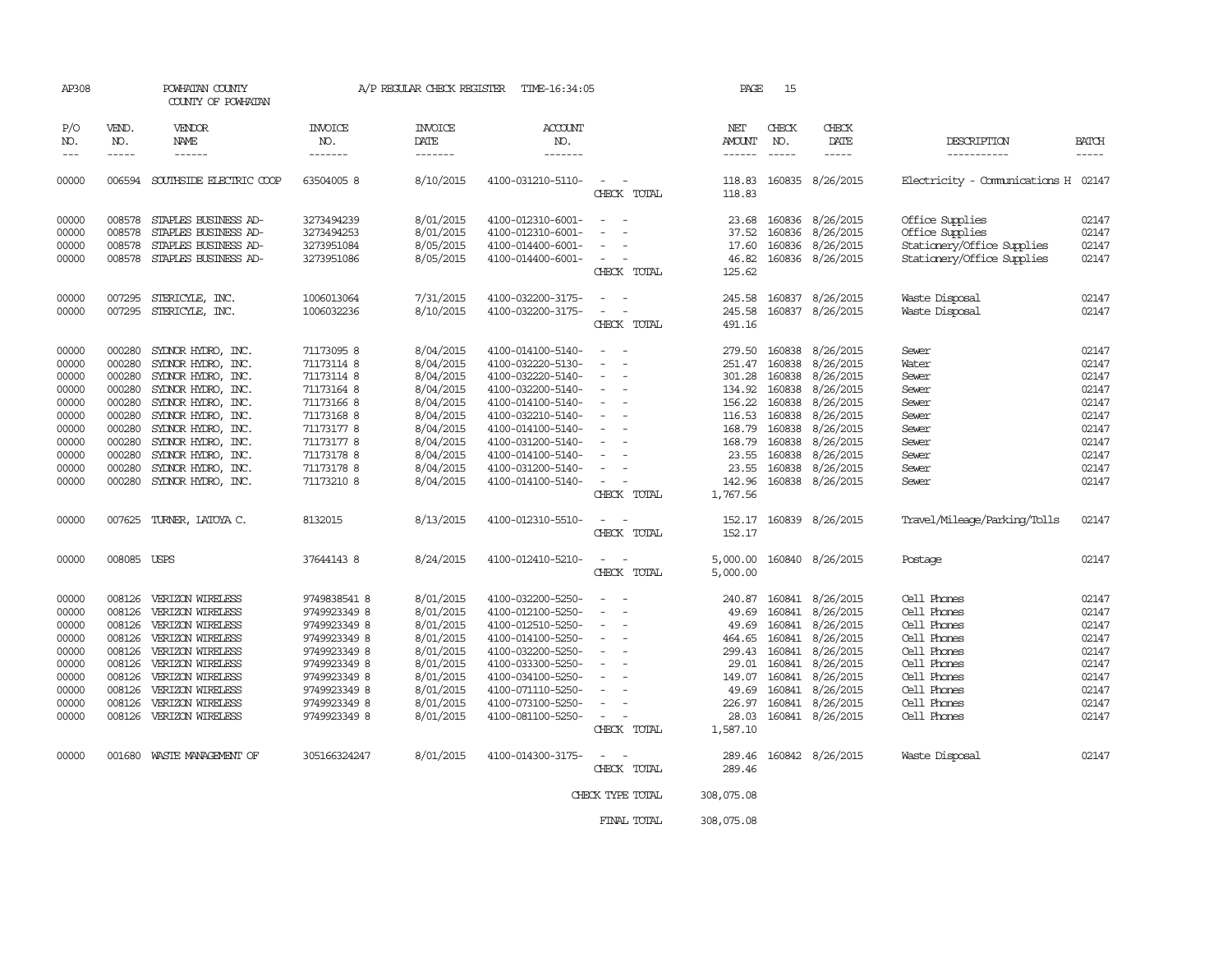| AP308                                                                                           |                                                                                                            | POWHATAN COUNTY<br>COUNTY OF POWHATAN                                                                                                                                                                                                          |                                                                                                                                                                              | A/P REGULAR CHECK REGISTER                                                                                                                  | TIME-16:34:05                                                                                                                                                                                                                       |                                                                                                                                                                         | PAGE                                                                                                    | 15                                                                                     |                                                                                                                                                                         |                                                                                                                                                    |                                                                                                 |
|-------------------------------------------------------------------------------------------------|------------------------------------------------------------------------------------------------------------|------------------------------------------------------------------------------------------------------------------------------------------------------------------------------------------------------------------------------------------------|------------------------------------------------------------------------------------------------------------------------------------------------------------------------------|---------------------------------------------------------------------------------------------------------------------------------------------|-------------------------------------------------------------------------------------------------------------------------------------------------------------------------------------------------------------------------------------|-------------------------------------------------------------------------------------------------------------------------------------------------------------------------|---------------------------------------------------------------------------------------------------------|----------------------------------------------------------------------------------------|-------------------------------------------------------------------------------------------------------------------------------------------------------------------------|----------------------------------------------------------------------------------------------------------------------------------------------------|-------------------------------------------------------------------------------------------------|
| P/O<br>NO.                                                                                      | VEND.<br>NO.<br>-----                                                                                      | VENDOR<br>NAME<br>------                                                                                                                                                                                                                       | INVOICE<br>NO.<br>-------                                                                                                                                                    | <b>INVOICE</b><br>DATE<br>-------                                                                                                           | <b>ACCOUNT</b><br>NO.<br>-------                                                                                                                                                                                                    |                                                                                                                                                                         | NET<br><b>AMOUNT</b><br>$- - - - - -$                                                                   | CHECK<br>NO.<br>$\frac{1}{2}$                                                          | CHECK<br>DATE<br>-----                                                                                                                                                  | DESCRIPTION<br>-----------                                                                                                                         | <b>BATCH</b><br>-----                                                                           |
| 00000                                                                                           |                                                                                                            | 006594 SOUTHSIDE ELECTRIC COOP                                                                                                                                                                                                                 | 63504005 8                                                                                                                                                                   | 8/10/2015                                                                                                                                   | 4100-031210-5110-                                                                                                                                                                                                                   | $\equiv$<br>CHECK TOTAL                                                                                                                                                 | 118.83<br>118.83                                                                                        |                                                                                        | 160835 8/26/2015                                                                                                                                                        | Electricity - Comunications H 02147                                                                                                                |                                                                                                 |
| 00000<br>00000<br>00000<br>00000                                                                | 008578<br>008578<br>008578<br>008578                                                                       | STAPLES BUSINESS AD-<br>STAPLES BUSINESS AD-<br>STAPLES BUSINESS AD-<br>STAPLES BUSINESS AD-                                                                                                                                                   | 3273494239<br>3273494253<br>3273951084<br>3273951086                                                                                                                         | 8/01/2015<br>8/01/2015<br>8/05/2015<br>8/05/2015                                                                                            | 4100-012310-6001-<br>4100-012310-6001-<br>4100-014400-6001-<br>4100-014400-6001-                                                                                                                                                    | $\equiv$<br>$\sim$<br>$\overline{\phantom{a}}$<br>CHECK TOTAL                                                                                                           | 23.68<br>37.52<br>17.60<br>46.82<br>125.62                                                              |                                                                                        | 160836 8/26/2015<br>160836 8/26/2015<br>160836 8/26/2015<br>160836 8/26/2015                                                                                            | Office Supplies<br>Office Supplies<br>Stationery/Office Supplies<br>Stationery/Office Supplies                                                     | 02147<br>02147<br>02147<br>02147                                                                |
| 00000<br>00000                                                                                  | 007295<br>007295                                                                                           | STERICYLE, INC.<br>STERICYLE, INC.                                                                                                                                                                                                             | 1006013064<br>1006032236                                                                                                                                                     | 7/31/2015<br>8/10/2015                                                                                                                      | 4100-032200-3175-<br>4100-032200-3175-                                                                                                                                                                                              | $\frac{1}{2} \left( \frac{1}{2} \right) \left( \frac{1}{2} \right) = \frac{1}{2} \left( \frac{1}{2} \right)$<br>$\overline{\phantom{a}}$<br>CHECK TOTAL                 | 245.58<br>245.58<br>491.16                                                                              |                                                                                        | 160837 8/26/2015<br>160837 8/26/2015                                                                                                                                    | Waste Disposal<br>Waste Disposal                                                                                                                   | 02147<br>02147                                                                                  |
| 00000<br>00000<br>00000<br>00000<br>00000<br>00000<br>00000<br>00000<br>00000<br>00000<br>00000 | 000280<br>000280<br>000280<br>000280<br>000280<br>000280<br>000280<br>000280<br>000280<br>000280<br>000280 | SYDNOR HYDRO, INC.<br>SYDNOR HYDRO, INC.<br>SYDNOR HYDRO, INC.<br>SYLNOR HYDRO, INC.<br>SYDNOR HYDRO, INC.<br>SYLNOR HYDRO, INC.<br>SYLNOR HYDRO, INC.<br>SYLNOR HYDRO, INC.<br>SYDNOR HYDRO, INC.<br>SYLNOR HYDRO, INC.<br>SYDNOR HYDRO, INC. | 71173095 8<br>71173114 8<br>71173114 8<br>71173164 8<br>71173166 8<br>71173168 8<br>71173177 8<br>71173177 8<br>71173178 8<br>71173178 8<br>71173210 8                       | 8/04/2015<br>8/04/2015<br>8/04/2015<br>8/04/2015<br>8/04/2015<br>8/04/2015<br>8/04/2015<br>8/04/2015<br>8/04/2015<br>8/04/2015<br>8/04/2015 | 4100-014100-5140-<br>4100-032220-5130-<br>4100-032220-5140-<br>4100-032200-5140-<br>4100-014100-5140-<br>4100-032210-5140-<br>4100-014100-5140-<br>4100-031200-5140-<br>4100-014100-5140-<br>4100-031200-5140-<br>4100-014100-5140- | $\overline{\phantom{a}}$<br>$\equiv$<br>$\overline{\phantom{a}}$<br>$\overline{\phantom{a}}$<br>$\sim$<br>$\equiv$<br>$\overline{\phantom{a}}$<br>$\sim$<br>CHECK TOTAL | 279.50<br>134.92<br>156.22<br>116.53 160838<br>168.79<br>168.79<br>23.55<br>23.55<br>142.96<br>1,767.56 | 251.47 160838<br>301.28 160838<br>160838<br>160838<br>160838<br>160838                 | 160838 8/26/2015<br>8/26/2015<br>8/26/2015<br>8/26/2015<br>8/26/2015<br>8/26/2015<br>8/26/2015<br>8/26/2015<br>160838 8/26/2015<br>160838 8/26/2015<br>160838 8/26/2015 | Sewer<br>Water<br>Sewer<br>Sewer<br>Sewer<br>Sewer<br>Sewer<br>Sewer<br>Sewer<br>Sewer<br>Sewer                                                    | 02147<br>02147<br>02147<br>02147<br>02147<br>02147<br>02147<br>02147<br>02147<br>02147<br>02147 |
| 00000                                                                                           | 007625                                                                                                     | TURNER, LATOYA C.                                                                                                                                                                                                                              | 8132015                                                                                                                                                                      | 8/13/2015                                                                                                                                   | 4100-012310-5510-                                                                                                                                                                                                                   | CHECK TOTAL                                                                                                                                                             | 152.17                                                                                                  |                                                                                        | 152.17 160839 8/26/2015                                                                                                                                                 | Travel/Mileage/Parking/Tolls                                                                                                                       | 02147                                                                                           |
| 00000                                                                                           | 008085 USPS                                                                                                |                                                                                                                                                                                                                                                | 37644143 8                                                                                                                                                                   | 8/24/2015                                                                                                                                   | 4100-012410-5210-                                                                                                                                                                                                                   | CHECK TOTAL                                                                                                                                                             | 5,000.00<br>5,000.00                                                                                    |                                                                                        | 160840 8/26/2015                                                                                                                                                        | Postage                                                                                                                                            | 02147                                                                                           |
| 00000<br>00000<br>00000<br>00000<br>00000<br>00000<br>00000<br>00000<br>00000<br>00000<br>00000 | 008126<br>008126<br>008126<br>008126<br>008126<br>008126<br>008126<br>008126<br>008126<br>008126           | VERIZON WIRELESS<br>VERIZON WIRELESS<br>VERIZON WIRELESS<br>VERIZON WIRELESS<br>VERIZON WIRELESS<br>VERIZON WIRELESS<br>VERIZON WIRELESS<br>VERIZON WIRELESS<br>VERIZON WIRELESS<br>VERIZON WIRELESS<br>001680 WASTE MANAGEMENT OF             | 9749838541 8<br>9749923349 8<br>9749923349 8<br>9749923349 8<br>9749923349 8<br>9749923349 8<br>9749923349 8<br>9749923349 8<br>9749923349 8<br>9749923349 8<br>305166324247 | 8/01/2015<br>8/01/2015<br>8/01/2015<br>8/01/2015<br>8/01/2015<br>8/01/2015<br>8/01/2015<br>8/01/2015<br>8/01/2015<br>8/01/2015              | 4100-032200-5250-<br>4100-012100-5250-<br>4100-012510-5250-<br>4100-014100-5250-<br>4100-032200-5250-<br>4100-033300-5250-<br>4100-034100-5250-<br>4100-071110-5250-<br>4100-073100-5250-<br>4100-081100-5250-                      | $\equiv$<br>$\overline{\phantom{a}}$<br>$\equiv$<br>$\sim$<br>$\equiv$<br>$\overline{\phantom{a}}$<br>CHECK TOTAL<br>$\overline{\phantom{a}}$                           | 240.87<br>49.69<br>49.69<br>464.65<br>299.43<br>29.01<br>149.07<br>49.69<br>226.97<br>28.03<br>1,587.10 | 160841<br>160841<br>160841<br>160841<br>160841<br>160841<br>160841<br>160841<br>160841 | 8/26/2015<br>8/26/2015<br>8/26/2015<br>8/26/2015<br>8/26/2015<br>8/26/2015<br>8/26/2015<br>8/26/2015<br>8/26/2015<br>160841 8/26/2015                                   | Cell Phones<br>Cell Phones<br>Cell Phones<br>Cell Phones<br>Cell Phones<br>Cell Phones<br>Cell Phones<br>Cell Phones<br>Cell Phones<br>Cell Phones | 02147<br>02147<br>02147<br>02147<br>02147<br>02147<br>02147<br>02147<br>02147<br>02147<br>02147 |
|                                                                                                 |                                                                                                            |                                                                                                                                                                                                                                                |                                                                                                                                                                              | 8/01/2015                                                                                                                                   | 4100-014300-3175-                                                                                                                                                                                                                   | CHECK TOTAL                                                                                                                                                             | 289.46<br>289.46                                                                                        |                                                                                        | 160842 8/26/2015                                                                                                                                                        | Waste Disposal                                                                                                                                     |                                                                                                 |
|                                                                                                 |                                                                                                            |                                                                                                                                                                                                                                                |                                                                                                                                                                              |                                                                                                                                             |                                                                                                                                                                                                                                     | CHECK TYPE TOTAL                                                                                                                                                        | 308,075.08                                                                                              |                                                                                        |                                                                                                                                                                         |                                                                                                                                                    |                                                                                                 |
|                                                                                                 |                                                                                                            |                                                                                                                                                                                                                                                |                                                                                                                                                                              |                                                                                                                                             |                                                                                                                                                                                                                                     | FINAL TOTAL                                                                                                                                                             | 308,075.08                                                                                              |                                                                                        |                                                                                                                                                                         |                                                                                                                                                    |                                                                                                 |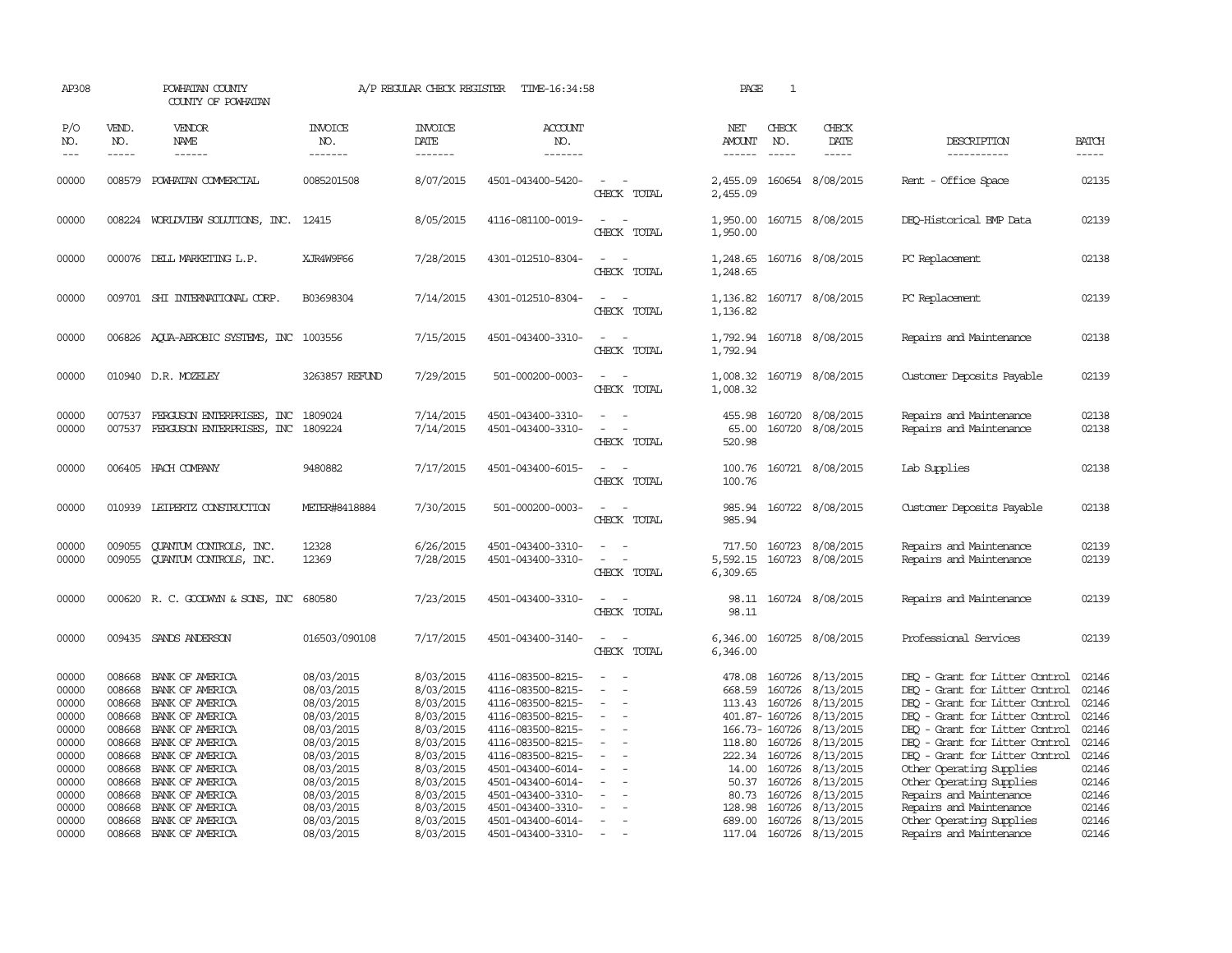|                                                                                                                      | POWHATAN COUNTY<br>COUNTY OF POWHATAN                                                                                                                                                                         |                                                                                                                                                                                                                                                                                                                        |                                                                                                                                                                       | TIME-16:34:58                                                                                                                                                                                                                                                                 |                                                                     | PAGE                                                                                | $\mathbf{1}$                  |                                                                                                                                             |                                                                                                                                                                                                                                                                                                                                                                                                                 |                                                                                                                   |
|----------------------------------------------------------------------------------------------------------------------|---------------------------------------------------------------------------------------------------------------------------------------------------------------------------------------------------------------|------------------------------------------------------------------------------------------------------------------------------------------------------------------------------------------------------------------------------------------------------------------------------------------------------------------------|-----------------------------------------------------------------------------------------------------------------------------------------------------------------------|-------------------------------------------------------------------------------------------------------------------------------------------------------------------------------------------------------------------------------------------------------------------------------|---------------------------------------------------------------------|-------------------------------------------------------------------------------------|-------------------------------|---------------------------------------------------------------------------------------------------------------------------------------------|-----------------------------------------------------------------------------------------------------------------------------------------------------------------------------------------------------------------------------------------------------------------------------------------------------------------------------------------------------------------------------------------------------------------|-------------------------------------------------------------------------------------------------------------------|
| VEND.<br>NO.<br>$- - - - -$                                                                                          | VENDOR<br><b>NAME</b><br>------                                                                                                                                                                               | INVOICE<br>NO.<br>-------                                                                                                                                                                                                                                                                                              | <b>INVOICE</b><br>DATE<br>-------                                                                                                                                     | <b>ACCOUNT</b><br>NO.<br>-------                                                                                                                                                                                                                                              |                                                                     | NET<br>AMOUNT<br>------                                                             | CHECK<br>NO.<br>$\frac{1}{2}$ | CHECK<br>DATE<br>$- - - - -$                                                                                                                | DESCRIPTION<br>-----------                                                                                                                                                                                                                                                                                                                                                                                      | <b>BATCH</b><br>$- - - - -$                                                                                       |
|                                                                                                                      |                                                                                                                                                                                                               | 0085201508                                                                                                                                                                                                                                                                                                             | 8/07/2015                                                                                                                                                             | 4501-043400-5420-                                                                                                                                                                                                                                                             | CHECK TOTAL                                                         | 2,455.09<br>2,455.09                                                                |                               |                                                                                                                                             | Rent - Office Space                                                                                                                                                                                                                                                                                                                                                                                             | 02135                                                                                                             |
|                                                                                                                      |                                                                                                                                                                                                               | 12415                                                                                                                                                                                                                                                                                                                  | 8/05/2015                                                                                                                                                             | 4116-081100-0019-                                                                                                                                                                                                                                                             | $\overline{\phantom{a}}$<br>$\overline{a}$<br>CHECK TOTAL           | 1,950.00<br>1,950.00                                                                |                               |                                                                                                                                             | DEO-Historical BMP Data                                                                                                                                                                                                                                                                                                                                                                                         | 02139                                                                                                             |
|                                                                                                                      |                                                                                                                                                                                                               | XJR4W9F66                                                                                                                                                                                                                                                                                                              | 7/28/2015                                                                                                                                                             | 4301-012510-8304-                                                                                                                                                                                                                                                             | CHECK TOTAL                                                         | 1,248.65<br>1,248.65                                                                |                               |                                                                                                                                             | PC Replacement                                                                                                                                                                                                                                                                                                                                                                                                  | 02138                                                                                                             |
|                                                                                                                      |                                                                                                                                                                                                               | B03698304                                                                                                                                                                                                                                                                                                              | 7/14/2015                                                                                                                                                             | 4301-012510-8304-                                                                                                                                                                                                                                                             | $\overline{\phantom{0}}$<br>$\overline{\phantom{a}}$<br>CHECK TOTAL | 1,136.82<br>1,136.82                                                                |                               |                                                                                                                                             | PC Replacement                                                                                                                                                                                                                                                                                                                                                                                                  | 02139                                                                                                             |
|                                                                                                                      |                                                                                                                                                                                                               |                                                                                                                                                                                                                                                                                                                        | 7/15/2015                                                                                                                                                             | 4501-043400-3310-                                                                                                                                                                                                                                                             | CHECK TOTAL                                                         | 1,792.94<br>1,792.94                                                                |                               |                                                                                                                                             | Repairs and Maintenance                                                                                                                                                                                                                                                                                                                                                                                         | 02138                                                                                                             |
|                                                                                                                      |                                                                                                                                                                                                               | 3263857 REFUND                                                                                                                                                                                                                                                                                                         | 7/29/2015                                                                                                                                                             | 501-000200-0003-                                                                                                                                                                                                                                                              | CHECK TOTAL                                                         | 1,008.32<br>1,008.32                                                                |                               |                                                                                                                                             | Customer Deposits Payable                                                                                                                                                                                                                                                                                                                                                                                       | 02139                                                                                                             |
| 007537<br>007537                                                                                                     | FERGUSON ENTERPRISES, INC<br>FERGUSON ENTERPRISES, INC                                                                                                                                                        | 1809024<br>1809224                                                                                                                                                                                                                                                                                                     | 7/14/2015<br>7/14/2015                                                                                                                                                | 4501-043400-3310-<br>4501-043400-3310-                                                                                                                                                                                                                                        | CHECK TOTAL                                                         | 455.98<br>65.00<br>520.98                                                           | 160720                        | 8/08/2015                                                                                                                                   | Repairs and Maintenance<br>Repairs and Maintenance                                                                                                                                                                                                                                                                                                                                                              | 02138<br>02138                                                                                                    |
|                                                                                                                      |                                                                                                                                                                                                               | 9480882                                                                                                                                                                                                                                                                                                                | 7/17/2015                                                                                                                                                             | 4501-043400-6015-                                                                                                                                                                                                                                                             | $\equiv$<br>CHECK TOTAL                                             | 100.76<br>100.76                                                                    |                               |                                                                                                                                             | Lab Supplies                                                                                                                                                                                                                                                                                                                                                                                                    | 02138                                                                                                             |
|                                                                                                                      |                                                                                                                                                                                                               | METER#8418884                                                                                                                                                                                                                                                                                                          | 7/30/2015                                                                                                                                                             | 501-000200-0003-                                                                                                                                                                                                                                                              | $\sim$<br>CHECK TOTAL                                               | 985.94<br>985.94                                                                    |                               |                                                                                                                                             | Customer Deposits Payable                                                                                                                                                                                                                                                                                                                                                                                       | 02138                                                                                                             |
| 009055<br>009055                                                                                                     | QUANTUM CONTROLS, INC.<br><b>QUANTUM CONTROLS, INC.</b>                                                                                                                                                       | 12328<br>12369                                                                                                                                                                                                                                                                                                         | 6/26/2015<br>7/28/2015                                                                                                                                                | 4501-043400-3310-<br>4501-043400-3310-                                                                                                                                                                                                                                        | $\equiv$<br>CHECK TOTAL                                             | 717.50<br>5,592.15<br>6,309.65                                                      |                               |                                                                                                                                             | Repairs and Maintenance<br>Repairs and Maintenance                                                                                                                                                                                                                                                                                                                                                              | 02139<br>02139                                                                                                    |
|                                                                                                                      |                                                                                                                                                                                                               |                                                                                                                                                                                                                                                                                                                        | 7/23/2015                                                                                                                                                             | 4501-043400-3310-                                                                                                                                                                                                                                                             | CHECK TOTAL                                                         | 98.11                                                                               |                               |                                                                                                                                             | Repairs and Maintenance                                                                                                                                                                                                                                                                                                                                                                                         | 02139                                                                                                             |
|                                                                                                                      |                                                                                                                                                                                                               | 016503/090108                                                                                                                                                                                                                                                                                                          | 7/17/2015                                                                                                                                                             | 4501-043400-3140-                                                                                                                                                                                                                                                             | CHECK TOTAL                                                         | 6,346.00<br>6,346.00                                                                |                               |                                                                                                                                             | Professional Services                                                                                                                                                                                                                                                                                                                                                                                           | 02139                                                                                                             |
| 008668<br>008668<br>008668<br>008668<br>008668<br>008668<br>008668<br>008668<br>008668<br>008668<br>008668<br>008668 | BANK OF AMERICA<br>BANK OF AMERICA<br>BANK OF AMERICA<br>BANK OF AMERICA<br>BANK OF AMERICA<br>BANK OF AMERICA<br>BANK OF AMERICA<br>BANK OF AMERICA<br>BANK OF AMERICA<br>BANK OF AMERICA<br>BANK OF AMERICA | 08/03/2015<br>08/03/2015<br>08/03/2015<br>08/03/2015<br>08/03/2015<br>08/03/2015<br>08/03/2015<br>08/03/2015<br>08/03/2015<br>08/03/2015<br>08/03/2015<br>08/03/2015<br>08/03/2015                                                                                                                                     | 8/03/2015<br>8/03/2015<br>8/03/2015<br>8/03/2015<br>8/03/2015<br>8/03/2015<br>8/03/2015<br>8/03/2015<br>8/03/2015<br>8/03/2015<br>8/03/2015<br>8/03/2015<br>8/03/2015 | 4116-083500-8215-<br>4116-083500-8215-<br>4116-083500-8215-<br>4116-083500-8215-<br>4116-083500-8215-<br>4116-083500-8215-<br>4116-083500-8215-<br>4501-043400-6014-<br>4501-043400-6014-<br>4501-043400-3310-<br>4501-043400-3310-<br>4501-043400-6014-<br>4501-043400-3310- | $\sim$<br>$\sim$<br>$\overline{\phantom{a}}$                        | 478.08<br>668.59<br>113.43<br>222.34<br>14.00<br>50.37<br>80.73<br>128.98<br>689.00 | 160726<br>160726<br>160726    | 8/13/2015<br>8/13/2015<br>8/13/2015<br>8/13/2015<br>8/13/2015<br>8/13/2015<br>8/13/2015<br>8/13/2015<br>8/13/2015<br>8/13/2015<br>8/13/2015 | DEO - Grant for Litter Control<br>DEO - Grant for Litter Control<br>DEO - Grant for Litter Control<br>DEO - Grant for Litter Control<br>DEO - Grant for Litter Control<br>DEO - Grant for Litter Control<br>DEQ - Grant for Litter Control<br>Other Operating Supplies<br>Other Operating Supplies<br>Repairs and Maintenance<br>Repairs and Maintenance<br>Other Operating Supplies<br>Repairs and Maintenance | 02146<br>02146<br>02146<br>02146<br>02146<br>02146<br>02146<br>02146<br>02146<br>02146<br>02146<br>02146<br>02146 |
|                                                                                                                      |                                                                                                                                                                                                               | 008579 POWHATAN COMMERCIAL<br>008224 WORLDVIEW SOLUTIONS, INC.<br>000076 DELL MARKETING L.P.<br>009701 SHI INTERNATIONAL CORP.<br>006826 AQUA-AEROBIC SYSTEMS, INC<br>010940 D.R. MOZELEY<br>006405 HACH COMPANY<br>010939 LEIPERTZ CONSTRUCTION<br>009435 SANDS ANDERSON<br>BANK OF AMERICA<br>008668 BANK OF AMERICA | 1003556<br>000620 R. C. GOODWYN & SONS, INC 680580                                                                                                                    |                                                                                                                                                                                                                                                                               | A/P REGULAR CHECK REGISTER                                          |                                                                                     |                               | 160726<br>401.87- 160726<br>166.73-160726<br>118.80 160726<br>160726<br>160726<br>160726<br>160726                                          | 160654 8/08/2015<br>160715 8/08/2015<br>160716 8/08/2015<br>160717 8/08/2015<br>160718 8/08/2015<br>160719 8/08/2015<br>160720 8/08/2015<br>160721 8/08/2015<br>160722 8/08/2015<br>160723 8/08/2015<br>160723 8/08/2015<br>98.11 160724 8/08/2015<br>160725 8/08/2015<br>160726 8/13/2015<br>117.04 160726 8/13/2015                                                                                           |                                                                                                                   |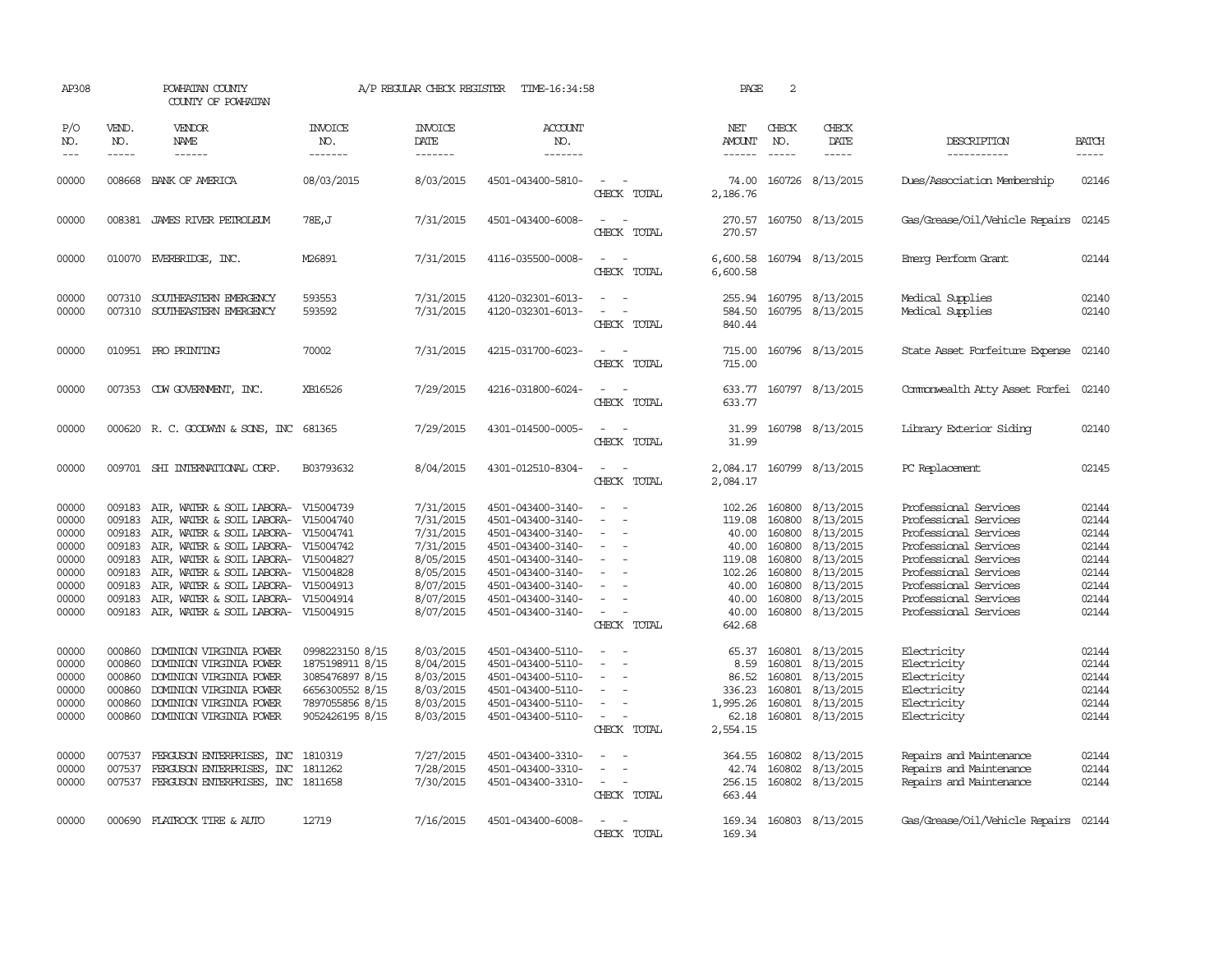| AP308                                                                         |                                                                                        | POWHATAN COUNTY<br>COUNTY OF POWHATAN                                                                                                                                                                                                                                                           | A/P REGULAR CHECK REGISTER                                                                                     | TIME-16:34:58                                                                                                     | PAGE                                                                                                                                                                                      | 2                                                                                                                                     |                                                                                             |                                                                                        |                                                                                                                   |                                                                                                                                                                                                                               |                                                                               |
|-------------------------------------------------------------------------------|----------------------------------------------------------------------------------------|-------------------------------------------------------------------------------------------------------------------------------------------------------------------------------------------------------------------------------------------------------------------------------------------------|----------------------------------------------------------------------------------------------------------------|-------------------------------------------------------------------------------------------------------------------|-------------------------------------------------------------------------------------------------------------------------------------------------------------------------------------------|---------------------------------------------------------------------------------------------------------------------------------------|---------------------------------------------------------------------------------------------|----------------------------------------------------------------------------------------|-------------------------------------------------------------------------------------------------------------------|-------------------------------------------------------------------------------------------------------------------------------------------------------------------------------------------------------------------------------|-------------------------------------------------------------------------------|
| P/O<br>NO.<br>$---$                                                           | VEND.<br>NO.                                                                           | VENDOR<br>NAME<br>$- - - - - -$                                                                                                                                                                                                                                                                 | INVOICE<br>NO.<br>-------                                                                                      | <b>INVOICE</b><br>DATE<br>$- - - - - - -$                                                                         | ACCOUNT<br>NO.<br>-------                                                                                                                                                                 |                                                                                                                                       | NET<br>AMOUNT<br>------                                                                     | CHECK<br>NO.<br>$\frac{1}{2}$                                                          | CHECK<br>DATE<br>$- - - - -$                                                                                      | DESCRIPTION<br>-----------                                                                                                                                                                                                    | <b>BATCH</b><br>-----                                                         |
| 00000                                                                         |                                                                                        | 008668 BANK OF AMERICA                                                                                                                                                                                                                                                                          | 08/03/2015                                                                                                     | 8/03/2015                                                                                                         | 4501-043400-5810-                                                                                                                                                                         | $\sim$<br>CHECK TOTAL                                                                                                                 | 74.00<br>2,186.76                                                                           |                                                                                        | 160726 8/13/2015                                                                                                  | Dues/Association Membership                                                                                                                                                                                                   | 02146                                                                         |
| 00000                                                                         |                                                                                        | 008381 JAMES RIVER PETROLEUM                                                                                                                                                                                                                                                                    | 78E, J                                                                                                         | 7/31/2015                                                                                                         | 4501-043400-6008-                                                                                                                                                                         | CHECK TOTAL                                                                                                                           | 270.57<br>270.57                                                                            |                                                                                        | 160750 8/13/2015                                                                                                  | Gas/Grease/Oil/Vehicle Repairs                                                                                                                                                                                                | 02145                                                                         |
| 00000                                                                         |                                                                                        | 010070 EVERBRIDGE, INC.                                                                                                                                                                                                                                                                         | M26891                                                                                                         | 7/31/2015                                                                                                         | 4116-035500-0008-                                                                                                                                                                         | $\sim$ $\sim$<br>CHECK TOTAL                                                                                                          | 6,600.58<br>6,600.58                                                                        |                                                                                        | 160794 8/13/2015                                                                                                  | Emerg Perform Grant                                                                                                                                                                                                           | 02144                                                                         |
| 00000<br>00000                                                                |                                                                                        | 007310 SOUTHEASTERN EMERGENCY<br>007310 SOUTHEASTERN EMERGENCY                                                                                                                                                                                                                                  | 593553<br>593592                                                                                               | 7/31/2015<br>7/31/2015                                                                                            | 4120-032301-6013-<br>4120-032301-6013-                                                                                                                                                    | $\equiv$<br>$\overline{\phantom{a}}$<br>CHECK TOTAL                                                                                   | 584.50<br>840.44                                                                            |                                                                                        | 255.94 160795 8/13/2015<br>160795 8/13/2015                                                                       | Medical Supplies<br>Medical Supplies                                                                                                                                                                                          | 02140<br>02140                                                                |
| 00000                                                                         |                                                                                        | 010951 PRO PRINTING                                                                                                                                                                                                                                                                             | 70002                                                                                                          | 7/31/2015                                                                                                         | 4215-031700-6023-                                                                                                                                                                         | CHECK TOTAL                                                                                                                           | 715.00<br>715.00                                                                            |                                                                                        | 160796 8/13/2015                                                                                                  | State Asset Forfeiture Expense                                                                                                                                                                                                | 02140                                                                         |
| 00000                                                                         |                                                                                        | 007353 CDW GOVERNMENT, INC.                                                                                                                                                                                                                                                                     | XB16526                                                                                                        | 7/29/2015                                                                                                         | 4216-031800-6024-                                                                                                                                                                         | CHECK TOTAL                                                                                                                           | 633.77                                                                                      |                                                                                        | 633.77 160797 8/13/2015                                                                                           | Commonwealth Atty Asset Forfei 02140                                                                                                                                                                                          |                                                                               |
| 00000                                                                         |                                                                                        | 000620 R. C. GOODWYN & SONS, INC                                                                                                                                                                                                                                                                | 681365                                                                                                         | 7/29/2015                                                                                                         | 4301-014500-0005-                                                                                                                                                                         | CHECK TOTAL                                                                                                                           | 31.99<br>31.99                                                                              |                                                                                        | 160798 8/13/2015                                                                                                  | Library Exterior Siding                                                                                                                                                                                                       | 02140                                                                         |
| 00000                                                                         |                                                                                        | 009701 SHI INTERNATIONAL CORP.                                                                                                                                                                                                                                                                  | B03793632                                                                                                      | 8/04/2015                                                                                                         | 4301-012510-8304-                                                                                                                                                                         | $\overline{\phantom{a}}$<br>CHECK TOTAL                                                                                               | 2,084.17<br>2,084.17                                                                        |                                                                                        | 160799 8/13/2015                                                                                                  | PC Replacement                                                                                                                                                                                                                | 02145                                                                         |
| 00000<br>00000<br>00000<br>00000<br>00000<br>00000<br>00000<br>00000<br>00000 | 009183<br>009183<br>009183<br>009183<br>009183<br>009183<br>009183<br>009183<br>009183 | AIR, WATER & SOIL LABORA-<br>AIR, WATER & SOIL LABORA-<br>AIR, WATER & SOIL LABORA- V15004741<br>AIR, WATER & SOIL LABORA- V15004742<br>AIR, WATER & SOIL LABORA- V15004827<br>AIR, WATER & SOIL LABORA-<br>AIR, WATER & SOIL LABORA-<br>AIR, WATER & SOIL LABORA-<br>AIR, WATER & SOIL LABORA- | V15004739<br>V15004740<br>V15004828<br>V15004913<br>V15004914<br>V15004915                                     | 7/31/2015<br>7/31/2015<br>7/31/2015<br>7/31/2015<br>8/05/2015<br>8/05/2015<br>8/07/2015<br>8/07/2015<br>8/07/2015 | 4501-043400-3140-<br>4501-043400-3140-<br>4501-043400-3140-<br>4501-043400-3140-<br>4501-043400-3140-<br>4501-043400-3140-<br>4501-043400-3140-<br>4501-043400-3140-<br>4501-043400-3140- | $\overline{\phantom{a}}$<br>$\overline{\phantom{a}}$<br>$\sim$<br>$\overline{\phantom{a}}$<br>$\overline{\phantom{a}}$<br>CHECK TOTAL | 102.26<br>119.08<br>40.00<br>40.00<br>119.08<br>102.26<br>40.00<br>40.00<br>40.00<br>642.68 | 160800<br>160800<br>160800<br>160800<br>160800<br>160800<br>160800<br>160800<br>160800 | 8/13/2015<br>8/13/2015<br>8/13/2015<br>8/13/2015<br>8/13/2015<br>8/13/2015<br>8/13/2015<br>8/13/2015<br>8/13/2015 | Professional Services<br>Professional Services<br>Professional Services<br>Professional Services<br>Professional Services<br>Professional Services<br>Professional Services<br>Professional Services<br>Professional Services | 02144<br>02144<br>02144<br>02144<br>02144<br>02144<br>02144<br>02144<br>02144 |
| 00000<br>00000<br>00000<br>00000<br>00000<br>00000                            | 000860<br>000860<br>000860<br>000860<br>000860                                         | DOMINION VIRGINIA POWER<br>DOMINION VIRGINIA POWER<br>DOMINION VIRGINIA POWER<br>DOMINION VIRGINIA POWER<br>DOMINION VIRGINIA POWER<br>000860 DOMINION VIRGINIA POWER                                                                                                                           | 0998223150 8/15<br>1875198911 8/15<br>3085476897 8/15<br>6656300552 8/15<br>7897055856 8/15<br>9052426195 8/15 | 8/03/2015<br>8/04/2015<br>8/03/2015<br>8/03/2015<br>8/03/2015<br>8/03/2015                                        | 4501-043400-5110-<br>4501-043400-5110-<br>4501-043400-5110-<br>4501-043400-5110-<br>4501-043400-5110-<br>4501-043400-5110-                                                                | $\sim$<br>$\equiv$<br>$\sim$<br>$\overline{\phantom{a}}$<br>CHECK TOTAL                                                               | 65.37<br>8.59<br>86.52<br>336.23<br>1,995.26<br>62.18<br>2,554.15                           | 160801<br>160801<br>160801<br>160801                                                   | 8/13/2015<br>8/13/2015<br>8/13/2015<br>160801 8/13/2015<br>8/13/2015<br>160801 8/13/2015                          | Electricity<br>Electricity<br>Electricity<br>Electricity<br>Electricity<br>Electricity                                                                                                                                        | 02144<br>02144<br>02144<br>02144<br>02144<br>02144                            |
| 00000<br>00000<br>00000                                                       | 007537<br>007537                                                                       | FERGUSON ENTERPRISES, INC<br>FERGUSON ENTERPRISES, INC<br>007537 FERGUSON ENTERPRISES, INC 1811658                                                                                                                                                                                              | 1810319<br>1811262                                                                                             | 7/27/2015<br>7/28/2015<br>7/30/2015                                                                               | 4501-043400-3310-<br>4501-043400-3310-<br>4501-043400-3310-                                                                                                                               | $\sim$<br>CHECK TOTAL                                                                                                                 | 364.55<br>42.74<br>663.44                                                                   | 160802                                                                                 | 160802 8/13/2015<br>8/13/2015<br>256.15 160802 8/13/2015                                                          | Repairs and Maintenance<br>Repairs and Maintenance<br>Repairs and Maintenance                                                                                                                                                 | 02144<br>02144<br>02144                                                       |
| 00000                                                                         |                                                                                        | 000690 FLATROCK TIRE & AUTO                                                                                                                                                                                                                                                                     | 12719                                                                                                          | 7/16/2015                                                                                                         | 4501-043400-6008-                                                                                                                                                                         | $\sim$<br>CHECK TOTAL                                                                                                                 | 169.34<br>169.34                                                                            |                                                                                        | 160803 8/13/2015                                                                                                  | Gas/Grease/Oil/Vehicle Repairs                                                                                                                                                                                                | 02144                                                                         |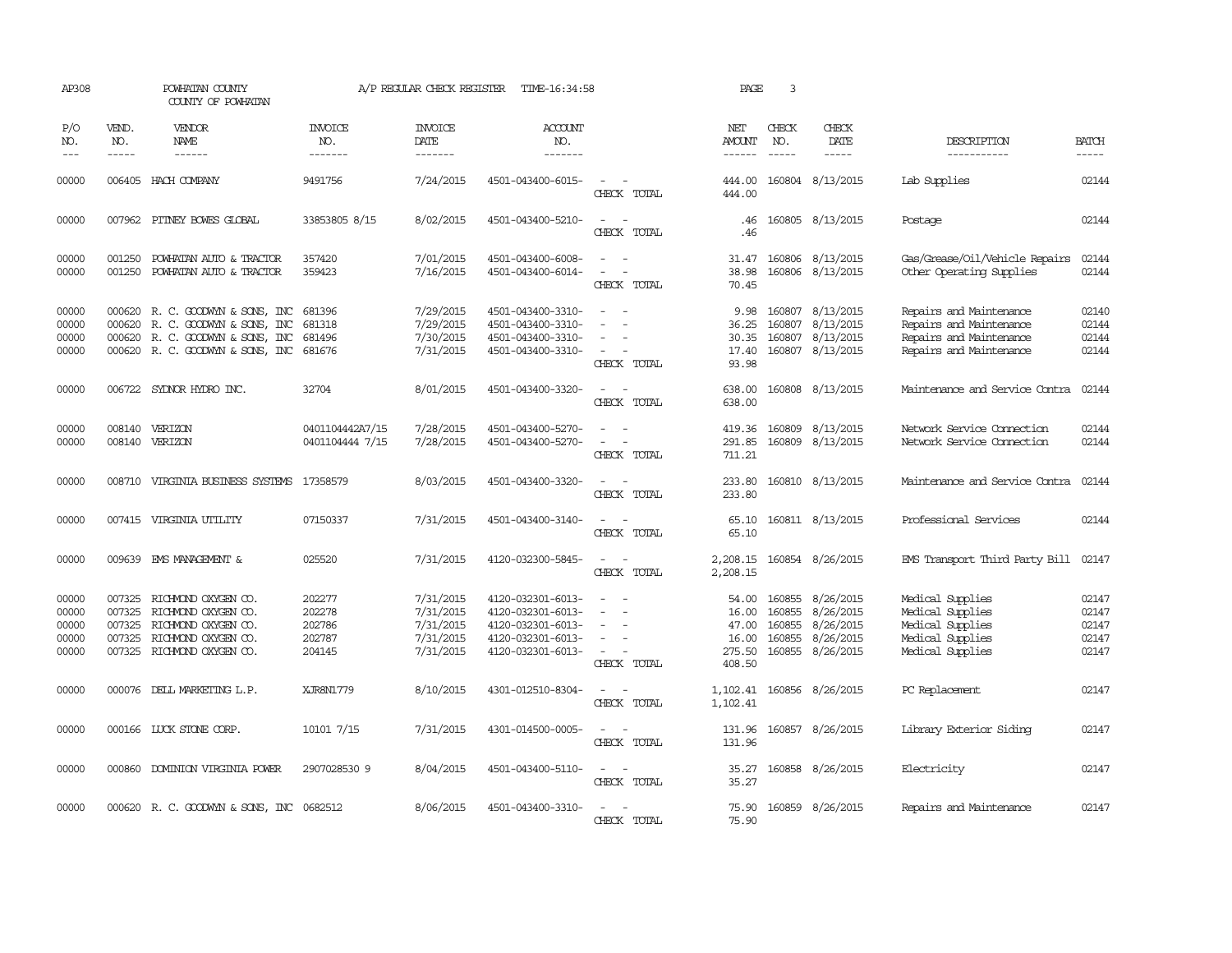| AP308                                     |                               | POWHATAN COUNTY<br>COUNTY OF POWHATAN                                                                                         |                                                | A/P REGULAR CHECK REGISTER                                    | TIME-16:34:58                                                                                         |                                                       | PAGE                                                 | 3                                              |                                                                |                                                                                                          |                                           |
|-------------------------------------------|-------------------------------|-------------------------------------------------------------------------------------------------------------------------------|------------------------------------------------|---------------------------------------------------------------|-------------------------------------------------------------------------------------------------------|-------------------------------------------------------|------------------------------------------------------|------------------------------------------------|----------------------------------------------------------------|----------------------------------------------------------------------------------------------------------|-------------------------------------------|
| P/O<br>NO.<br>$ -$                        | VEND.<br>NO.<br>$\frac{1}{2}$ | VENDOR<br>NAME<br>------                                                                                                      | INVOICE<br>NO.<br>-------                      | <b>INVOICE</b><br>DATE<br>-------                             | <b>ACCOUNT</b><br>NO.<br>-------                                                                      |                                                       | NET<br>AMOUNT<br>$- - - - - -$                       | CHECK<br>NO.                                   | CHECK<br>DATE<br>-----                                         | DESCRIPTION<br>-----------                                                                               | <b>BATCH</b><br>$\frac{1}{2}$             |
| 00000                                     |                               | 006405 HACH COMPANY                                                                                                           | 9491756                                        | 7/24/2015                                                     | 4501-043400-6015-                                                                                     | CHECK TOTAL                                           | 444.00<br>444.00                                     |                                                | 160804 8/13/2015                                               | Lab Supplies                                                                                             | 02144                                     |
| 00000                                     | 007962                        | PITNEY BOWES GLOBAL                                                                                                           | 33853805 8/15                                  | 8/02/2015                                                     | 4501-043400-5210-                                                                                     | $\sim$<br>$\sim$<br>CHECK TOTAL                       | .46<br>.46                                           |                                                | 160805 8/13/2015                                               | Postage                                                                                                  | 02144                                     |
| 00000<br>00000                            | 001250<br>001250              | POWHATAN AUTO & TRACTOR<br>POWHATAN AUTO & TRACTOR                                                                            | 357420<br>359423                               | 7/01/2015<br>7/16/2015                                        | 4501-043400-6008-<br>4501-043400-6014-                                                                | $\equiv$<br>$\sim$<br>$\sim$<br>$\sim$<br>CHECK TOTAL | 31.47<br>38.98<br>70.45                              |                                                | 160806 8/13/2015<br>160806 8/13/2015                           | Gas/Grease/Oil/Vehicle Repairs<br>Other Operating Supplies                                               | 02144<br>02144                            |
| 00000<br>00000<br>00000<br>00000          | 000620<br>000620<br>000620    | R. C. GOODWIN & SONS, INC<br>R. C. GOODWYN & SONS, INC<br>R. C. GOODWYN & SONS, INC<br>000620 R. C. GOODWYN & SONS, INC       | 681396<br>681318<br>681496<br>681676           | 7/29/2015<br>7/29/2015<br>7/30/2015<br>7/31/2015              | 4501-043400-3310-<br>4501-043400-3310-<br>4501-043400-3310-<br>4501-043400-3310-                      | $\equiv$<br>$\sim$<br>CHECK TOTAL                     | 9.98<br>36.25<br>30.35<br>17.40<br>93.98             | 160807<br>160807                               | 8/13/2015<br>8/13/2015<br>160807 8/13/2015<br>160807 8/13/2015 | Repairs and Maintenance<br>Repairs and Maintenance<br>Repairs and Maintenance<br>Repairs and Maintenance | 02140<br>02144<br>02144<br>02144          |
| 00000                                     |                               | 006722 SYDNOR HYDRO INC.                                                                                                      | 32704                                          | 8/01/2015                                                     | 4501-043400-3320-                                                                                     | $\equiv$<br>CHECK TOTAL                               | 638.00<br>638.00                                     |                                                | 160808 8/13/2015                                               | Maintenance and Service Contra                                                                           | 02144                                     |
| 00000<br>00000                            | 008140<br>008140              | VERIZON<br>VERIZON                                                                                                            | 0401104442A7/15<br>0401104444 7/15             | 7/28/2015<br>7/28/2015                                        | 4501-043400-5270-<br>4501-043400-5270-                                                                | CHECK TOTAL                                           | 419.36<br>291.85<br>711.21                           | 160809                                         | 8/13/2015<br>160809 8/13/2015                                  | Network Service Connection<br>Network Service Connection                                                 | 02144<br>02144                            |
| 00000                                     | 008710                        | VIRGINIA BUSINESS SYSTEMS                                                                                                     | 17358579                                       | 8/03/2015                                                     | 4501-043400-3320-                                                                                     | CHECK TOTAL                                           | 233.80<br>233.80                                     |                                                | 160810 8/13/2015                                               | Maintenance and Service Contra                                                                           | 02144                                     |
| 00000                                     |                               | 007415 VIRGINIA UTILITY                                                                                                       | 07150337                                       | 7/31/2015                                                     | 4501-043400-3140-                                                                                     | CHECK TOTAL                                           | 65.10<br>65.10                                       |                                                | 160811 8/13/2015                                               | Professional Services                                                                                    | 02144                                     |
| 00000                                     |                               | 009639 EMS MANAGEMENT &                                                                                                       | 025520                                         | 7/31/2015                                                     | 4120-032300-5845-                                                                                     | $\equiv$<br>CHECK TOTAL                               | 2,208.15<br>2,208.15                                 |                                                | 160854 8/26/2015                                               | EMS Transport Third Party Bill                                                                           | 02147                                     |
| 00000<br>00000<br>00000<br>00000<br>00000 | 007325<br>007325<br>007325    | 007325 RICHMOND OXYGEN CO.<br>RICHMOND OXYGEN CO.<br>RICHMOND OXYGEN CO.<br>RICHMOND OXYGEN CO.<br>007325 RICHMOND OXYGEN CO. | 202277<br>202278<br>202786<br>202787<br>204145 | 7/31/2015<br>7/31/2015<br>7/31/2015<br>7/31/2015<br>7/31/2015 | 4120-032301-6013-<br>4120-032301-6013-<br>4120-032301-6013-<br>4120-032301-6013-<br>4120-032301-6013- | $\equiv$<br>$\sim$<br>CHECK TOTAL                     | 54.00<br>16.00<br>47.00<br>16.00<br>275.50<br>408.50 | 160855<br>160855<br>160855<br>160855<br>160855 | 8/26/2015<br>8/26/2015<br>8/26/2015<br>8/26/2015<br>8/26/2015  | Medical Supplies<br>Medical Supplies<br>Medical Supplies<br>Medical Supplies<br>Medical Supplies         | 02147<br>02147<br>02147<br>02147<br>02147 |
| 00000                                     |                               | 000076 DELL MARKETING L.P.                                                                                                    | XJR8N1779                                      | 8/10/2015                                                     | 4301-012510-8304-                                                                                     | $\overline{\phantom{a}}$<br>CHECK TOTAL               | 1,102.41<br>1,102.41                                 |                                                | 160856 8/26/2015                                               | PC Replacement                                                                                           | 02147                                     |
| 00000                                     |                               | 000166 LUCK STONE CORP.                                                                                                       | 10101 7/15                                     | 7/31/2015                                                     | 4301-014500-0005-                                                                                     | $\overline{\phantom{a}}$<br>$\sim$<br>CHECK TOTAL     | 131.96<br>131.96                                     |                                                | 160857 8/26/2015                                               | Library Exterior Siding                                                                                  | 02147                                     |
| 00000                                     |                               | 000860 DOMINION VIRGINIA POWER                                                                                                | 2907028530 9                                   | 8/04/2015                                                     | 4501-043400-5110-                                                                                     | $\sim$<br>CHECK TOTAL                                 | 35.27<br>35.27                                       |                                                | 160858 8/26/2015                                               | Electricity                                                                                              | 02147                                     |
| 00000                                     |                               | 000620 R. C. GOODWYN & SONS, INC 0682512                                                                                      |                                                | 8/06/2015                                                     | 4501-043400-3310-                                                                                     | CHECK TOTAL                                           | 75.90<br>75.90                                       |                                                | 160859 8/26/2015                                               | Repairs and Maintenance                                                                                  | 02147                                     |